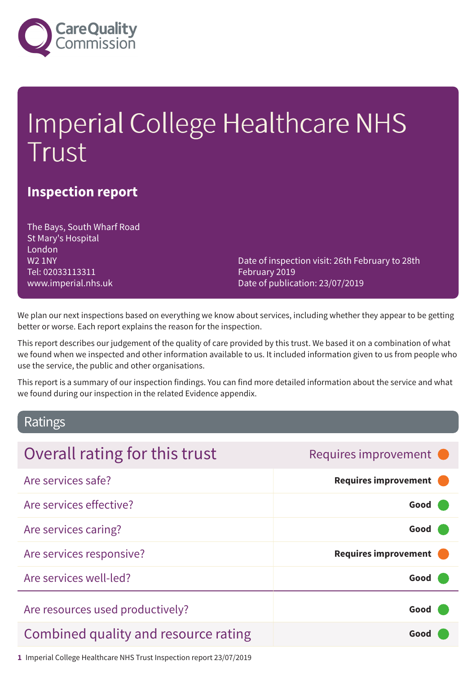

# Imperial College Healthcare NHS Trust

## **Inspection report**

The Bays, South Wharf Road St Mary's Hospital London W2 1NY Tel: 02033113311 www.imperial.nhs.uk

Date of inspection visit: 26th February to 28th February 2019 Date of publication: 23/07/2019

We plan our next inspections based on everything we know about services, including whether they appear to be getting better or worse. Each report explains the reason for the inspection.

This report describes our judgement of the quality of care provided by this trust. We based it on a combination of what we found when we inspected and other information available to us. It included information given to us from people who use the service, the public and other organisations.

This report is a summary of our inspection findings. You can find more detailed information about the service and what we found during our inspection in the related Evidence appendix.

### Ratings

| Overall rating for this trust        | Requires improvement •      |
|--------------------------------------|-----------------------------|
| Are services safe?                   | <b>Requires improvement</b> |
| Are services effective?              | Good                        |
| Are services caring?                 | Good                        |
| Are services responsive?             | <b>Requires improvement</b> |
| Are services well-led?               | Good                        |
| Are resources used productively?     | Good                        |
| Combined quality and resource rating | Good                        |
|                                      |                             |

**1** Imperial College Healthcare NHS Trust Inspection report 23/07/2019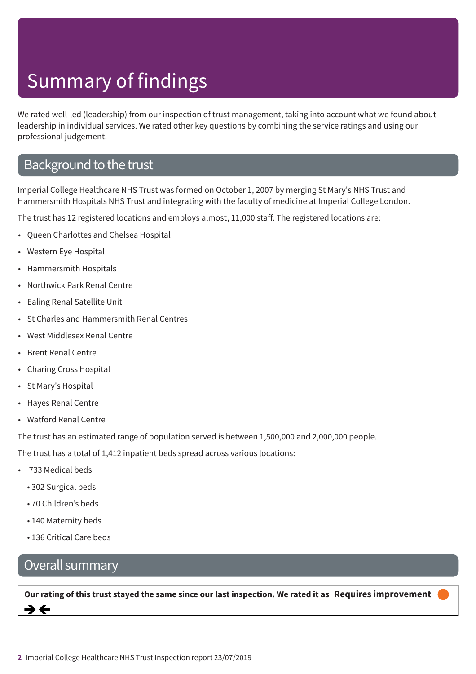We rated well-led (leadership) from our inspection of trust management, taking into account what we found about leadership in individual services. We rated other key questions by combining the service ratings and using our professional judgement.

## Background to the trust

Imperial College Healthcare NHS Trust was formed on October 1, 2007 by merging St Mary's NHS Trust and Hammersmith Hospitals NHS Trust and integrating with the faculty of medicine at Imperial College London.

The trust has 12 registered locations and employs almost, 11,000 staff. The registered locations are:

- Queen Charlottes and Chelsea Hospital
- Western Eye Hospital
- Hammersmith Hospitals
- Northwick Park Renal Centre
- Ealing Renal Satellite Unit
- St Charles and Hammersmith Renal Centres
- West Middlesex Renal Centre
- Brent Renal Centre
- Charing Cross Hospital
- St Mary's Hospital
- Hayes Renal Centre
- Watford Renal Centre

The trust has an estimated range of population served is between 1,500,000 and 2,000,000 people.

The trust has a total of 1,412 inpatient beds spread across various locations:

- 733 Medical beds
	- 302 Surgical beds
	- 70 Children's beds
	- 140 Maternity beds
	- 136 Critical Care beds

## Overall summary

Our rating of this trust stayed the same since our last inspection. We rated it as Requires improvement →←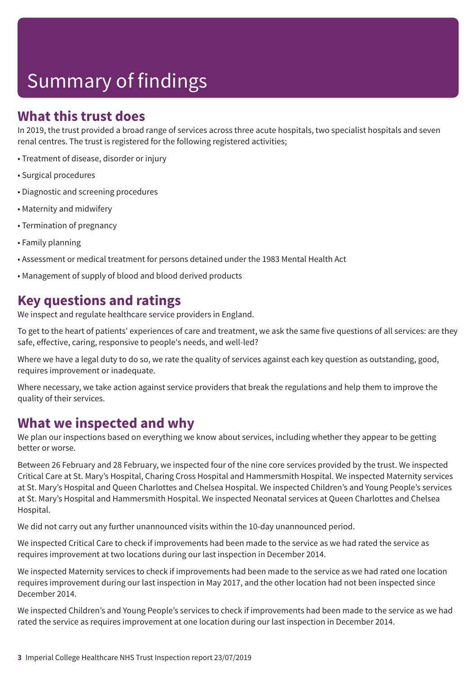## **What this trust does**

In 2019, the trust provided a broad range of services across three acute hospitals, two specialist hospitals and seven renal centres. The trust is registered for the following registered activities;

- Treatment of disease, disorder or injury
- Surgical procedures
- Diagnostic and screening procedures
- Maternity and midwifery
- Termination of pregnancy
- Family planning
- Assessment or medical treatment for persons detained under the 1983 Mental Health Act
- Management of supply of blood and blood derived products

## **Key questions and ratings**

We inspect and regulate healthcare service providers in England.

To get to the heart of patients' experiences of care and treatment, we ask the same five questions of all services: are they safe, effective, caring, responsive to people's needs, and well-led?

Where we have a legal duty to do so, we rate the quality of services against each key question as outstanding, good, requires improvement or inadequate.

Where necessary, we take action against service providers that break the regulations and help them to improve the quality of their services.

## **What we inspected and why**

We plan our inspections based on everything we know about services, including whether they appear to be getting better or worse.

Between 26 February and 28 February, we inspected four of the nine core services provided by the trust. We inspected Critical Care at St. Mary's Hospital, Charing Cross Hospital and Hammersmith Hospital. We inspected Maternity services at St. Mary's Hospital and Queen Charlottes and Chelsea Hospital. We inspected Children's and Young People's services at St. Mary's Hospital and Hammersmith Hospital. We inspected Neonatal services at Queen Charlottes and Chelsea Hospital.

We did not carry out any further unannounced visits within the 10-day unannounced period.

We inspected Critical Care to check if improvements had been made to the service as we had rated the service as requires improvement at two locations during our last inspection in December 2014.

We inspected Maternity services to check if improvements had been made to the service as we had rated one location requires improvement during our last inspection in May 2017, and the other location had not been inspected since December 2014.

We inspected Children's and Young People's services to check if improvements had been made to the service as we had rated the service as requires improvement at one location during our last inspection in December 2014.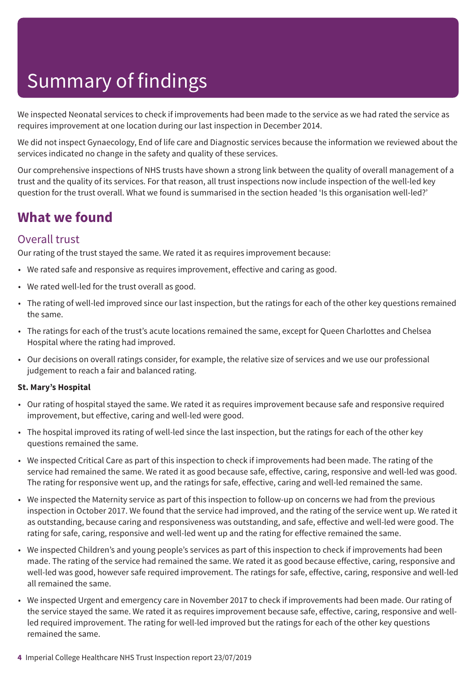We inspected Neonatal services to check if improvements had been made to the service as we had rated the service as requires improvement at one location during our last inspection in December 2014.

We did not inspect Gynaecology, End of life care and Diagnostic services because the information we reviewed about the services indicated no change in the safety and quality of these services.

Our comprehensive inspections of NHS trusts have shown a strong link between the quality of overall management of a trust and the quality of its services. For that reason, all trust inspections now include inspection of the well-led key question for the trust overall. What we found is summarised in the section headed 'Is this organisation well-led?'

## **What we found**

#### Overall trust

Our rating of the trust stayed the same. We rated it as requires improvement because:

- We rated safe and responsive as requires improvement, effective and caring as good.
- We rated well-led for the trust overall as good.
- The rating of well-led improved since our last inspection, but the ratings for each of the other key questions remained the same.
- The ratings for each of the trust's acute locations remained the same, except for Queen Charlottes and Chelsea Hospital where the rating had improved.
- Our decisions on overall ratings consider, for example, the relative size of services and we use our professional judgement to reach a fair and balanced rating.

#### **St. Mary's Hospital**

- Our rating of hospital stayed the same. We rated it as requires improvement because safe and responsive required improvement, but effective, caring and well-led were good.
- The hospital improved its rating of well-led since the last inspection, but the ratings for each of the other key questions remained the same.
- We inspected Critical Care as part of this inspection to check if improvements had been made. The rating of the service had remained the same. We rated it as good because safe, effective, caring, responsive and well-led was good. The rating for responsive went up, and the ratings for safe, effective, caring and well-led remained the same.
- We inspected the Maternity service as part of this inspection to follow-up on concerns we had from the previous inspection in October 2017. We found that the service had improved, and the rating of the service went up. We rated it as outstanding, because caring and responsiveness was outstanding, and safe, effective and well-led were good. The rating for safe, caring, responsive and well-led went up and the rating for effective remained the same.
- We inspected Children's and young people's services as part of this inspection to check if improvements had been made. The rating of the service had remained the same. We rated it as good because effective, caring, responsive and well-led was good, however safe required improvement. The ratings for safe, effective, caring, responsive and well-led all remained the same.
- We inspected Urgent and emergency care in November 2017 to check if improvements had been made. Our rating of the service stayed the same. We rated it as requires improvement because safe, effective, caring, responsive and wellled required improvement. The rating for well-led improved but the ratings for each of the other key questions remained the same.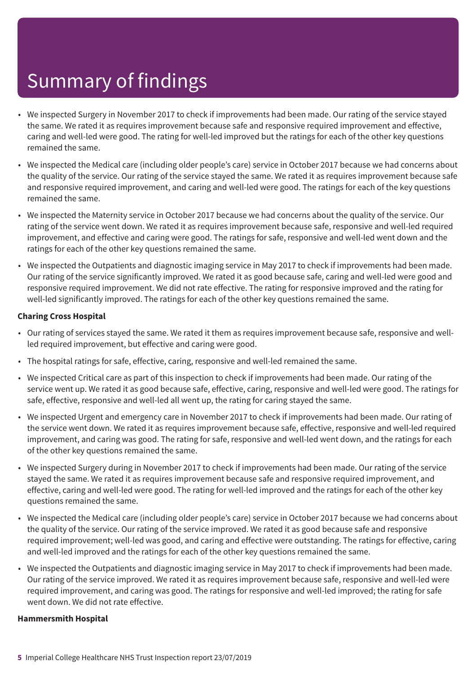- We inspected Surgery in November 2017 to check if improvements had been made. Our rating of the service stayed the same. We rated it as requires improvement because safe and responsive required improvement and effective, caring and well-led were good. The rating for well-led improved but the ratings for each of the other key questions remained the same.
- We inspected the Medical care (including older people's care) service in October 2017 because we had concerns about the quality of the service. Our rating of the service stayed the same. We rated it as requires improvement because safe and responsive required improvement, and caring and well-led were good. The ratings for each of the key questions remained the same.
- We inspected the Maternity service in October 2017 because we had concerns about the quality of the service. Our rating of the service went down. We rated it as requires improvement because safe, responsive and well-led required improvement, and effective and caring were good. The ratings for safe, responsive and well-led went down and the ratings for each of the other key questions remained the same.
- We inspected the Outpatients and diagnostic imaging service in May 2017 to check if improvements had been made. Our rating of the service significantly improved. We rated it as good because safe, caring and well-led were good and responsive required improvement. We did not rate effective. The rating for responsive improved and the rating for well-led significantly improved. The ratings for each of the other key questions remained the same.

#### **Charing Cross Hospital**

- Our rating of services stayed the same. We rated it them as requires improvement because safe, responsive and wellled required improvement, but effective and caring were good.
- The hospital ratings for safe, effective, caring, responsive and well-led remained the same.
- We inspected Critical care as part of this inspection to check if improvements had been made. Our rating of the service went up. We rated it as good because safe, effective, caring, responsive and well-led were good. The ratings for safe, effective, responsive and well-led all went up, the rating for caring stayed the same.
- We inspected Urgent and emergency care in November 2017 to check if improvements had been made. Our rating of the service went down. We rated it as requires improvement because safe, effective, responsive and well-led required improvement, and caring was good. The rating for safe, responsive and well-led went down, and the ratings for each of the other key questions remained the same.
- We inspected Surgery during in November 2017 to check if improvements had been made. Our rating of the service stayed the same. We rated it as requires improvement because safe and responsive required improvement, and effective, caring and well-led were good. The rating for well-led improved and the ratings for each of the other key questions remained the same.
- We inspected the Medical care (including older people's care) service in October 2017 because we had concerns about the quality of the service. Our rating of the service improved. We rated it as good because safe and responsive required improvement; well-led was good, and caring and effective were outstanding. The ratings for effective, caring and well-led improved and the ratings for each of the other key questions remained the same.
- We inspected the Outpatients and diagnostic imaging service in May 2017 to check if improvements had been made. Our rating of the service improved. We rated it as requires improvement because safe, responsive and well-led were required improvement, and caring was good. The ratings for responsive and well-led improved; the rating for safe went down. We did not rate effective.

#### **Hammersmith Hospital**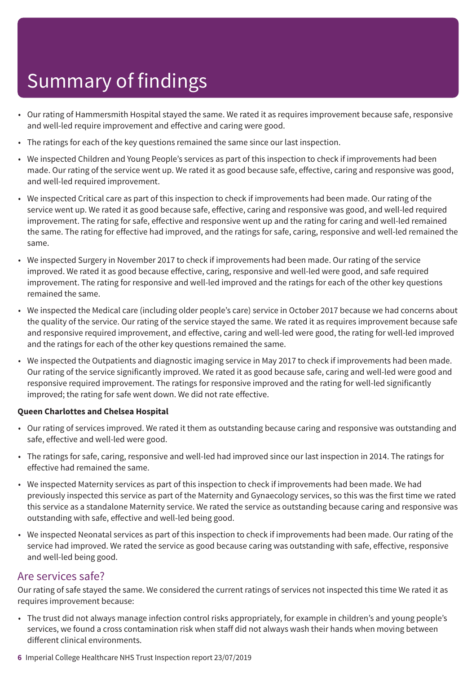- Our rating of Hammersmith Hospital stayed the same. We rated it as requires improvement because safe, responsive and well-led require improvement and effective and caring were good.
- The ratings for each of the key questions remained the same since our last inspection.
- We inspected Children and Young People's services as part of this inspection to check if improvements had been made. Our rating of the service went up. We rated it as good because safe, effective, caring and responsive was good, and well-led required improvement.
- We inspected Critical care as part of this inspection to check if improvements had been made. Our rating of the service went up. We rated it as good because safe, effective, caring and responsive was good, and well-led required improvement. The rating for safe, effective and responsive went up and the rating for caring and well-led remained the same. The rating for effective had improved, and the ratings for safe, caring, responsive and well-led remained the same.
- We inspected Surgery in November 2017 to check if improvements had been made. Our rating of the service improved. We rated it as good because effective, caring, responsive and well-led were good, and safe required improvement. The rating for responsive and well-led improved and the ratings for each of the other key questions remained the same.
- We inspected the Medical care (including older people's care) service in October 2017 because we had concerns about the quality of the service. Our rating of the service stayed the same. We rated it as requires improvement because safe and responsive required improvement, and effective, caring and well-led were good, the rating for well-led improved and the ratings for each of the other key questions remained the same.
- We inspected the Outpatients and diagnostic imaging service in May 2017 to check if improvements had been made. Our rating of the service significantly improved. We rated it as good because safe, caring and well-led were good and responsive required improvement. The ratings for responsive improved and the rating for well-led significantly improved; the rating for safe went down. We did not rate effective.

#### **Queen Charlottes and Chelsea Hospital**

- Our rating of services improved. We rated it them as outstanding because caring and responsive was outstanding and safe, effective and well-led were good.
- The ratings for safe, caring, responsive and well-led had improved since our last inspection in 2014. The ratings for effective had remained the same.
- We inspected Maternity services as part of this inspection to check if improvements had been made. We had previously inspected this service as part of the Maternity and Gynaecology services, so this was the first time we rated this service as a standalone Maternity service. We rated the service as outstanding because caring and responsive was outstanding with safe, effective and well-led being good.
- We inspected Neonatal services as part of this inspection to check if improvements had been made. Our rating of the service had improved. We rated the service as good because caring was outstanding with safe, effective, responsive and well-led being good.

#### Are services safe?

Our rating of safe stayed the same. We considered the current ratings of services not inspected this time We rated it as requires improvement because:

- The trust did not always manage infection control risks appropriately, for example in children's and young people's services, we found a cross contamination risk when staff did not always wash their hands when moving between different clinical environments.
- **6** Imperial College Healthcare NHS Trust Inspection report 23/07/2019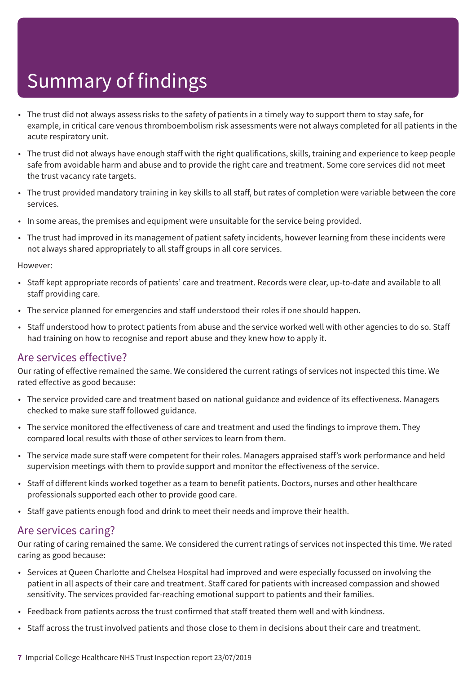- The trust did not always assess risks to the safety of patients in a timely way to support them to stay safe, for example, in critical care venous thromboembolism risk assessments were not always completed for all patients in the acute respiratory unit.
- The trust did not always have enough staff with the right qualifications, skills, training and experience to keep people safe from avoidable harm and abuse and to provide the right care and treatment. Some core services did not meet the trust vacancy rate targets.
- The trust provided mandatory training in key skills to all staff, but rates of completion were variable between the core services.
- In some areas, the premises and equipment were unsuitable for the service being provided.
- The trust had improved in its management of patient safety incidents, however learning from these incidents were not always shared appropriately to all staff groups in all core services.

#### However:

- Staff kept appropriate records of patients' care and treatment. Records were clear, up-to-date and available to all staff providing care.
- The service planned for emergencies and staff understood their roles if one should happen.
- Staff understood how to protect patients from abuse and the service worked well with other agencies to do so. Staff had training on how to recognise and report abuse and they knew how to apply it.

#### Are services effective?

Our rating of effective remained the same. We considered the current ratings of services not inspected this time. We rated effective as good because:

- The service provided care and treatment based on national guidance and evidence of its effectiveness. Managers checked to make sure staff followed guidance.
- The service monitored the effectiveness of care and treatment and used the findings to improve them. They compared local results with those of other services to learn from them.
- The service made sure staff were competent for their roles. Managers appraised staff's work performance and held supervision meetings with them to provide support and monitor the effectiveness of the service.
- Staff of different kinds worked together as a team to benefit patients. Doctors, nurses and other healthcare professionals supported each other to provide good care.
- Staff gave patients enough food and drink to meet their needs and improve their health.

#### Are services caring?

Our rating of caring remained the same. We considered the current ratings of services not inspected this time. We rated caring as good because:

- Services at Queen Charlotte and Chelsea Hospital had improved and were especially focussed on involving the patient in all aspects of their care and treatment. Staff cared for patients with increased compassion and showed sensitivity. The services provided far-reaching emotional support to patients and their families.
- Feedback from patients across the trust confirmed that staff treated them well and with kindness.
- Staff across the trust involved patients and those close to them in decisions about their care and treatment.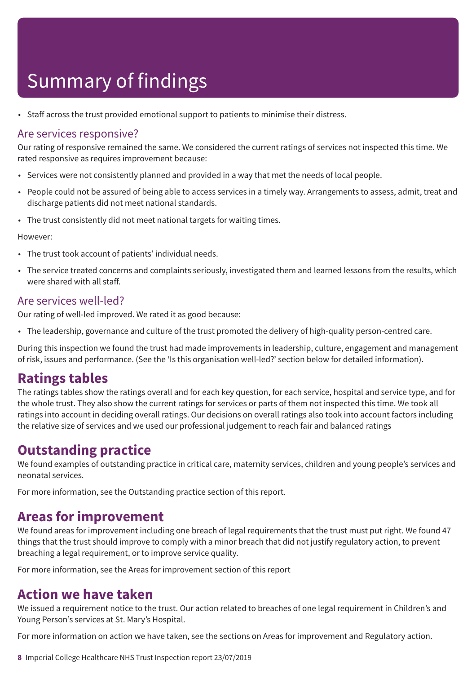• Staff across the trust provided emotional support to patients to minimise their distress.

#### Are services responsive?

Our rating of responsive remained the same. We considered the current ratings of services not inspected this time. We rated responsive as requires improvement because:

- Services were not consistently planned and provided in a way that met the needs of local people.
- People could not be assured of being able to access services in a timely way. Arrangements to assess, admit, treat and discharge patients did not meet national standards.
- The trust consistently did not meet national targets for waiting times.

However:

- The trust took account of patients' individual needs.
- The service treated concerns and complaints seriously, investigated them and learned lessons from the results, which were shared with all staff.

#### Are services well-led?

Our rating of well-led improved. We rated it as good because:

• The leadership, governance and culture of the trust promoted the delivery of high-quality person-centred care.

During this inspection we found the trust had made improvements in leadership, culture, engagement and management of risk, issues and performance. (See the 'Is this organisation well-led?' section below for detailed information).

## **Ratings tables**

The ratings tables show the ratings overall and for each key question, for each service, hospital and service type, and for the whole trust. They also show the current ratings for services or parts of them not inspected this time. We took all ratings into account in deciding overall ratings. Our decisions on overall ratings also took into account factors including the relative size of services and we used our professional judgement to reach fair and balanced ratings

## **Outstanding practice**

We found examples of outstanding practice in critical care, maternity services, children and young people's services and neonatal services.

For more information, see the Outstanding practice section of this report.

### **Areas for improvement**

We found areas for improvement including one breach of legal requirements that the trust must put right. We found 47 things that the trust should improve to comply with a minor breach that did not justify regulatory action, to prevent breaching a legal requirement, or to improve service quality.

For more information, see the Areas for improvement section of this report

## **Action we have taken**

We issued a requirement notice to the trust. Our action related to breaches of one legal requirement in Children's and Young Person's services at St. Mary's Hospital.

For more information on action we have taken, see the sections on Areas for improvement and Regulatory action.

**8** Imperial College Healthcare NHS Trust Inspection report 23/07/2019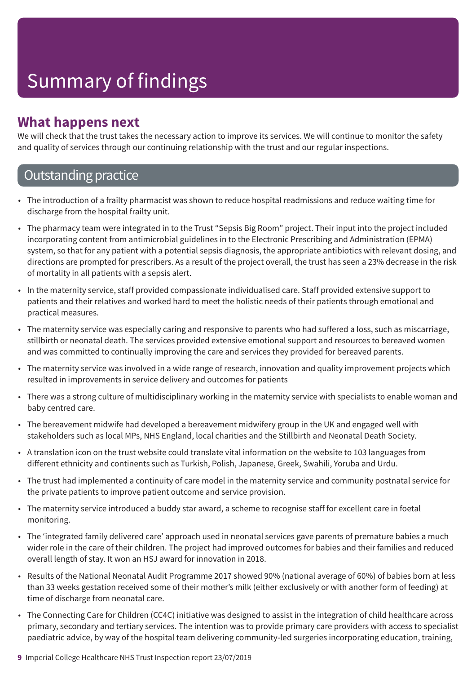## **What happens next**

We will check that the trust takes the necessary action to improve its services. We will continue to monitor the safety and quality of services through our continuing relationship with the trust and our regular inspections.

## **Outstanding practice**

- The introduction of a frailty pharmacist was shown to reduce hospital readmissions and reduce waiting time for discharge from the hospital frailty unit.
- The pharmacy team were integrated in to the Trust "Sepsis Big Room" project. Their input into the project included incorporating content from antimicrobial guidelines in to the Electronic Prescribing and Administration (EPMA) system, so that for any patient with a potential sepsis diagnosis, the appropriate antibiotics with relevant dosing, and directions are prompted for prescribers. As a result of the project overall, the trust has seen a 23% decrease in the risk of mortality in all patients with a sepsis alert.
- In the maternity service, staff provided compassionate individualised care. Staff provided extensive support to patients and their relatives and worked hard to meet the holistic needs of their patients through emotional and practical measures.
- The maternity service was especially caring and responsive to parents who had suffered a loss, such as miscarriage, stillbirth or neonatal death. The services provided extensive emotional support and resources to bereaved women and was committed to continually improving the care and services they provided for bereaved parents.
- The maternity service was involved in a wide range of research, innovation and quality improvement projects which resulted in improvements in service delivery and outcomes for patients
- There was a strong culture of multidisciplinary working in the maternity service with specialists to enable woman and baby centred care.
- The bereavement midwife had developed a bereavement midwifery group in the UK and engaged well with stakeholders such as local MPs, NHS England, local charities and the Stillbirth and Neonatal Death Society.
- A translation icon on the trust website could translate vital information on the website to 103 languages from different ethnicity and continents such as Turkish, Polish, Japanese, Greek, Swahili, Yoruba and Urdu.
- The trust had implemented a continuity of care model in the maternity service and community postnatal service for the private patients to improve patient outcome and service provision.
- The maternity service introduced a buddy star award, a scheme to recognise staff for excellent care in foetal monitoring.
- The 'integrated family delivered care' approach used in neonatal services gave parents of premature babies a much wider role in the care of their children. The project had improved outcomes for babies and their families and reduced overall length of stay. It won an HSJ award for innovation in 2018.
- Results of the National Neonatal Audit Programme 2017 showed 90% (national average of 60%) of babies born at less than 33 weeks gestation received some of their mother's milk (either exclusively or with another form of feeding) at time of discharge from neonatal care.
- The Connecting Care for Children (CC4C) initiative was designed to assist in the integration of child healthcare across primary, secondary and tertiary services. The intention was to provide primary care providers with access to specialist paediatric advice, by way of the hospital team delivering community-led surgeries incorporating education, training,
- **9** Imperial College Healthcare NHS Trust Inspection report 23/07/2019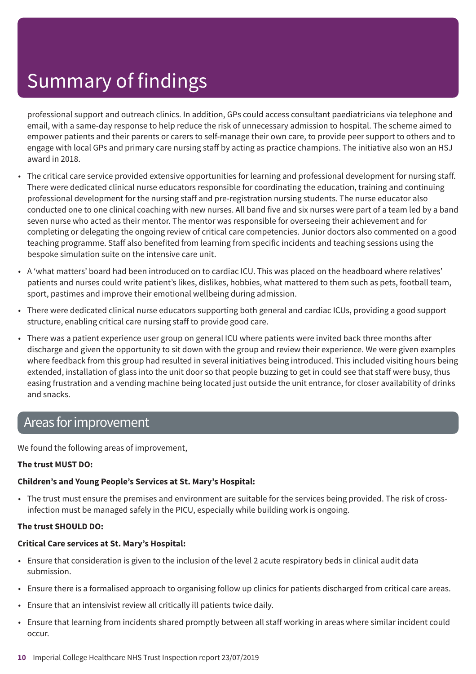professional support and outreach clinics. In addition, GPs could access consultant paediatricians via telephone and email, with a same-day response to help reduce the risk of unnecessary admission to hospital. The scheme aimed to empower patients and their parents or carers to self-manage their own care, to provide peer support to others and to engage with local GPs and primary care nursing staff by acting as practice champions. The initiative also won an HSJ award in 2018.

- The critical care service provided extensive opportunities for learning and professional development for nursing staff. There were dedicated clinical nurse educators responsible for coordinating the education, training and continuing professional development for the nursing staff and pre-registration nursing students. The nurse educator also conducted one to one clinical coaching with new nurses. All band five and six nurses were part of a team led by a band seven nurse who acted as their mentor. The mentor was responsible for overseeing their achievement and for completing or delegating the ongoing review of critical care competencies. Junior doctors also commented on a good teaching programme. Staff also benefited from learning from specific incidents and teaching sessions using the bespoke simulation suite on the intensive care unit.
- A 'what matters' board had been introduced on to cardiac ICU. This was placed on the headboard where relatives' patients and nurses could write patient's likes, dislikes, hobbies, what mattered to them such as pets, football team, sport, pastimes and improve their emotional wellbeing during admission.
- There were dedicated clinical nurse educators supporting both general and cardiac ICUs, providing a good support structure, enabling critical care nursing staff to provide good care.
- There was a patient experience user group on general ICU where patients were invited back three months after discharge and given the opportunity to sit down with the group and review their experience. We were given examples where feedback from this group had resulted in several initiatives being introduced. This included visiting hours being extended, installation of glass into the unit door so that people buzzing to get in could see that staff were busy, thus easing frustration and a vending machine being located just outside the unit entrance, for closer availability of drinks and snacks.

## Areas forimprovement

We found the following areas of improvement,

#### **The trust MUST DO:**

#### **Children's and Young People's Services at St. Mary's Hospital:**

• The trust must ensure the premises and environment are suitable for the services being provided. The risk of crossinfection must be managed safely in the PICU, especially while building work is ongoing.

#### **The trust SHOULD DO:**

#### **Critical Care services at St. Mary's Hospital:**

- Ensure that consideration is given to the inclusion of the level 2 acute respiratory beds in clinical audit data submission.
- Ensure there is a formalised approach to organising follow up clinics for patients discharged from critical care areas.
- Ensure that an intensivist review all critically ill patients twice daily.
- Ensure that learning from incidents shared promptly between all staff working in areas where similar incident could occur.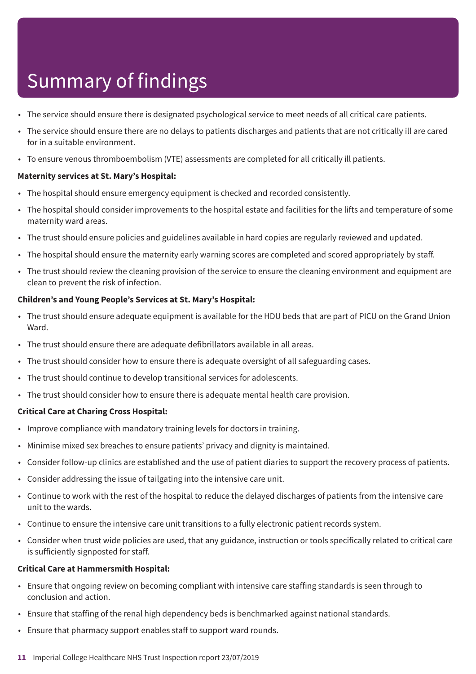- The service should ensure there is designated psychological service to meet needs of all critical care patients.
- The service should ensure there are no delays to patients discharges and patients that are not critically ill are cared for in a suitable environment.
- To ensure venous thromboembolism (VTE) assessments are completed for all critically ill patients.

#### **Maternity services at St. Mary's Hospital:**

- The hospital should ensure emergency equipment is checked and recorded consistently.
- The hospital should consider improvements to the hospital estate and facilities for the lifts and temperature of some maternity ward areas.
- The trust should ensure policies and guidelines available in hard copies are regularly reviewed and updated.
- The hospital should ensure the maternity early warning scores are completed and scored appropriately by staff.
- The trust should review the cleaning provision of the service to ensure the cleaning environment and equipment are clean to prevent the risk of infection.

#### **Children's and Young People's Services at St. Mary's Hospital:**

- The trust should ensure adequate equipment is available for the HDU beds that are part of PICU on the Grand Union Ward.
- The trust should ensure there are adequate defibrillators available in all areas.
- The trust should consider how to ensure there is adequate oversight of all safeguarding cases.
- The trust should continue to develop transitional services for adolescents.
- The trust should consider how to ensure there is adequate mental health care provision.

#### **Critical Care at Charing Cross Hospital:**

- Improve compliance with mandatory training levels for doctors in training.
- Minimise mixed sex breaches to ensure patients' privacy and dignity is maintained.
- Consider follow-up clinics are established and the use of patient diaries to support the recovery process of patients.
- Consider addressing the issue of tailgating into the intensive care unit.
- Continue to work with the rest of the hospital to reduce the delayed discharges of patients from the intensive care unit to the wards.
- Continue to ensure the intensive care unit transitions to a fully electronic patient records system.
- Consider when trust wide policies are used, that any guidance, instruction or tools specifically related to critical care is sufficiently signposted for staff.

#### **Critical Care at Hammersmith Hospital:**

- Ensure that ongoing review on becoming compliant with intensive care staffing standards is seen through to conclusion and action.
- Ensure that staffing of the renal high dependency beds is benchmarked against national standards.
- Ensure that pharmacy support enables staff to support ward rounds.
- **11** Imperial College Healthcare NHS Trust Inspection report 23/07/2019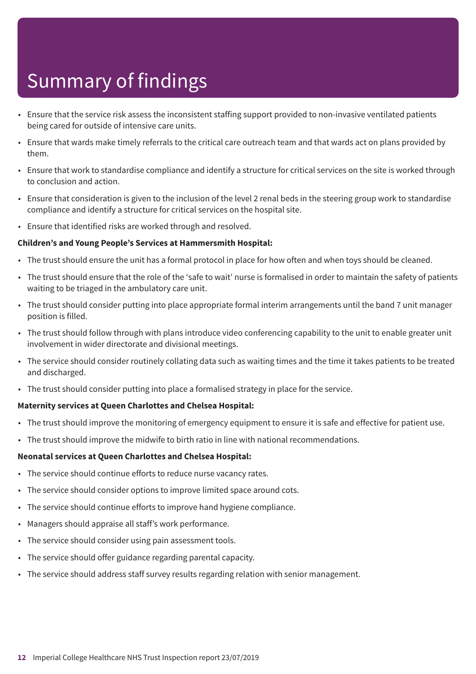- Ensure that the service risk assess the inconsistent staffing support provided to non-invasive ventilated patients being cared for outside of intensive care units.
- Ensure that wards make timely referrals to the critical care outreach team and that wards act on plans provided by them.
- Ensure that work to standardise compliance and identify a structure for critical services on the site is worked through to conclusion and action.
- Ensure that consideration is given to the inclusion of the level 2 renal beds in the steering group work to standardise compliance and identify a structure for critical services on the hospital site.
- Ensure that identified risks are worked through and resolved.

#### **Children's and Young People's Services at Hammersmith Hospital:**

- The trust should ensure the unit has a formal protocol in place for how often and when toys should be cleaned.
- The trust should ensure that the role of the 'safe to wait' nurse is formalised in order to maintain the safety of patients waiting to be triaged in the ambulatory care unit.
- The trust should consider putting into place appropriate formal interim arrangements until the band 7 unit manager position is filled.
- The trust should follow through with plans introduce video conferencing capability to the unit to enable greater unit involvement in wider directorate and divisional meetings.
- The service should consider routinely collating data such as waiting times and the time it takes patients to be treated and discharged.
- The trust should consider putting into place a formalised strategy in place for the service.

#### **Maternity services at Queen Charlottes and Chelsea Hospital:**

- The trust should improve the monitoring of emergency equipment to ensure it is safe and effective for patient use.
- The trust should improve the midwife to birth ratio in line with national recommendations.

#### **Neonatal services at Queen Charlottes and Chelsea Hospital:**

- The service should continue efforts to reduce nurse vacancy rates.
- The service should consider options to improve limited space around cots.
- The service should continue efforts to improve hand hygiene compliance.
- Managers should appraise all staff's work performance.
- The service should consider using pain assessment tools.
- The service should offer guidance regarding parental capacity.
- The service should address staff survey results regarding relation with senior management.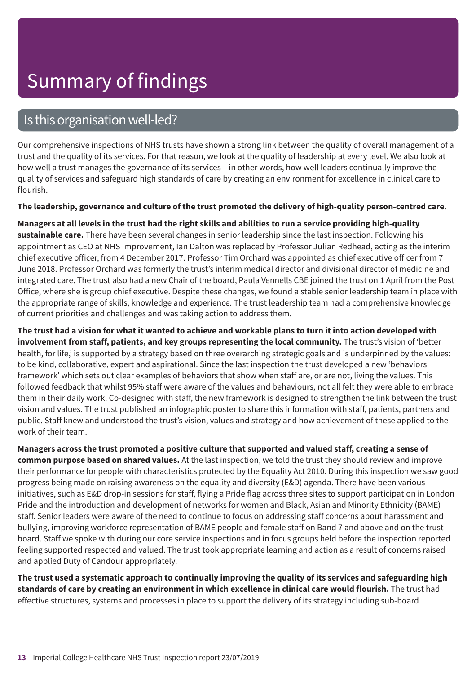## Is this organisation well-led?

Our comprehensive inspections of NHS trusts have shown a strong link between the quality of overall management of a trust and the quality of its services. For that reason, we look at the quality of leadership at every level. We also look at how well a trust manages the governance of its services – in other words, how well leaders continually improve the quality of services and safeguard high standards of care by creating an environment for excellence in clinical care to flourish.

#### **The leadership, governance and culture of the trust promoted the delivery of high-quality person-centred care**.

Managers at all levels in the trust had the right skills and abilities to run a service providing high-quality **sustainable care.** There have been several changes in senior leadership since the last inspection. Following his appointment as CEO at NHS Improvement, Ian Dalton was replaced by Professor Julian Redhead, acting as the interim chief executive officer, from 4 December 2017. Professor Tim Orchard was appointed as chief executive officer from 7 June 2018. Professor Orchard was formerly the trust's interim medical director and divisional director of medicine and integrated care. The trust also had a new Chair of the board, Paula Vennells CBE joined the trust on 1 April from the Post Office, where she is group chief executive. Despite these changes, we found a stable senior leadership team in place with the appropriate range of skills, knowledge and experience. The trust leadership team had a comprehensive knowledge of current priorities and challenges and was taking action to address them.

The trust had a vision for what it wanted to achieve and workable plans to turn it into action developed with **involvement from staff, patients, and key groups representing the local community.** The trust's vision of 'better health, for life,' is supported by a strategy based on three overarching strategic goals and is underpinned by the values: to be kind, collaborative, expert and aspirational. Since the last inspection the trust developed a new 'behaviors framework' which sets out clear examples of behaviors that show when staff are, or are not, living the values. This followed feedback that whilst 95% staff were aware of the values and behaviours, not all felt they were able to embrace them in their daily work. Co-designed with staff, the new framework is designed to strengthen the link between the trust vision and values. The trust published an infographic poster to share this information with staff, patients, partners and public. Staff knew and understood the trust's vision, values and strategy and how achievement of these applied to the work of their team.

Managers across the trust promoted a positive culture that supported and valued staff, creating a sense of **common purpose based on shared values.** At the last inspection, we told the trust they should review and improve their performance for people with characteristics protected by the Equality Act 2010. During this inspection we saw good progress being made on raising awareness on the equality and diversity (E&D) agenda. There have been various initiatives, such as E&D drop-in sessions for staff, flying a Pride flag across three sites to support participation in London Pride and the introduction and development of networks for women and Black, Asian and Minority Ethnicity (BAME) staff. Senior leaders were aware of the need to continue to focus on addressing staff concerns about harassment and bullying, improving workforce representation of BAME people and female staff on Band 7 and above and on the trust board. Staff we spoke with during our core service inspections and in focus groups held before the inspection reported feeling supported respected and valued. The trust took appropriate learning and action as a result of concerns raised and applied Duty of Candour appropriately.

The trust used a systematic approach to continually improving the quality of its services and safeguarding high **standards of care by creating an environment in which excellence in clinical care would flourish.** The trust had effective structures, systems and processes in place to support the delivery of its strategy including sub-board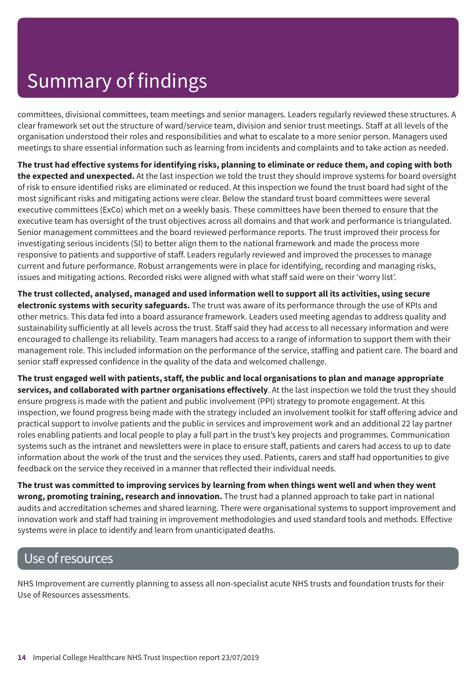committees, divisional committees, team meetings and senior managers. Leaders regularly reviewed these structures. A clear framework set out the structure of ward/service team, division and senior trust meetings. Staff at all levels of the organisation understood their roles and responsibilities and what to escalate to a more senior person. Managers used meetings to share essential information such as learning from incidents and complaints and to take action as needed.

The trust had effective systems for identifying risks, planning to eliminate or reduce them, and coping with both **the expected and unexpected.** At the last inspection we told the trust they should improve systems for board oversight of risk to ensure identified risks are eliminated or reduced. At this inspection we found the trust board had sight of the most significant risks and mitigating actions were clear. Below the standard trust board committees were several executive committees (ExCo) which met on a weekly basis. These committees have been themed to ensure that the executive team has oversight of the trust objectives across all domains and that work and performance is triangulated. Senior management committees and the board reviewed performance reports. The trust improved their process for investigating serious incidents (SI) to better align them to the national framework and made the process more responsive to patients and supportive of staff. Leaders regularly reviewed and improved the processes to manage current and future performance. Robust arrangements were in place for identifying, recording and managing risks, issues and mitigating actions. Recorded risks were aligned with what staff said were on their 'worry list'.

**The trust collected, analysed, managed and used information well to support all its activities, using secure electronic systems with security safeguards.** The trust was aware of its performance through the use of KPIs and other metrics. This data fed into a board assurance framework. Leaders used meeting agendas to address quality and sustainability sufficiently at all levels across the trust. Staff said they had access to all necessary information and were encouraged to challenge its reliability. Team managers had access to a range of information to support them with their management role. This included information on the performance of the service, staffing and patient care. The board and senior staff expressed confidence in the quality of the data and welcomed challenge.

The trust engaged well with patients, staff, the public and local organisations to plan and manage appropriate **services, and collaborated with partner organisations effectively**. At the last inspection we told the trust they should ensure progress is made with the patient and public involvement (PPI) strategy to promote engagement. At this inspection, we found progress being made with the strategy included an involvement toolkit for staff offering advice and practical support to involve patients and the public in services and improvement work and an additional 22 lay partner roles enabling patients and local people to play a full part in the trust's key projects and programmes. Communication systems such as the intranet and newsletters were in place to ensure staff, patients and carers had access to up to date information about the work of the trust and the services they used. Patients, carers and staff had opportunities to give feedback on the service they received in a manner that reflected their individual needs.

The trust was committed to improving services by learning from when things went well and when they went **wrong, promoting training, research and innovation.** The trust had a planned approach to take part in national audits and accreditation schemes and shared learning. There were organisational systems to support improvement and innovation work and staff had training in improvement methodologies and used standard tools and methods. Effective systems were in place to identify and learn from unanticipated deaths.

## Use of resources

NHS Improvement are currently planning to assess all non-specialist acute NHS trusts and foundation trusts for their Use of Resources assessments.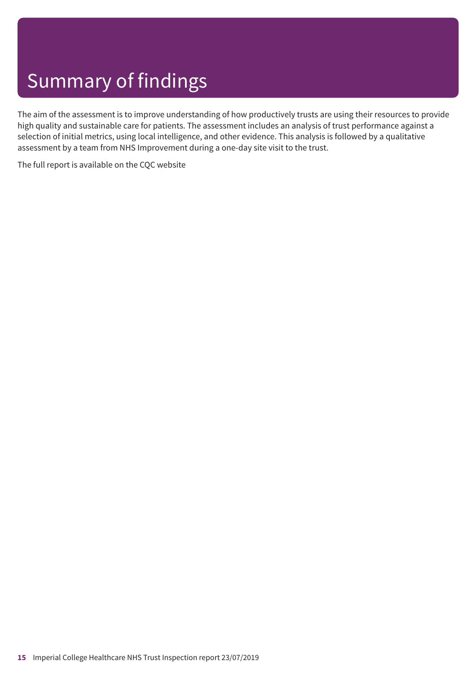The aim of the assessment is to improve understanding of how productively trusts are using their resources to provide high quality and sustainable care for patients. The assessment includes an analysis of trust performance against a selection of initial metrics, using local intelligence, and other evidence. This analysis is followed by a qualitative assessment by a team from NHS Improvement during a one-day site visit to the trust.

The full report is available on the CQC website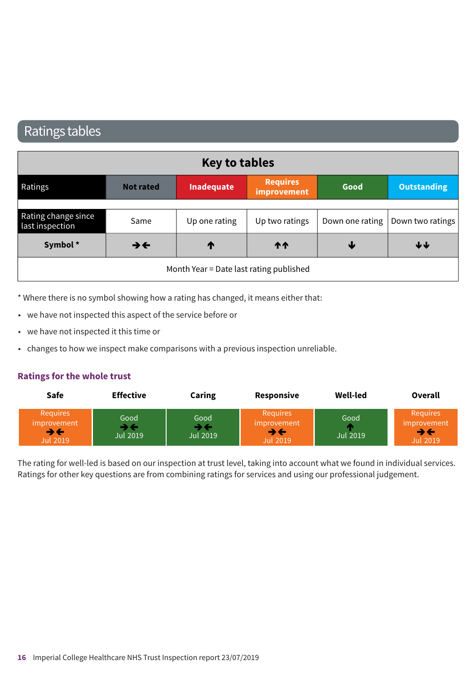## Ratings tables

| <b>Key to tables</b>                   |                          |                                         |                                |      |                                    |  |  |
|----------------------------------------|--------------------------|-----------------------------------------|--------------------------------|------|------------------------------------|--|--|
| Ratings                                | <b>Not rated</b>         | Inadequate                              | <b>Requires</b><br>improvement | Good | <b>Outstanding</b>                 |  |  |
|                                        |                          |                                         |                                |      |                                    |  |  |
| Rating change since<br>last inspection | Same                     | Up one rating                           | Up two ratings                 |      | Down one rating   Down two ratings |  |  |
| Symbol*                                | $\rightarrow \leftarrow$ | ↑                                       | <b>11</b>                      | ₩    | $\blacklozenge \blacklozenge$      |  |  |
|                                        |                          | Month Year = Date last rating published |                                |      |                                    |  |  |

\* Where there is no symbol showing how a rating has changed, it means either that:

- we have not inspected this aspect of the service before or
- we have not inspected it this time or
- changes to how we inspect make comparisons with a previous inspection unreliable.

#### **Ratings for the whole trust**

| <b>Safe</b>                                                                            | <b>Effective</b>       | Caring                                                | Responsive                                                                      | Well-led                | Overall                                                 |
|----------------------------------------------------------------------------------------|------------------------|-------------------------------------------------------|---------------------------------------------------------------------------------|-------------------------|---------------------------------------------------------|
| <b>Requires</b><br><i>improvement</i><br>$\rightarrow$ $\leftarrow$<br><b>Jul 2019</b> | Good<br>≯←<br>Jul 2019 | Good<br>$\rightarrow$ $\leftarrow$<br><b>Jul 2019</b> | <b>Requires</b><br>improvement<br>$\rightarrow$ $\leftarrow$<br><b>Jul 2019</b> | Good<br><b>Jul 2019</b> | <b>Requires</b><br>improvement<br>→←<br><b>Jul 2019</b> |

The rating for well-led is based on our inspection at trust level, taking into account what we found in individual services. Ratings for other key questions are from combining ratings for services and using our professional judgement.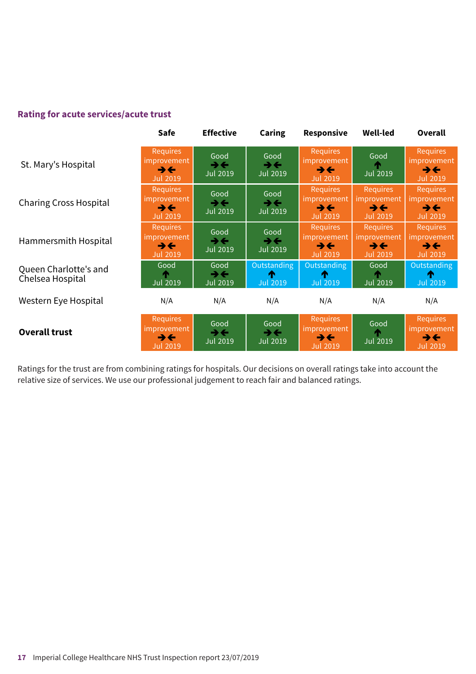#### **Rating for acute services/acute trust**

|                                           | <b>Safe</b>                                                                    | <b>Effective</b>                                    | <b>Caring</b>                                | <b>Responsive</b>                                                               | <b>Well-led</b>                                                                 | <b>Overall</b>                                                                 |
|-------------------------------------------|--------------------------------------------------------------------------------|-----------------------------------------------------|----------------------------------------------|---------------------------------------------------------------------------------|---------------------------------------------------------------------------------|--------------------------------------------------------------------------------|
| St. Mary's Hospital                       | Requires<br>improvement<br>$\rightarrow \leftarrow$<br><b>Jul 2019</b>         | Good<br>$\rightarrow \leftarrow$<br><b>Jul 2019</b> | Good<br>$\rightarrow \leftarrow$<br>Jul 2019 | <b>Requires</b><br>improvement<br>$\rightarrow \leftarrow$<br><b>Jul 2019</b>   | Good<br><b>Jul 2019</b>                                                         | <b>Requires</b><br>improvement'<br>$\rightarrow \leftarrow$<br><b>Jul 2019</b> |
| <b>Charing Cross Hospital</b>             | <b>Requires</b><br>improvement<br>$\rightarrow \leftarrow$<br><b>Jul 2019</b>  | Good<br>$\rightarrow \leftarrow$<br><b>Jul 2019</b> | Good<br>$\rightarrow \leftarrow$<br>Jul 2019 | <b>Requires</b><br>improvement<br>$\rightarrow$ $\leftarrow$<br><b>Jul 2019</b> | <b>Requires</b><br>improvement<br>$\rightarrow$ $\leftarrow$<br><b>Jul 2019</b> | <b>Requires</b><br>mprovement<br>$\rightarrow \leftarrow$<br>Jul 2019          |
| Hammersmith Hospital                      | <b>Requires</b><br>improvement'<br>$\rightarrow \leftarrow$<br><b>Jul 2019</b> | Good<br>$\rightarrow \leftarrow$<br>Jul 2019        | Good<br>$\rightarrow \leftarrow$<br>Jul 2019 | <b>Requires</b><br>improvement<br>$\rightarrow$ $\leftarrow$<br><b>Jul 2019</b> | <b>Requires</b><br>improvement<br>$\rightarrow \leftarrow$<br><b>Jul 2019</b>   | <b>Requires</b><br>improvement<br>うそ<br>Jul 2019                               |
| Queen Charlotte's and<br>Chelsea Hospital | Good<br>Jul 2019                                                               | Good<br>$\rightarrow \leftarrow$<br><b>Jul 2019</b> | Outstanding<br>æ<br><b>Jul 2019</b>          | Outstanding<br>m<br><b>Jul 2019</b>                                             | Good<br>Jul 2019                                                                | <b>Outstanding</b><br>m<br><b>Jul 2019</b>                                     |
| Western Eye Hospital                      | N/A                                                                            | N/A                                                 | N/A                                          | N/A                                                                             | N/A                                                                             | N/A                                                                            |
| <b>Overall trust</b>                      | Requires<br>improvement<br>$\rightarrow \leftarrow$<br><b>Jul 2019</b>         | Good<br>→←<br><b>Jul 2019</b>                       | Good<br>→←<br>Jul 2019                       | <b>Requires</b><br>improvement<br>$\rightarrow \leftarrow$<br><b>Jul 2019</b>   | Good<br><b>Jul 2019</b>                                                         | Requires<br>improvement<br>$\rightarrow \leftarrow$<br>Jul 2019                |

Ratings for the trust are from combining ratings for hospitals. Our decisions on overall ratings take into account the relative size of services. We use our professional judgement to reach fair and balanced ratings.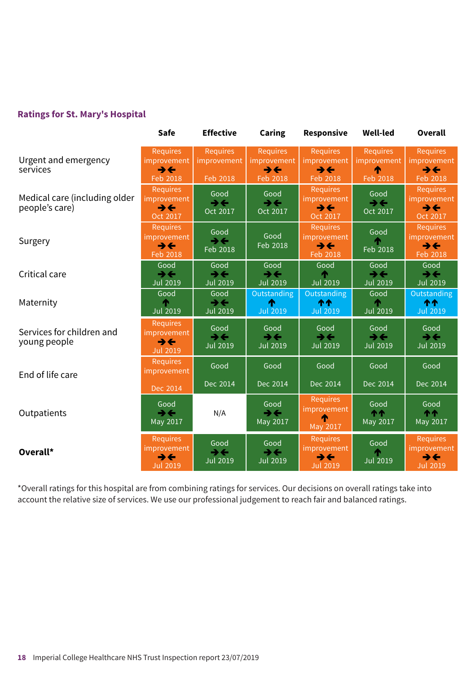#### **Ratings for St. Mary's Hospital**

|                                                 | <b>Safe</b>                                                                   | <b>Effective</b>                                    | <b>Caring</b>                                                          | Responsive                                                                    | <b>Well-led</b>                                     | <b>Overall</b>                                                                |
|-------------------------------------------------|-------------------------------------------------------------------------------|-----------------------------------------------------|------------------------------------------------------------------------|-------------------------------------------------------------------------------|-----------------------------------------------------|-------------------------------------------------------------------------------|
| Urgent and emergency<br>services                | Requires<br>improvement<br>$\rightarrow$ $\leftarrow$<br>Feb 2018             | <b>Requires</b><br>improvement<br>Feb 2018          | <b>Requires</b><br>improvement<br>$\rightarrow \leftarrow$<br>Feb 2018 | <b>Requires</b><br>improvement<br>$\rightarrow \leftarrow$<br>Feb 2018        | <b>Requires</b><br>improvement<br>↑<br>Feb 2018     | <b>Requires</b><br><i>improvement</i><br>$\rightarrow \leftarrow$<br>Feb 2018 |
| Medical care (including older<br>people's care) | Requires<br>improvement<br>$\rightarrow \leftarrow$<br>Oct 2017               | Good<br>$\rightarrow \leftarrow$<br>Oct 2017        | Good<br>$\rightarrow \leftarrow$<br>Oct 2017                           | <b>Requires</b><br>improvement<br>$\rightarrow \leftarrow$<br>Oct 2017        | Good<br>$\rightarrow \leftarrow$<br>Oct 2017        | <b>Requires</b><br>improvement<br>$\rightarrow \leftarrow$<br>Oct 2017        |
| Surgery                                         | <b>Requires</b><br>improvement<br>$\rightarrow \leftarrow$<br>Feb 2018        | Good<br>$\rightarrow \leftarrow$<br>Feb 2018        | Good<br>Feb 2018                                                       | <b>Requires</b><br>improvement<br>$\rightarrow \leftarrow$<br>Feb 2018        | Good<br>Feb 2018                                    | <b>Requires</b><br>improvement<br>$\rightarrow \leftarrow$<br>Feb 2018        |
| Critical care                                   | Good<br>$\rightarrow$<br><b>Jul 2019</b>                                      | Good<br>$\rightarrow \leftarrow$<br><b>Jul 2019</b> | Good<br>$\rightarrow \leftarrow$<br><b>Jul 2019</b>                    | Good<br>́∩<br><b>Jul 2019</b>                                                 | Good<br>$\rightarrow \leftarrow$<br><b>Jul 2019</b> | Good<br>$\rightarrow \leftarrow$<br><b>Jul 2019</b>                           |
| Maternity                                       | Good<br><b>Jul 2019</b>                                                       | Good<br>$\rightarrow \leftarrow$<br><b>Jul 2019</b> | Outstanding<br>́↑<br><b>Jul 2019</b>                                   | Outstanding<br>ተተ<br><b>Jul 2019</b>                                          | Good<br>⋔<br><b>Jul 2019</b>                        | Outstanding<br>个个<br><b>Jul 2019</b>                                          |
| Services for children and<br>young people       | <b>Requires</b><br>improvement<br>$\rightarrow \leftarrow$<br><b>Jul 2019</b> | Good<br>$\rightarrow \leftarrow$<br><b>Jul 2019</b> | Good<br>$\rightarrow \leftarrow$<br>Jul 2019                           | Good<br>$\rightarrow \leftarrow$<br><b>Jul 2019</b>                           | Good<br>$\rightarrow \leftarrow$<br><b>Jul 2019</b> | Good<br>$\rightarrow \leftarrow$<br><b>Jul 2019</b>                           |
| End of life care                                | <b>Requires</b><br>improvement<br>Dec 2014                                    | Good<br>Dec 2014                                    | Good<br>Dec 2014                                                       | Good<br>Dec 2014                                                              | Good<br>Dec 2014                                    | Good<br>Dec 2014                                                              |
| Outpatients                                     | Good<br>$\rightarrow \leftarrow$<br>May 2017                                  | N/A                                                 | Good<br>$\rightarrow \leftarrow$<br>May 2017                           | <b>Requires</b><br>improvement<br>May 2017                                    | Good<br><b>11</b><br>May 2017                       | Good<br>个个<br>May 2017                                                        |
| Overall*                                        | Requires<br>improvement<br>$\rightarrow \leftarrow$<br><b>Jul 2019</b>        | Good<br>$\rightarrow \leftarrow$<br><b>Jul 2019</b> | Good<br>$\rightarrow \leftarrow$<br>Jul 2019                           | <b>Requires</b><br>improvement<br>$\rightarrow \leftarrow$<br><b>Jul 2019</b> | Good<br><b>Jul 2019</b>                             | <b>Requires</b><br>improvement<br>$\rightarrow \leftarrow$<br><b>Jul 2019</b> |

\*Overall ratings for this hospital are from combining ratings for services. Our decisions on overall ratings take into account the relative size of services. We use our professional judgement to reach fair and balanced ratings.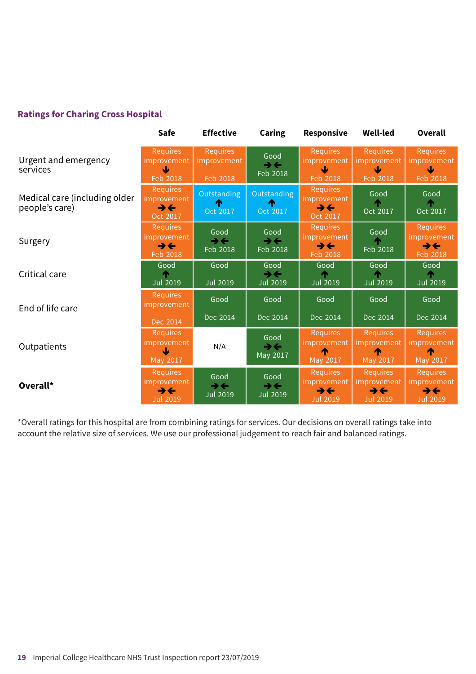#### **Ratings for Charing Cross Hospital**

|                                                 | <b>Safe</b>                                                            | <b>Effective</b>                         | <b>Caring</b>                                       | Responsive                                                                           | <b>Well-led</b>                                         | Overall                                                                              |
|-------------------------------------------------|------------------------------------------------------------------------|------------------------------------------|-----------------------------------------------------|--------------------------------------------------------------------------------------|---------------------------------------------------------|--------------------------------------------------------------------------------------|
| Urgent and emergency<br>services                | <b>Requires</b><br>improvement<br>Ψ<br>Feb 2018                        | Requires<br>improvement<br>Feb 2018      | Good<br>$\rightarrow$<br>Feb 2018                   | <b>Requires</b><br>improvement<br>Feb 2018                                           | <b>Requires</b><br>improvement<br>Feb 2018              | <b>Requires</b><br>improvement<br>₩<br>Feb 2018                                      |
| Medical care (including older<br>people's care) | <b>Requires</b><br>improvement<br>$\rightarrow \leftarrow$<br>Oct 2017 | Outstanding<br>æ<br>Oct 2017             | Outstanding<br>æ<br>Oct 2017                        | Requires<br><i>improvement</i><br>$\rightarrow \leftarrow$<br>Oct 2017               | Good<br>Oct 2017                                        | Good<br>Oct 2017                                                                     |
| Surgery                                         | <b>Requires</b><br>improvement<br>$\rightarrow \leftarrow$<br>Feb 2018 | Good<br>$\rightarrow$<br>Feb 2018        | Good<br>$\rightarrow \leftarrow$<br>Feb 2018        | <b>Requires</b><br><i>improvement</i><br>$\rightarrow \leftarrow$<br>Feb 2018        | Good<br>Feb 2018                                        | <b>Requires</b><br>improvement<br>$\rightarrow \leftarrow$<br>Feb 2018               |
| Critical care                                   | Good<br><b>Jul 2019</b>                                                | Good<br>Jul 2019                         | Good<br>$\rightarrow \leftarrow$<br><b>Jul 2019</b> | Good<br><b>Jul 2019</b>                                                              | Good<br><b>Jul 2019</b>                                 | Good<br><b>Jul 2019</b>                                                              |
| End of life care                                | <b>Requires</b><br>improvement                                         | Good<br>Dec 2014                         | Good<br>Dec 2014                                    | Good<br>Dec 2014                                                                     | Good<br>Dec 2014                                        | Good<br>Dec 2014                                                                     |
| Outpatients                                     | Dec 2014<br><b>Requires</b><br>improvement<br>Ψ<br>May 2017            | N/A                                      | Good<br>$\rightarrow \leftarrow$<br>May 2017        | <b>Requires</b><br>improvement<br>May 2017                                           | <b>Requires</b><br>improvement<br>⋒<br>May 2017         | <b>Requires</b><br>improvement<br>⋔<br>May 2017                                      |
| Overall*                                        | <b>Requires</b><br>improvement<br>→←<br><b>Jul 2019</b>                | Good<br>$\rightarrow$<br><b>Jul 2019</b> | Good<br>$\rightarrow$<br><b>Jul 2019</b>            | <b>Requires</b><br><i>improvement</i><br>$\rightarrow \leftarrow$<br><b>Jul 2019</b> | <b>Requires</b><br>improvement<br>→←<br><b>Jul 2019</b> | <b>Requires</b><br><i>improvement</i><br>$\rightarrow \leftarrow$<br><b>Jul 2019</b> |

\*Overall ratings for this hospital are from combining ratings for services. Our decisions on overall ratings take into account the relative size of services. We use our professional judgement to reach fair and balanced ratings.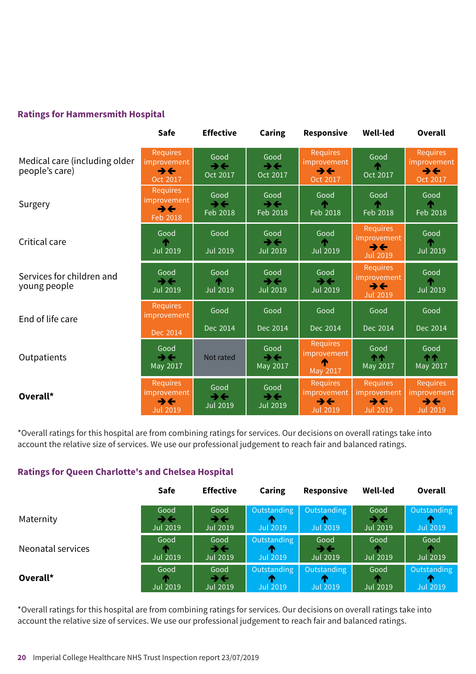#### **Ratings for Hammersmith Hospital**

|                                                 | Safe                                                                   | <b>Effective</b>                                      | <b>Caring</b>                            | Responsive                                                                    | <b>Well-led</b>                                                               | <b>Overall</b>                                                         |
|-------------------------------------------------|------------------------------------------------------------------------|-------------------------------------------------------|------------------------------------------|-------------------------------------------------------------------------------|-------------------------------------------------------------------------------|------------------------------------------------------------------------|
| Medical care (including older<br>people's care) | Requires<br>improvement<br>$\rightarrow \leftarrow$<br>Oct 2017        | Good<br>$\rightarrow$<br>Oct 2017                     | Good<br>$\rightarrow$<br>Oct 2017        | <b>Requires</b><br>improvement<br>$\rightarrow \leftarrow$<br>Oct 2017        | Good<br>Oct 2017                                                              | <b>Requires</b><br>improvement<br>$\rightarrow \leftarrow$<br>Oct 2017 |
| Surgery                                         | <b>Requires</b><br>improvement<br>$\rightarrow \leftarrow$<br>Feb 2018 | Good<br>$\rightarrow$<br>Feb 2018                     | Good<br>$\rightarrow$<br>Feb 2018        | Good<br>Feb 2018                                                              | Good<br>Feb 2018                                                              | Good<br>T.<br>Feb 2018                                                 |
| Critical care                                   | Good<br><b>Jul 2019</b>                                                | Good<br><b>Jul 2019</b>                               | Good<br>$\rightarrow$<br><b>Jul 2019</b> | Good<br><b>Jul 2019</b>                                                       | <b>Requires</b><br>improvement<br>$\rightarrow \leftarrow$<br><b>Jul 2019</b> | Good<br><b>Jul 2019</b>                                                |
| Services for children and<br>young people       | Good<br>$\rightarrow$<br><b>Jul 2019</b>                               | Good<br><b>Jul 2019</b>                               | Good<br>$\rightarrow$<br><b>Jul 2019</b> | Good<br>$\rightarrow$<br><b>Jul 2019</b>                                      | <b>Requires</b><br>improvement<br>$\rightarrow \leftarrow$<br><b>Jul 2019</b> | Good<br>T.<br><b>Jul 2019</b>                                          |
| End of life care                                | <b>Requires</b><br>improvement                                         | Good                                                  | Good                                     | Good                                                                          | Good                                                                          | Good                                                                   |
|                                                 | Dec 2014                                                               | Dec 2014                                              | Dec 2014                                 | Dec 2014                                                                      | Dec 2014                                                                      | Dec 2014                                                               |
| Outpatients                                     | Good<br>$\rightarrow \leftarrow$<br>May 2017                           | Not rated                                             | Good<br>$\rightarrow$<br>May 2017        | <b>Requires</b><br>improvement<br>May 2017                                    | Good<br><b>11</b><br>May 2017                                                 | Good<br>个个<br>May 2017                                                 |
| Overall*                                        | <b>Requires</b><br>improvement<br>→←<br><b>Jul 2019</b>                | Good<br>$\rightarrow$ $\leftarrow$<br><b>Jul 2019</b> | Good<br>$\rightarrow$<br><b>Jul 2019</b> | <b>Requires</b><br>improvement<br>$\rightarrow \leftarrow$<br><b>Jul 2019</b> | <b>Requires</b><br>improvement<br>$\rightarrow \leftarrow$<br><b>Jul 2019</b> | <b>Requires</b><br>improvement<br>$\rightarrow$<br><b>Jul 2019</b>     |

\*Overall ratings for this hospital are from combining ratings for services. Our decisions on overall ratings take into account the relative size of services. We use our professional judgement to reach fair and balanced ratings.

#### **Ratings for Queen Charlotte's and Chelsea Hospital**

|                   | <b>Safe</b>                                         | <b>Effective</b>                               | Caring                              | Responsive                    | <b>Well-led</b>               | Overall                             |
|-------------------|-----------------------------------------------------|------------------------------------------------|-------------------------------------|-------------------------------|-------------------------------|-------------------------------------|
| Maternity         | Good<br>$\rightarrow \leftarrow$<br><b>Jul 2019</b> | Good<br>$\rightarrow$ $\leftarrow$<br>Jul 2019 | Outstanding<br>m<br><b>Jul 2019</b> | Outstanding<br>Jul 2019       | Good<br>→←<br><b>Jul 2019</b> | Outstanding<br>m<br><b>Jul 2019</b> |
| Neonatal services | Good<br><b>Jul 2019</b>                             | Good<br>$\rightarrow \leftarrow$<br>Jul 2019   | Outstanding<br>m<br><b>Jul 2019</b> | Good<br>→←<br><b>Jul 2019</b> | Good<br>Jul 2019              | Good<br>Jul 2019                    |
| Overall*          | Good<br><b>Jul 2019</b>                             | Good<br>うそ<br>Jul 2019                         | Outstanding<br>m<br><b>Jul 2019</b> | Outstanding<br>m<br>Jul 2019  | Good<br>Jul 2019              | Outstanding<br><b>Jul 2019</b>      |

\*Overall ratings for this hospital are from combining ratings for services. Our decisions on overall ratings take into account the relative size of services. We use our professional judgement to reach fair and balanced ratings.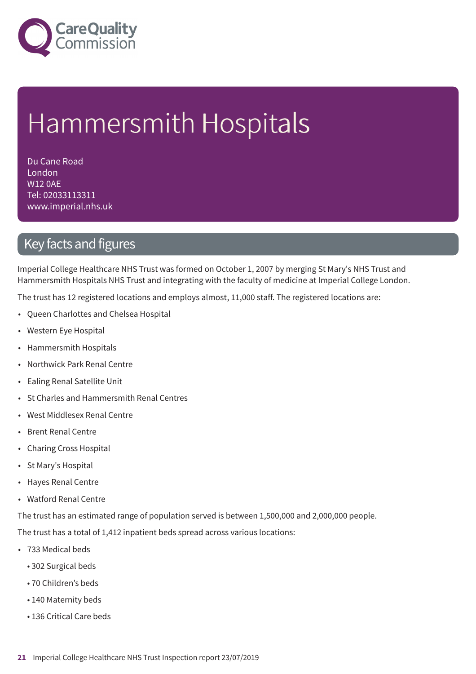

# Hammersmith Hospitals

Du Cane Road London W12 0AE Tel: 02033113311 www.imperial.nhs.uk

## Key facts and figures

Imperial College Healthcare NHS Trust was formed on October 1, 2007 by merging St Mary's NHS Trust and Hammersmith Hospitals NHS Trust and integrating with the faculty of medicine at Imperial College London.

The trust has 12 registered locations and employs almost, 11,000 staff. The registered locations are:

- Queen Charlottes and Chelsea Hospital
- Western Eye Hospital
- Hammersmith Hospitals
- Northwick Park Renal Centre
- Ealing Renal Satellite Unit
- St Charles and Hammersmith Renal Centres
- West Middlesex Renal Centre
- Brent Renal Centre
- Charing Cross Hospital
- St Mary's Hospital
- Hayes Renal Centre
- Watford Renal Centre

The trust has an estimated range of population served is between 1,500,000 and 2,000,000 people.

The trust has a total of 1,412 inpatient beds spread across various locations:

- 733 Medical beds
	- 302 Surgical beds
	- 70 Children's beds
	- 140 Maternity beds
	- 136 Critical Care beds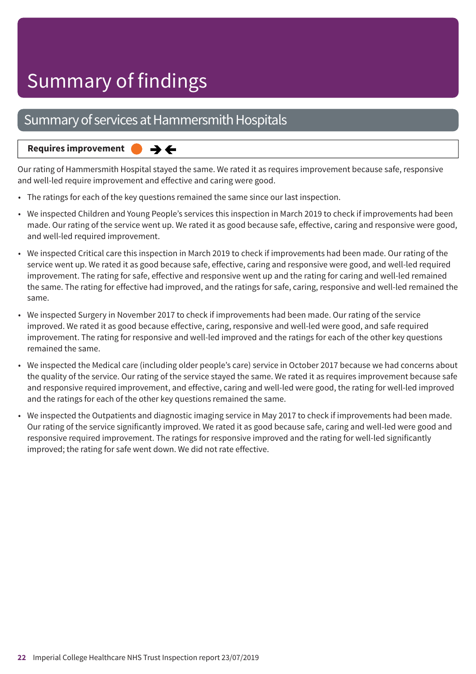## Summary of services at Hammersmith Hospitals

#### $\rightarrow$   $\leftarrow$ **Requires improvement**

Our rating of Hammersmith Hospital stayed the same. We rated it as requires improvement because safe, responsive and well-led require improvement and effective and caring were good.

- The ratings for each of the key questions remained the same since our last inspection.
- We inspected Children and Young People's services this inspection in March 2019 to check if improvements had been made. Our rating of the service went up. We rated it as good because safe, effective, caring and responsive were good, and well-led required improvement.
- We inspected Critical care this inspection in March 2019 to check if improvements had been made. Our rating of the service went up. We rated it as good because safe, effective, caring and responsive were good, and well-led required improvement. The rating for safe, effective and responsive went up and the rating for caring and well-led remained the same. The rating for effective had improved, and the ratings for safe, caring, responsive and well-led remained the same.
- We inspected Surgery in November 2017 to check if improvements had been made. Our rating of the service improved. We rated it as good because effective, caring, responsive and well-led were good, and safe required improvement. The rating for responsive and well-led improved and the ratings for each of the other key questions remained the same.
- We inspected the Medical care (including older people's care) service in October 2017 because we had concerns about the quality of the service. Our rating of the service stayed the same. We rated it as requires improvement because safe and responsive required improvement, and effective, caring and well-led were good, the rating for well-led improved and the ratings for each of the other key questions remained the same.
- We inspected the Outpatients and diagnostic imaging service in May 2017 to check if improvements had been made. Our rating of the service significantly improved. We rated it as good because safe, caring and well-led were good and responsive required improvement. The ratings for responsive improved and the rating for well-led significantly improved; the rating for safe went down. We did not rate effective.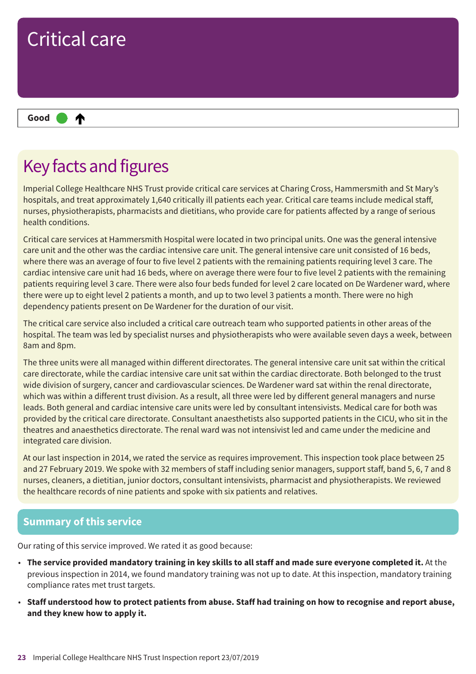

## Key facts and figures

Imperial College Healthcare NHS Trust provide critical care services at Charing Cross, Hammersmith and St Mary's hospitals, and treat approximately 1,640 critically ill patients each year. Critical care teams include medical staff, nurses, physiotherapists, pharmacists and dietitians, who provide care for patients affected by a range of serious health conditions.

Critical care services at Hammersmith Hospital were located in two principal units. One was the general intensive care unit and the other was the cardiac intensive care unit. The general intensive care unit consisted of 16 beds, where there was an average of four to five level 2 patients with the remaining patients requiring level 3 care. The cardiac intensive care unit had 16 beds, where on average there were four to five level 2 patients with the remaining patients requiring level 3 care. There were also four beds funded for level 2 care located on De Wardener ward, where there were up to eight level 2 patients a month, and up to two level 3 patients a month. There were no high dependency patients present on De Wardener for the duration of our visit.

The critical care service also included a critical care outreach team who supported patients in other areas of the hospital. The team was led by specialist nurses and physiotherapists who were available seven days a week, between 8am and 8pm.

The three units were all managed within different directorates. The general intensive care unit sat within the critical care directorate, while the cardiac intensive care unit sat within the cardiac directorate. Both belonged to the trust wide division of surgery, cancer and cardiovascular sciences. De Wardener ward sat within the renal directorate, which was within a different trust division. As a result, all three were led by different general managers and nurse leads. Both general and cardiac intensive care units were led by consultant intensivists. Medical care for both was provided by the critical care directorate. Consultant anaesthetists also supported patients in the CICU, who sit in the theatres and anaesthetics directorate. The renal ward was not intensivist led and came under the medicine and integrated care division.

At our last inspection in 2014, we rated the service as requires improvement. This inspection took place between 25 and 27 February 2019. We spoke with 32 members of staff including senior managers, support staff, band 5, 6, 7 and 8 nurses, cleaners, a dietitian, junior doctors, consultant intensivists, pharmacist and physiotherapists. We reviewed the healthcare records of nine patients and spoke with six patients and relatives.

#### **Summary of this service**

Our rating of this service improved. We rated it as good because:

- The service provided mandatory training in key skills to all staff and made sure everyone completed it. At the previous inspection in 2014, we found mandatory training was not up to date. At this inspection, mandatory training compliance rates met trust targets.
- . Staff understood how to protect patients from abuse. Staff had training on how to recognise and report abuse, **and they knew how to apply it.**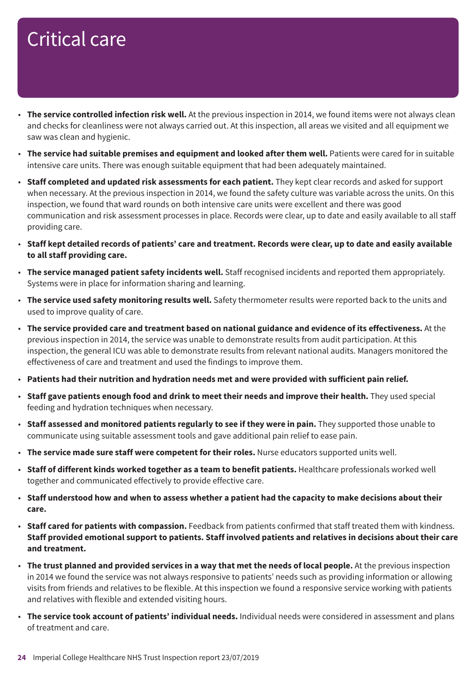- **The service controlled infection risk well.** At the previous inspection in 2014, we found items were not always clean and checks for cleanliness were not always carried out. At this inspection, all areas we visited and all equipment we saw was clean and hygienic.
- **The service had suitable premises and equipment and looked after them well.** Patients were cared for in suitable intensive care units. There was enough suitable equipment that had been adequately maintained.
- **Staff completed and updated risk assessments for each patient.** They kept clear records and asked for support when necessary. At the previous inspection in 2014, we found the safety culture was variable across the units. On this inspection, we found that ward rounds on both intensive care units were excellent and there was good communication and risk assessment processes in place. Records were clear, up to date and easily available to all staff providing care.
- Staff kept detailed records of patients' care and treatment. Records were clear, up to date and easily available **to all staff providing care.**
- **The service managed patient safety incidents well.** Staff recognised incidents and reported them appropriately. Systems were in place for information sharing and learning.
- **The service used safety monitoring results well.** Safety thermometer results were reported back to the units and used to improve quality of care.
- **The service provided care and treatment based on national guidance and evidence of its effectiveness.** At the previous inspection in 2014, the service was unable to demonstrate results from audit participation. At this inspection, the general ICU was able to demonstrate results from relevant national audits. Managers monitored the effectiveness of care and treatment and used the findings to improve them.
- **Patients had their nutrition and hydration needs met and were provided with sufficient pain relief.**
- **Staff gave patients enough food and drink to meet their needs and improve their health.** They used special feeding and hydration techniques when necessary.
- **Staff assessed and monitored patients regularly to see if they were in pain.** They supported those unable to communicate using suitable assessment tools and gave additional pain relief to ease pain.
- **The service made sure staff were competent for their roles.** Nurse educators supported units well.
- **Staff of different kinds worked together as a team to benefit patients.** Healthcare professionals worked well together and communicated effectively to provide effective care.
- Staff understood how and when to assess whether a patient had the capacity to make decisions about their **care.**
- **Staff cared for patients with compassion.** Feedback from patients confirmed that staff treated them with kindness. Staff provided emotional support to patients. Staff involved patients and relatives in decisions about their care **and treatment.**
- The trust planned and provided services in a way that met the needs of local people. At the previous inspection in 2014 we found the service was not always responsive to patients' needs such as providing information or allowing visits from friends and relatives to be flexible. At this inspection we found a responsive service working with patients and relatives with flexible and extended visiting hours.
- **The service took account of patients' individual needs.** Individual needs were considered in assessment and plans of treatment and care.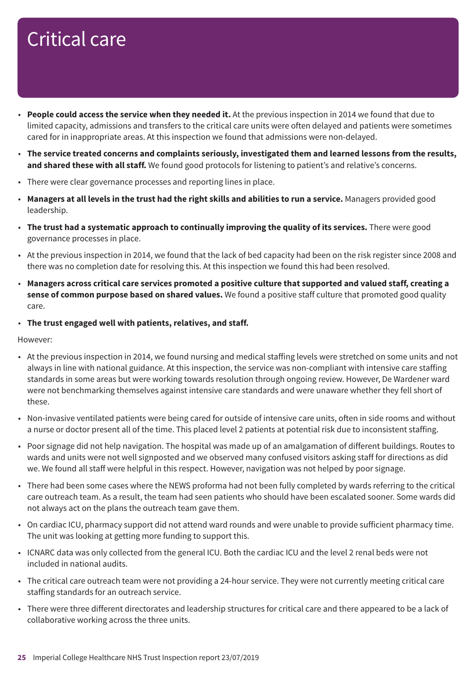- **People could access the service when they needed it.** At the previous inspection in 2014 we found that due to limited capacity, admissions and transfers to the critical care units were often delayed and patients were sometimes cared for in inappropriate areas. At this inspection we found that admissions were non-delayed.
- **The service treated concerns and complaints seriously, investigated them and learned lessons from the results, and shared these with all staff.** We found good protocols for listening to patient's and relative's concerns.
- There were clear governance processes and reporting lines in place.
- Managers at all levels in the trust had the right skills and abilities to run a service. Managers provided good leadership.
- **The trust had a systematic approach to continually improving the quality of its services.** There were good governance processes in place.
- At the previous inspection in 2014, we found that the lack of bed capacity had been on the risk register since 2008 and there was no completion date for resolving this. At this inspection we found this had been resolved.
- **Managers across critical care services promoted a positive culture that supported and valued staff, creating a sense of common purpose based on shared values.** We found a positive staff culture that promoted good quality care.
- **The trust engaged well with patients, relatives, and staff.**

However:

- At the previous inspection in 2014, we found nursing and medical staffing levels were stretched on some units and not always in line with national guidance. At this inspection, the service was non-compliant with intensive care staffing standards in some areas but were working towards resolution through ongoing review. However, De Wardener ward were not benchmarking themselves against intensive care standards and were unaware whether they fell short of these.
- Non-invasive ventilated patients were being cared for outside of intensive care units, often in side rooms and without a nurse or doctor present all of the time. This placed level 2 patients at potential risk due to inconsistent staffing.
- Poor signage did not help navigation. The hospital was made up of an amalgamation of different buildings. Routes to wards and units were not well signposted and we observed many confused visitors asking staff for directions as did we. We found all staff were helpful in this respect. However, navigation was not helped by poor signage.
- There had been some cases where the NEWS proforma had not been fully completed by wards referring to the critical care outreach team. As a result, the team had seen patients who should have been escalated sooner. Some wards did not always act on the plans the outreach team gave them.
- On cardiac ICU, pharmacy support did not attend ward rounds and were unable to provide sufficient pharmacy time. The unit was looking at getting more funding to support this.
- ICNARC data was only collected from the general ICU. Both the cardiac ICU and the level 2 renal beds were not included in national audits.
- The critical care outreach team were not providing a 24-hour service. They were not currently meeting critical care staffing standards for an outreach service.
- There were three different directorates and leadership structures for critical care and there appeared to be a lack of collaborative working across the three units.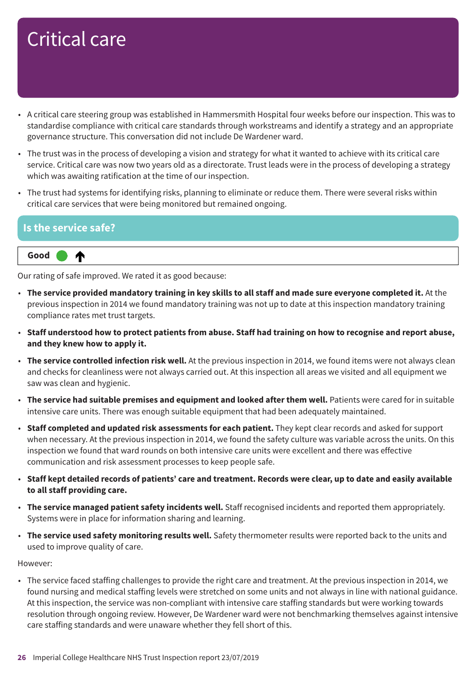- A critical care steering group was established in Hammersmith Hospital four weeks before our inspection. This was to standardise compliance with critical care standards through workstreams and identify a strategy and an appropriate governance structure. This conversation did not include De Wardener ward.
- The trust was in the process of developing a vision and strategy for what it wanted to achieve with its critical care service. Critical care was now two years old as a directorate. Trust leads were in the process of developing a strategy which was awaiting ratification at the time of our inspection.
- The trust had systems for identifying risks, planning to eliminate or reduce them. There were several risks within critical care services that were being monitored but remained ongoing.

#### **Is the service safe?**



Our rating of safe improved. We rated it as good because:

- The service provided mandatory training in key skills to all staff and made sure everyone completed it. At the previous inspection in 2014 we found mandatory training was not up to date at this inspection mandatory training compliance rates met trust targets.
- . Staff understood how to protect patients from abuse. Staff had training on how to recognise and report abuse, **and they knew how to apply it.**
- **The service controlled infection risk well.** At the previous inspection in 2014, we found items were not always clean and checks for cleanliness were not always carried out. At this inspection all areas we visited and all equipment we saw was clean and hygienic.
- **The service had suitable premises and equipment and looked after them well.** Patients were cared for in suitable intensive care units. There was enough suitable equipment that had been adequately maintained.
- **Staff completed and updated risk assessments for each patient.** They kept clear records and asked for support when necessary. At the previous inspection in 2014, we found the safety culture was variable across the units. On this inspection we found that ward rounds on both intensive care units were excellent and there was effective communication and risk assessment processes to keep people safe.
- Staff kept detailed records of patients' care and treatment. Records were clear, up to date and easily available **to all staff providing care.**
- **The service managed patient safety incidents well.** Staff recognised incidents and reported them appropriately. Systems were in place for information sharing and learning.
- **The service used safety monitoring results well.** Safety thermometer results were reported back to the units and used to improve quality of care.

However:

• The service faced staffing challenges to provide the right care and treatment. At the previous inspection in 2014, we found nursing and medical staffing levels were stretched on some units and not always in line with national guidance. At this inspection, the service was non-compliant with intensive care staffing standards but were working towards resolution through ongoing review. However, De Wardener ward were not benchmarking themselves against intensive care staffing standards and were unaware whether they fell short of this.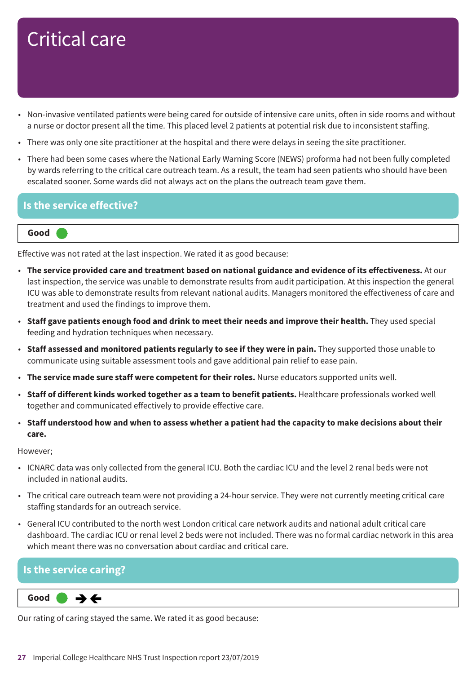- Non-invasive ventilated patients were being cared for outside of intensive care units, often in side rooms and without a nurse or doctor present all the time. This placed level 2 patients at potential risk due to inconsistent staffing.
- There was only one site practitioner at the hospital and there were delays in seeing the site practitioner.
- There had been some cases where the National Early Warning Score (NEWS) proforma had not been fully completed by wards referring to the critical care outreach team. As a result, the team had seen patients who should have been escalated sooner. Some wards did not always act on the plans the outreach team gave them.

#### **Is the service effective?**

#### **Good –––**

Effective was not rated at the last inspection. We rated it as good because:

- **The service provided care and treatment based on national guidance and evidence of its effectiveness.** At our last inspection, the service was unable to demonstrate results from audit participation. At this inspection the general ICU was able to demonstrate results from relevant national audits. Managers monitored the effectiveness of care and treatment and used the findings to improve them.
- **Staff gave patients enough food and drink to meet their needs and improve their health.** They used special feeding and hydration techniques when necessary.
- **Staff assessed and monitored patients regularly to see if they were in pain.** They supported those unable to communicate using suitable assessment tools and gave additional pain relief to ease pain.
- **The service made sure staff were competent for their roles.** Nurse educators supported units well.
- **Staff of different kinds worked together as a team to benefit patients.** Healthcare professionals worked well together and communicated effectively to provide effective care.
- Staff understood how and when to assess whether a patient had the capacity to make decisions about their **care.**

However;

- ICNARC data was only collected from the general ICU. Both the cardiac ICU and the level 2 renal beds were not included in national audits.
- The critical care outreach team were not providing a 24-hour service. They were not currently meeting critical care staffing standards for an outreach service.
- General ICU contributed to the north west London critical care network audits and national adult critical care dashboard. The cardiac ICU or renal level 2 beds were not included. There was no formal cardiac network in this area which meant there was no conversation about cardiac and critical care.

#### **Is the service caring?**

#### $\rightarrow$   $\leftarrow$ **Same–––rating Good –––**

Our rating of caring stayed the same. We rated it as good because: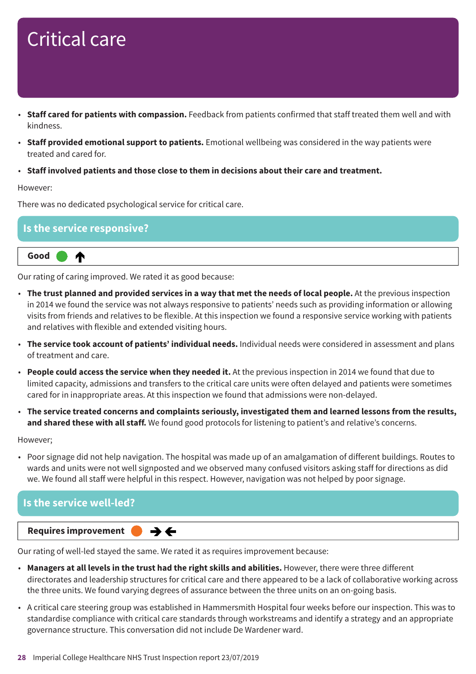- **Staff cared for patients with compassion.** Feedback from patients confirmed that staff treated them well and with kindness.
- **Staff provided emotional support to patients.** Emotional wellbeing was considered in the way patients were treated and cared for.
- **Staff involved patients and those close to them in decisions about their care and treatment.**

#### However:

There was no dedicated psychological service for critical care.

#### **Is the service responsive?**

**Up one rating Good –––** ↑

Our rating of caring improved. We rated it as good because:

- The trust planned and provided services in a way that met the needs of local people. At the previous inspection in 2014 we found the service was not always responsive to patients' needs such as providing information or allowing visits from friends and relatives to be flexible. At this inspection we found a responsive service working with patients and relatives with flexible and extended visiting hours.
- **The service took account of patients' individual needs.** Individual needs were considered in assessment and plans of treatment and care.
- **People could access the service when they needed it.** At the previous inspection in 2014 we found that due to limited capacity, admissions and transfers to the critical care units were often delayed and patients were sometimes cared for in inappropriate areas. At this inspection we found that admissions were non-delayed.
- **The service treated concerns and complaints seriously, investigated them and learned lessons from the results, and shared these with all staff.** We found good protocols for listening to patient's and relative's concerns.

However;

• Poor signage did not help navigation. The hospital was made up of an amalgamation of different buildings. Routes to wards and units were not well signposted and we observed many confused visitors asking staff for directions as did we. We found all staff were helpful in this respect. However, navigation was not helped by poor signage.



Our rating of well-led stayed the same. We rated it as requires improvement because:

- **Managers at all levels in the trust had the right skills and abilities.** However, there were three different directorates and leadership structures for critical care and there appeared to be a lack of collaborative working across the three units. We found varying degrees of assurance between the three units on an on-going basis.
- A critical care steering group was established in Hammersmith Hospital four weeks before our inspection. This was to standardise compliance with critical care standards through workstreams and identify a strategy and an appropriate governance structure. This conversation did not include De Wardener ward.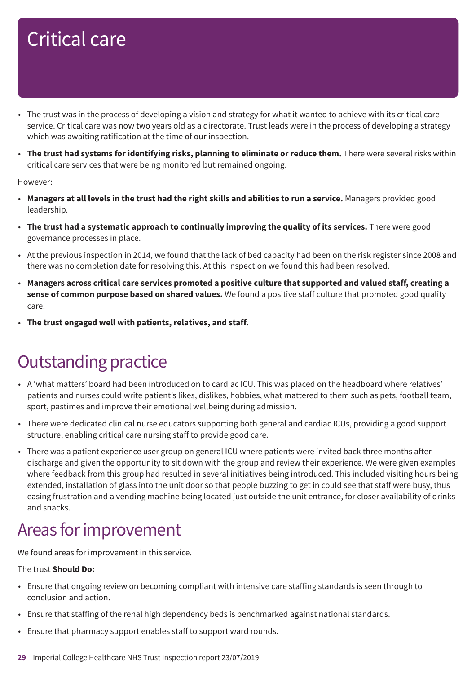- The trust was in the process of developing a vision and strategy for what it wanted to achieve with its critical care service. Critical care was now two years old as a directorate. Trust leads were in the process of developing a strategy which was awaiting ratification at the time of our inspection.
- **The trust had systems for identifying risks, planning to eliminate or reduce them.** There were several risks within critical care services that were being monitored but remained ongoing.

#### However:

- Managers at all levels in the trust had the right skills and abilities to run a service. Managers provided good leadership.
- **The trust had a systematic approach to continually improving the quality of its services.** There were good governance processes in place.
- At the previous inspection in 2014, we found that the lack of bed capacity had been on the risk register since 2008 and there was no completion date for resolving this. At this inspection we found this had been resolved.
- **Managers across critical care services promoted a positive culture that supported and valued staff, creating a sense of common purpose based on shared values.** We found a positive staff culture that promoted good quality care.
- **The trust engaged well with patients, relatives, and staff.**

## **Outstanding practice**

- A 'what matters' board had been introduced on to cardiac ICU. This was placed on the headboard where relatives' patients and nurses could write patient's likes, dislikes, hobbies, what mattered to them such as pets, football team, sport, pastimes and improve their emotional wellbeing during admission.
- There were dedicated clinical nurse educators supporting both general and cardiac ICUs, providing a good support structure, enabling critical care nursing staff to provide good care.
- There was a patient experience user group on general ICU where patients were invited back three months after discharge and given the opportunity to sit down with the group and review their experience. We were given examples where feedback from this group had resulted in several initiatives being introduced. This included visiting hours being extended, installation of glass into the unit door so that people buzzing to get in could see that staff were busy, thus easing frustration and a vending machine being located just outside the unit entrance, for closer availability of drinks and snacks.

## Areas for improvement

We found areas for improvement in this service.

#### The trust **Should Do:**

- Ensure that ongoing review on becoming compliant with intensive care staffing standards is seen through to conclusion and action.
- Ensure that staffing of the renal high dependency beds is benchmarked against national standards.
- Ensure that pharmacy support enables staff to support ward rounds.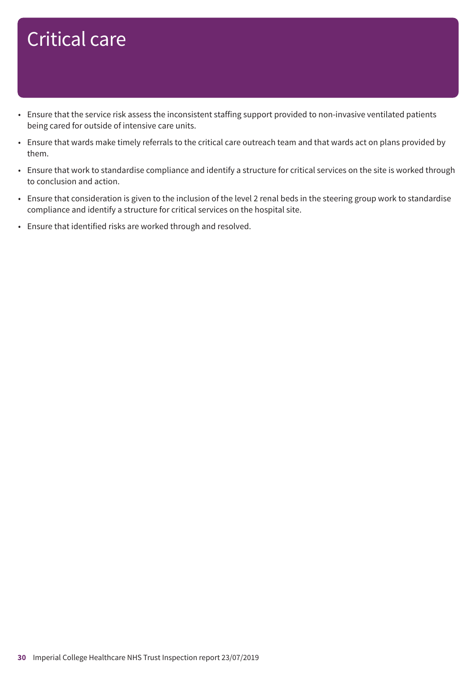- Ensure that the service risk assess the inconsistent staffing support provided to non-invasive ventilated patients being cared for outside of intensive care units.
- Ensure that wards make timely referrals to the critical care outreach team and that wards act on plans provided by them.
- Ensure that work to standardise compliance and identify a structure for critical services on the site is worked through to conclusion and action.
- Ensure that consideration is given to the inclusion of the level 2 renal beds in the steering group work to standardise compliance and identify a structure for critical services on the hospital site.
- Ensure that identified risks are worked through and resolved.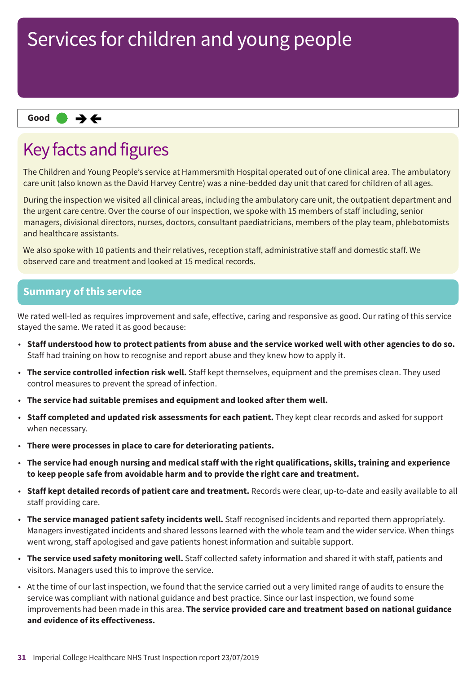#### **Same–––rating Good –––**

## Key facts and figures

The Children and Young People's service at Hammersmith Hospital operated out of one clinical area. The ambulatory care unit (also known as the David Harvey Centre) was a nine-bedded day unit that cared for children of all ages.

During the inspection we visited all clinical areas, including the ambulatory care unit, the outpatient department and the urgent care centre. Over the course of our inspection, we spoke with 15 members of staff including, senior managers, divisional directors, nurses, doctors, consultant paediatricians, members of the play team, phlebotomists and healthcare assistants.

We also spoke with 10 patients and their relatives, reception staff, administrative staff and domestic staff. We observed care and treatment and looked at 15 medical records.

#### **Summary of this service**

We rated well-led as requires improvement and safe, effective, caring and responsive as good. Our rating of this service stayed the same. We rated it as good because:

- · Staff understood how to protect patients from abuse and the service worked well with other agencies to do so. Staff had training on how to recognise and report abuse and they knew how to apply it.
- **The service controlled infection risk well.** Staff kept themselves, equipment and the premises clean. They used control measures to prevent the spread of infection.
- **The service had suitable premises and equipment and looked after them well.**
- **Staff completed and updated risk assessments for each patient.** They kept clear records and asked for support when necessary.
- **There were processes in place to care for deteriorating patients.**
- The service had enough nursing and medical staff with the right qualifications, skills, training and experience **to keep people safe from avoidable harm and to provide the right care and treatment.**
- **Staff kept detailed records of patient care and treatment.** Records were clear, up-to-date and easily available to all staff providing care.
- **The service managed patient safety incidents well.** Staff recognised incidents and reported them appropriately. Managers investigated incidents and shared lessons learned with the whole team and the wider service. When things went wrong, staff apologised and gave patients honest information and suitable support.
- **The service used safety monitoring well.** Staff collected safety information and shared it with staff, patients and visitors. Managers used this to improve the service.
- At the time of our last inspection, we found that the service carried out a very limited range of audits to ensure the service was compliant with national guidance and best practice. Since our last inspection, we found some improvements had been made in this area. **The service provided care and treatment based on national guidance and evidence of its effectiveness.**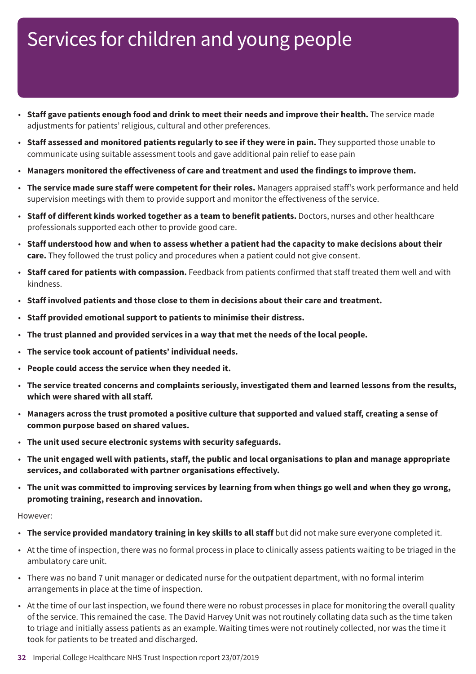- **Staff gave patients enough food and drink to meet their needs and improve their health.** The service made adjustments for patients' religious, cultural and other preferences.
- **Staff assessed and monitored patients regularly to see if they were in pain.** They supported those unable to communicate using suitable assessment tools and gave additional pain relief to ease pain
- **Managers monitored the effectiveness of care and treatment and used the findings to improve them.**
- **The service made sure staff were competent for their roles.** Managers appraised staff's work performance and held supervision meetings with them to provide support and monitor the effectiveness of the service.
- **Staff of different kinds worked together as a team to benefit patients.** Doctors, nurses and other healthcare professionals supported each other to provide good care.
- Staff understood how and when to assess whether a patient had the capacity to make decisions about their **care.** They followed the trust policy and procedures when a patient could not give consent.
- **Staff cared for patients with compassion.** Feedback from patients confirmed that staff treated them well and with kindness.
- **Staff involved patients and those close to them in decisions about their care and treatment.**
- **Staff provided emotional support to patients to minimise their distress.**
- **The trust planned and provided services in a way that met the needs of the local people.**
- **The service took account of patients' individual needs.**
- **People could access the service when they needed it.**
- **The service treated concerns and complaints seriously, investigated them and learned lessons from the results, which were shared with all staff.**
- Managers across the trust promoted a positive culture that supported and valued staff, creating a sense of **common purpose based on shared values.**
- **The unit used secure electronic systems with security safeguards.**
- The unit engaged well with patients, staff, the public and local organisations to plan and manage appropriate **services, and collaborated with partner organisations effectively.**
- The unit was committed to improving services by learning from when things go well and when they go wrong, **promoting training, research and innovation.**

#### However:

- **The service provided mandatory training in key skills to all staff** but did not make sure everyone completed it.
- At the time of inspection, there was no formal process in place to clinically assess patients waiting to be triaged in the ambulatory care unit.
- There was no band 7 unit manager or dedicated nurse for the outpatient department, with no formal interim arrangements in place at the time of inspection.
- At the time of our last inspection, we found there were no robust processes in place for monitoring the overall quality of the service. This remained the case. The David Harvey Unit was not routinely collating data such as the time taken to triage and initially assess patients as an example. Waiting times were not routinely collected, nor was the time it took for patients to be treated and discharged.
- **32** Imperial College Healthcare NHS Trust Inspection report 23/07/2019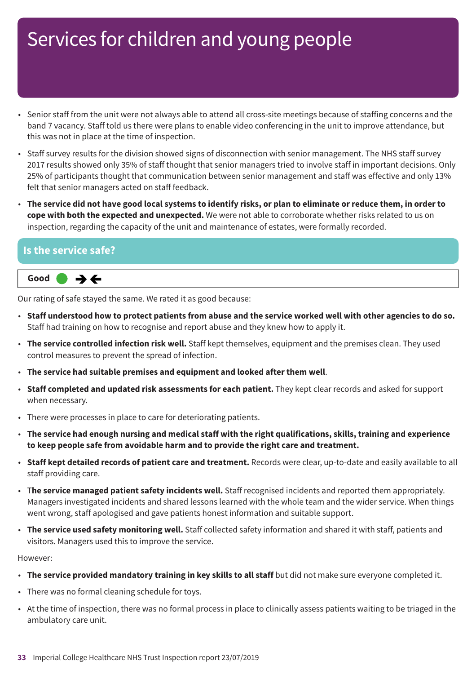- Senior staff from the unit were not always able to attend all cross-site meetings because of staffing concerns and the band 7 vacancy. Staff told us there were plans to enable video conferencing in the unit to improve attendance, but this was not in place at the time of inspection.
- Staff survey results for the division showed signs of disconnection with senior management. The NHS staff survey 2017 results showed only 35% of staff thought that senior managers tried to involve staff in important decisions. Only 25% of participants thought that communication between senior management and staff was effective and only 13% felt that senior managers acted on staff feedback.
- The service did not have good local systems to identify risks, or plan to eliminate or reduce them, in order to **cope with both the expected and unexpected.** We were not able to corroborate whether risks related to us on inspection, regarding the capacity of the unit and maintenance of estates, were formally recorded.

#### **Is the service safe?**



Our rating of safe stayed the same. We rated it as good because:

- . Staff understood how to protect patients from abuse and the service worked well with other agencies to do so. Staff had training on how to recognise and report abuse and they knew how to apply it.
- **The service controlled infection risk well.** Staff kept themselves, equipment and the premises clean. They used control measures to prevent the spread of infection.
- **The service had suitable premises and equipment and looked after them well**.
- **Staff completed and updated risk assessments for each patient.** They kept clear records and asked for support when necessary.
- There were processes in place to care for deteriorating patients.
- The service had enough nursing and medical staff with the right qualifications, skills, training and experience **to keep people safe from avoidable harm and to provide the right care and treatment.**
- **Staff kept detailed records of patient care and treatment.** Records were clear, up-to-date and easily available to all staff providing care.
- T**he service managed patient safety incidents well.** Staff recognised incidents and reported them appropriately. Managers investigated incidents and shared lessons learned with the whole team and the wider service. When things went wrong, staff apologised and gave patients honest information and suitable support.
- **The service used safety monitoring well.** Staff collected safety information and shared it with staff, patients and visitors. Managers used this to improve the service.

However:

- **The service provided mandatory training in key skills to all staff** but did not make sure everyone completed it.
- There was no formal cleaning schedule for toys.
- At the time of inspection, there was no formal process in place to clinically assess patients waiting to be triaged in the ambulatory care unit.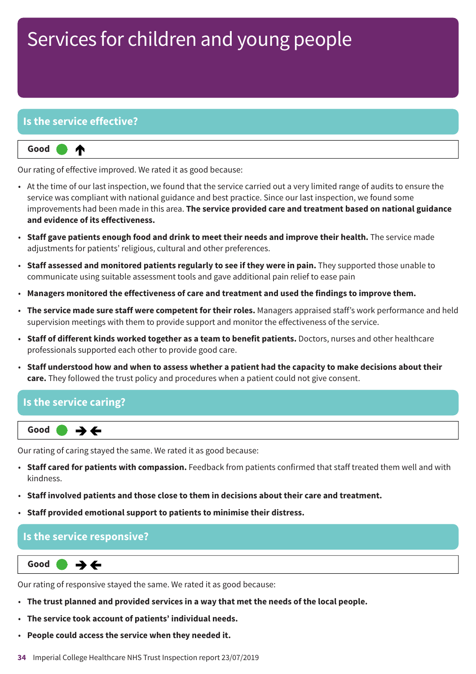#### **Is the service effective?**



Our rating of effective improved. We rated it as good because:

- At the time of our last inspection, we found that the service carried out a very limited range of audits to ensure the service was compliant with national guidance and best practice. Since our last inspection, we found some improvements had been made in this area. **The service provided care and treatment based on national guidance and evidence of its effectiveness.**
- **Staff gave patients enough food and drink to meet their needs and improve their health.** The service made adjustments for patients' religious, cultural and other preferences.
- **Staff assessed and monitored patients regularly to see if they were in pain.** They supported those unable to communicate using suitable assessment tools and gave additional pain relief to ease pain
- **Managers monitored the effectiveness of care and treatment and used the findings to improve them.**
- **The service made sure staff were competent for their roles.** Managers appraised staff's work performance and held supervision meetings with them to provide support and monitor the effectiveness of the service.
- **Staff of different kinds worked together as a team to benefit patients.** Doctors, nurses and other healthcare professionals supported each other to provide good care.
- Staff understood how and when to assess whether a patient had the capacity to make decisions about their **care.** They followed the trust policy and procedures when a patient could not give consent.

#### **Is the service caring?**



Our rating of caring stayed the same. We rated it as good because:

- **Staff cared for patients with compassion.** Feedback from patients confirmed that staff treated them well and with kindness.
- **Staff involved patients and those close to them in decisions about their care and treatment.**
- **Staff provided emotional support to patients to minimise their distress.**

#### **Is the service responsive?**

**Same–––rating Good –––**  $\rightarrow$   $\leftarrow$ 

Our rating of responsive stayed the same. We rated it as good because:

- **The trust planned and provided services in a way that met the needs of the local people.**
- **The service took account of patients' individual needs.**
- **People could access the service when they needed it.**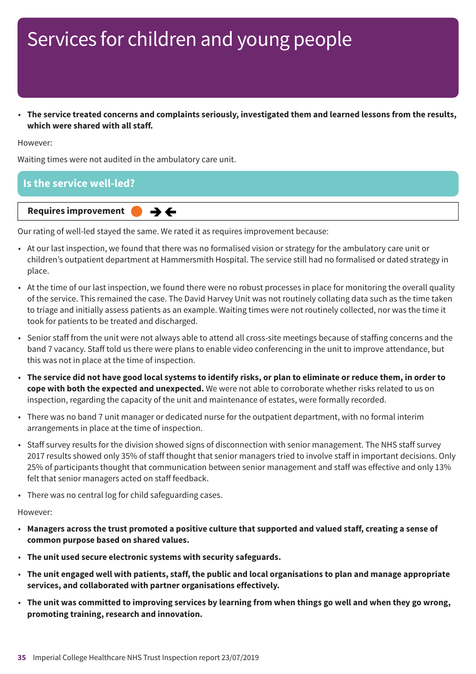• **The service treated concerns and complaints seriously, investigated them and learned lessons from the results, which were shared with all staff.**

However:

Waiting times were not audited in the ambulatory care unit.



Our rating of well-led stayed the same. We rated it as requires improvement because:

- At our last inspection, we found that there was no formalised vision or strategy for the ambulatory care unit or children's outpatient department at Hammersmith Hospital. The service still had no formalised or dated strategy in place.
- At the time of our last inspection, we found there were no robust processes in place for monitoring the overall quality of the service. This remained the case. The David Harvey Unit was not routinely collating data such as the time taken to triage and initially assess patients as an example. Waiting times were not routinely collected, nor was the time it took for patients to be treated and discharged.
- Senior staff from the unit were not always able to attend all cross-site meetings because of staffing concerns and the band 7 vacancy. Staff told us there were plans to enable video conferencing in the unit to improve attendance, but this was not in place at the time of inspection.
- The service did not have good local systems to identify risks, or plan to eliminate or reduce them, in order to **cope with both the expected and unexpected.** We were not able to corroborate whether risks related to us on inspection, regarding the capacity of the unit and maintenance of estates, were formally recorded.
- There was no band 7 unit manager or dedicated nurse for the outpatient department, with no formal interim arrangements in place at the time of inspection.
- Staff survey results for the division showed signs of disconnection with senior management. The NHS staff survey 2017 results showed only 35% of staff thought that senior managers tried to involve staff in important decisions. Only 25% of participants thought that communication between senior management and staff was effective and only 13% felt that senior managers acted on staff feedback.
- There was no central log for child safeguarding cases.

However:

- Managers across the trust promoted a positive culture that supported and valued staff, creating a sense of **common purpose based on shared values.**
- **The unit used secure electronic systems with security safeguards.**
- The unit engaged well with patients, staff, the public and local organisations to plan and manage appropriate **services, and collaborated with partner organisations effectively.**
- . The unit was committed to improving services by learning from when things go well and when they go wrong, **promoting training, research and innovation.**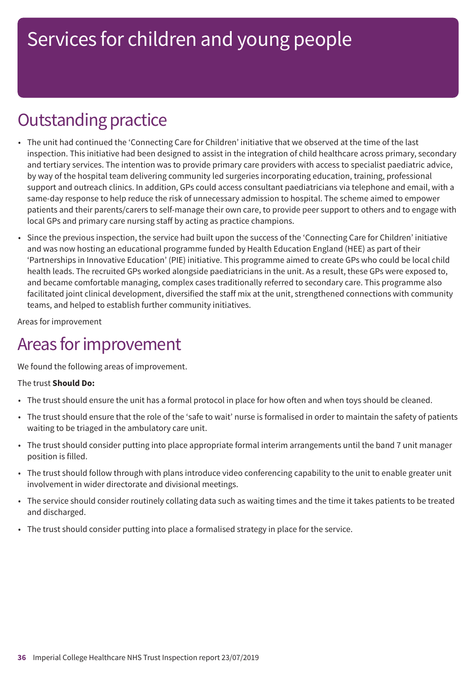## **Outstanding practice**

- The unit had continued the 'Connecting Care for Children' initiative that we observed at the time of the last inspection. This initiative had been designed to assist in the integration of child healthcare across primary, secondary and tertiary services. The intention was to provide primary care providers with access to specialist paediatric advice, by way of the hospital team delivering community led surgeries incorporating education, training, professional support and outreach clinics. In addition, GPs could access consultant paediatricians via telephone and email, with a same-day response to help reduce the risk of unnecessary admission to hospital. The scheme aimed to empower patients and their parents/carers to self-manage their own care, to provide peer support to others and to engage with local GPs and primary care nursing staff by acting as practice champions.
- Since the previous inspection, the service had built upon the success of the 'Connecting Care for Children' initiative and was now hosting an educational programme funded by Health Education England (HEE) as part of their 'Partnerships in Innovative Education' (PIE) initiative. This programme aimed to create GPs who could be local child health leads. The recruited GPs worked alongside paediatricians in the unit. As a result, these GPs were exposed to, and became comfortable managing, complex cases traditionally referred to secondary care. This programme also facilitated joint clinical development, diversified the staff mix at the unit, strengthened connections with community teams, and helped to establish further community initiatives.

Areas for improvement

## Areas for improvement

We found the following areas of improvement.

#### The trust **Should Do:**

- The trust should ensure the unit has a formal protocol in place for how often and when toys should be cleaned.
- The trust should ensure that the role of the 'safe to wait' nurse is formalised in order to maintain the safety of patients waiting to be triaged in the ambulatory care unit.
- The trust should consider putting into place appropriate formal interim arrangements until the band 7 unit manager position is filled.
- The trust should follow through with plans introduce video conferencing capability to the unit to enable greater unit involvement in wider directorate and divisional meetings.
- The service should consider routinely collating data such as waiting times and the time it takes patients to be treated and discharged.
- The trust should consider putting into place a formalised strategy in place for the service.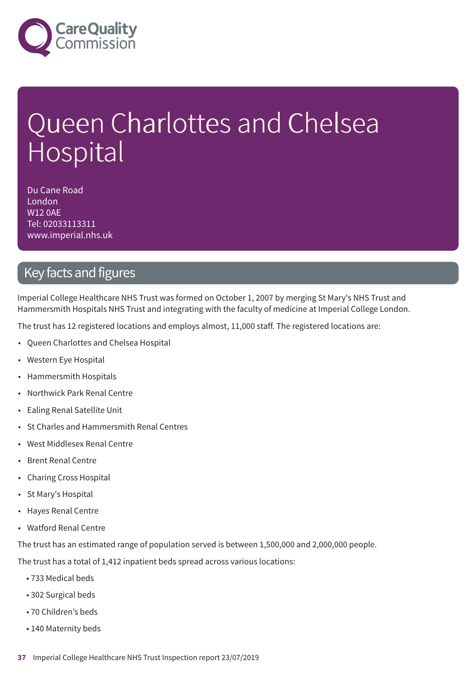

# Queen Charlottes and Chelsea Hospital

Du Cane Road London W12 0AE Tel: 02033113311 www.imperial.nhs.uk

#### Key facts and figures

Imperial College Healthcare NHS Trust was formed on October 1, 2007 by merging St Mary's NHS Trust and Hammersmith Hospitals NHS Trust and integrating with the faculty of medicine at Imperial College London.

The trust has 12 registered locations and employs almost, 11,000 staff. The registered locations are:

- Queen Charlottes and Chelsea Hospital
- Western Eye Hospital
- Hammersmith Hospitals
- Northwick Park Renal Centre
- Ealing Renal Satellite Unit
- St Charles and Hammersmith Renal Centres
- West Middlesex Renal Centre
- Brent Renal Centre
- Charing Cross Hospital
- St Mary's Hospital
- Hayes Renal Centre
- Watford Renal Centre

The trust has an estimated range of population served is between 1,500,000 and 2,000,000 people.

The trust has a total of 1,412 inpatient beds spread across various locations:

- 733 Medical beds
- 302 Surgical beds
- 70 Children's beds
- 140 Maternity beds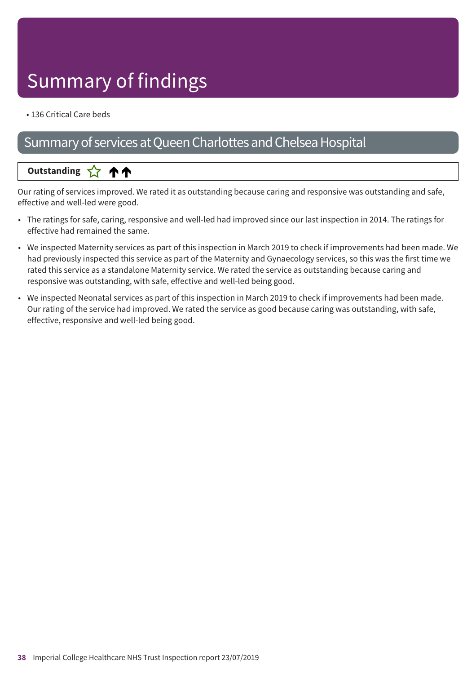# Summary of findings

• 136 Critical Care beds

### Summary of services at Queen Charlottes and Chelsea Hospital

#### **Up––– two ratings Outstanding**

Our rating of services improved. We rated it as outstanding because caring and responsive was outstanding and safe, effective and well-led were good.

- The ratings for safe, caring, responsive and well-led had improved since our last inspection in 2014. The ratings for effective had remained the same.
- We inspected Maternity services as part of this inspection in March 2019 to check if improvements had been made. We had previously inspected this service as part of the Maternity and Gynaecology services, so this was the first time we rated this service as a standalone Maternity service. We rated the service as outstanding because caring and responsive was outstanding, with safe, effective and well-led being good.
- We inspected Neonatal services as part of this inspection in March 2019 to check if improvements had been made. Our rating of the service had improved. We rated the service as good because caring was outstanding, with safe, effective, responsive and well-led being good.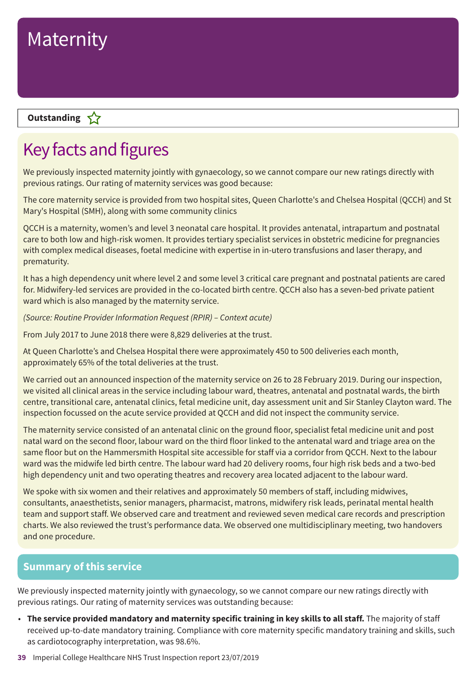

#### **Outstanding**

### Key facts and figures

We previously inspected maternity jointly with gynaecology, so we cannot compare our new ratings directly with previous ratings. Our rating of maternity services was good because:

The core maternity service is provided from two hospital sites, Queen Charlotte's and Chelsea Hospital (QCCH) and St Mary's Hospital (SMH), along with some community clinics

QCCH is a maternity, women's and level 3 neonatal care hospital. It provides antenatal, intrapartum and postnatal care to both low and high-risk women. It provides tertiary specialist services in obstetric medicine for pregnancies with complex medical diseases, foetal medicine with expertise in in-utero transfusions and laser therapy, and prematurity.

It has a high dependency unit where level 2 and some level 3 critical care pregnant and postnatal patients are cared for. Midwifery-led services are provided in the co-located birth centre. QCCH also has a seven-bed private patient ward which is also managed by the maternity service.

*(Source: Routine Provider Information Request (RPIR) – Context acute)*

From July 2017 to June 2018 there were 8,829 deliveries at the trust.

At Queen Charlotte's and Chelsea Hospital there were approximately 450 to 500 deliveries each month, approximately 65% of the total deliveries at the trust.

We carried out an announced inspection of the maternity service on 26 to 28 February 2019. During our inspection, we visited all clinical areas in the service including labour ward, theatres, antenatal and postnatal wards, the birth centre, transitional care, antenatal clinics, fetal medicine unit, day assessment unit and Sir Stanley Clayton ward. The inspection focussed on the acute service provided at QCCH and did not inspect the community service.

The maternity service consisted of an antenatal clinic on the ground floor, specialist fetal medicine unit and post natal ward on the second floor, labour ward on the third floor linked to the antenatal ward and triage area on the same floor but on the Hammersmith Hospital site accessible for staff via a corridor from QCCH. Next to the labour ward was the midwife led birth centre. The labour ward had 20 delivery rooms, four high risk beds and a two-bed high dependency unit and two operating theatres and recovery area located adjacent to the labour ward.

We spoke with six women and their relatives and approximately 50 members of staff, including midwives, consultants, anaesthetists, senior managers, pharmacist, matrons, midwifery risk leads, perinatal mental health team and support staff. We observed care and treatment and reviewed seven medical care records and prescription charts. We also reviewed the trust's performance data. We observed one multidisciplinary meeting, two handovers and one procedure.

#### **Summary of this service**

We previously inspected maternity jointly with gynaecology, so we cannot compare our new ratings directly with previous ratings. Our rating of maternity services was outstanding because:

- **The service provided mandatory and maternity specific training in key skills to all staff.** The majority of staff received up-to-date mandatory training. Compliance with core maternity specific mandatory training and skills, such as cardiotocography interpretation, was 98.6%.
- **39** Imperial College Healthcare NHS Trust Inspection report 23/07/2019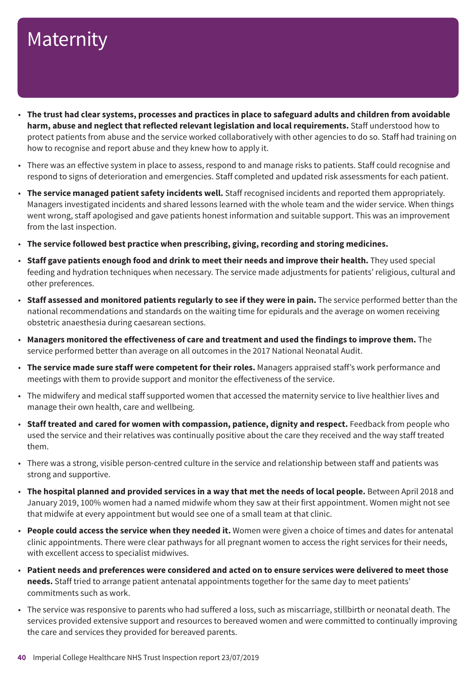- The trust had clear systems, processes and practices in place to safeguard adults and children from avoidable **harm, abuse and neglect that reflected relevant legislation and local requirements.** Staff understood how to protect patients from abuse and the service worked collaboratively with other agencies to do so. Staff had training on how to recognise and report abuse and they knew how to apply it.
- There was an effective system in place to assess, respond to and manage risks to patients. Staff could recognise and respond to signs of deterioration and emergencies. Staff completed and updated risk assessments for each patient.
- **The service managed patient safety incidents well.** Staff recognised incidents and reported them appropriately. Managers investigated incidents and shared lessons learned with the whole team and the wider service. When things went wrong, staff apologised and gave patients honest information and suitable support. This was an improvement from the last inspection.
- **The service followed best practice when prescribing, giving, recording and storing medicines.**
- **Staff gave patients enough food and drink to meet their needs and improve their health.** They used special feeding and hydration techniques when necessary. The service made adjustments for patients' religious, cultural and other preferences.
- **Staff assessed and monitored patients regularly to see if they were in pain.** The service performed better than the national recommendations and standards on the waiting time for epidurals and the average on women receiving obstetric anaesthesia during caesarean sections.
- **Managers monitored the effectiveness of care and treatment and used the findings to improve them.** The service performed better than average on all outcomes in the 2017 National Neonatal Audit.
- **The service made sure staff were competent for their roles.** Managers appraised staff's work performance and meetings with them to provide support and monitor the effectiveness of the service.
- The midwifery and medical staff supported women that accessed the maternity service to live healthier lives and manage their own health, care and wellbeing.
- **Staff treated and cared for women with compassion, patience, dignity and respect.** Feedback from people who used the service and their relatives was continually positive about the care they received and the way staff treated them.
- There was a strong, visible person-centred culture in the service and relationship between staff and patients was strong and supportive.
- **The hospital planned and provided services in a way that met the needs of local people.** Between April 2018 and January 2019, 100% women had a named midwife whom they saw at their first appointment. Women might not see that midwife at every appointment but would see one of a small team at that clinic.
- **People could access the service when they needed it.** Women were given a choice of times and dates for antenatal clinic appointments. There were clear pathways for all pregnant women to access the right services for their needs, with excellent access to specialist midwives.
- Patient needs and preferences were considered and acted on to ensure services were delivered to meet those **needs.** Staff tried to arrange patient antenatal appointments together for the same day to meet patients' commitments such as work.
- The service was responsive to parents who had suffered a loss, such as miscarriage, stillbirth or neonatal death. The services provided extensive support and resources to bereaved women and were committed to continually improving the care and services they provided for bereaved parents.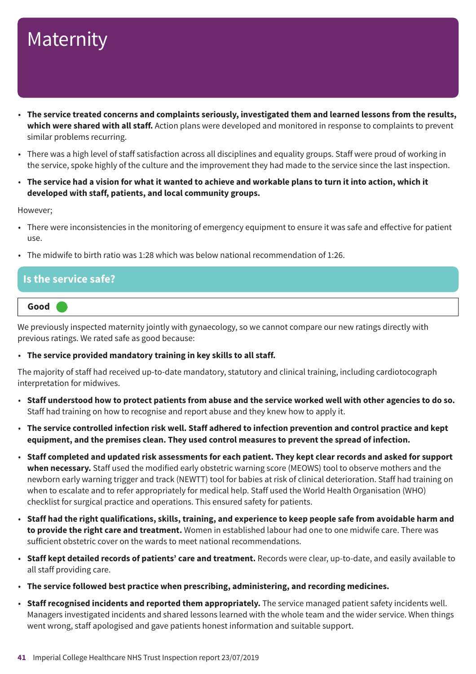- **The service treated concerns and complaints seriously, investigated them and learned lessons from the results, which were shared with all staff.** Action plans were developed and monitored in response to complaints to prevent similar problems recurring.
- There was a high level of staff satisfaction across all disciplines and equality groups. Staff were proud of working in the service, spoke highly of the culture and the improvement they had made to the service since the last inspection.
- The service had a vision for what it wanted to achieve and workable plans to turn it into action, which it **developed with staff, patients, and local community groups.**

However;

- There were inconsistencies in the monitoring of emergency equipment to ensure it was safe and effective for patient use.
- The midwife to birth ratio was 1:28 which was below national recommendation of 1:26.

#### **Is the service safe?**



We previously inspected maternity jointly with gynaecology, so we cannot compare our new ratings directly with previous ratings. We rated safe as good because:

#### • **The service provided mandatory training in key skills to all staff.**

The majority of staff had received up-to-date mandatory, statutory and clinical training, including cardiotocograph interpretation for midwives.

- . Staff understood how to protect patients from abuse and the service worked well with other agencies to do so. Staff had training on how to recognise and report abuse and they knew how to apply it.
- The service controlled infection risk well. Staff adhered to infection prevention and control practice and kept **equipment, and the premises clean. They used control measures to prevent the spread of infection.**
- Staff completed and updated risk assessments for each patient. They kept clear records and asked for support **when necessary.** Staff used the modified early obstetric warning score (MEOWS) tool to observe mothers and the newborn early warning trigger and track (NEWTT) tool for babies at risk of clinical deterioration. Staff had training on when to escalate and to refer appropriately for medical help. Staff used the World Health Organisation (WHO) checklist for surgical practice and operations. This ensured safety for patients.
- Staff had the right qualifications, skills, training, and experience to keep people safe from avoidable harm and **to provide the right care and treatment.** Women in established labour had one to one midwife care. There was sufficient obstetric cover on the wards to meet national recommendations.
- **Staff kept detailed records of patients' care and treatment.** Records were clear, up-to-date, and easily available to all staff providing care.
- **The service followed best practice when prescribing, administering, and recording medicines.**
- **Staff recognised incidents and reported them appropriately.** The service managed patient safety incidents well. Managers investigated incidents and shared lessons learned with the whole team and the wider service. When things went wrong, staff apologised and gave patients honest information and suitable support.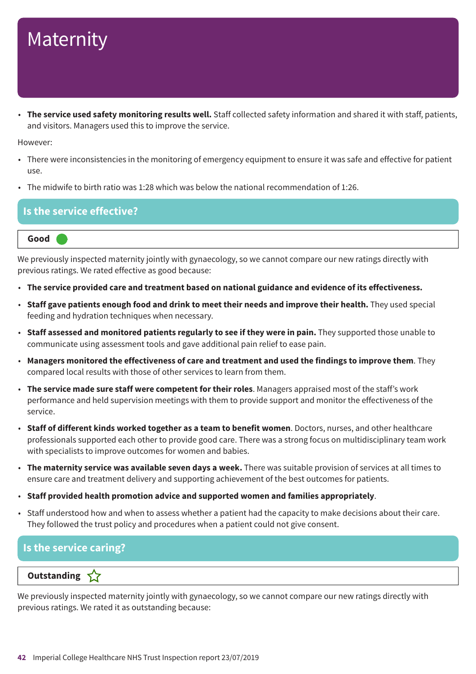• **The service used safety monitoring results well.** Staff collected safety information and shared it with staff, patients, and visitors. Managers used this to improve the service.

However:

- There were inconsistencies in the monitoring of emergency equipment to ensure it was safe and effective for patient use.
- The midwife to birth ratio was 1:28 which was below the national recommendation of 1:26.

#### **Is the service effective?**

**Good –––**

We previously inspected maternity jointly with gynaecology, so we cannot compare our new ratings directly with previous ratings. We rated effective as good because:

- **The service provided care and treatment based on national guidance and evidence of its effectiveness.**
- **Staff gave patients enough food and drink to meet their needs and improve their health.** They used special feeding and hydration techniques when necessary.
- **Staff assessed and monitored patients regularly to see if they were in pain.** They supported those unable to communicate using assessment tools and gave additional pain relief to ease pain.
- **Managers monitored the effectiveness of care and treatment and used the findings to improve them**. They compared local results with those of other services to learn from them.
- **The service made sure staff were competent for their roles**. Managers appraised most of the staff's work performance and held supervision meetings with them to provide support and monitor the effectiveness of the service.
- **Staff of different kinds worked together as a team to benefit women**. Doctors, nurses, and other healthcare professionals supported each other to provide good care. There was a strong focus on multidisciplinary team work with specialists to improve outcomes for women and babies.
- **The maternity service was available seven days a week.** There was suitable provision of services at all times to ensure care and treatment delivery and supporting achievement of the best outcomes for patients.
- **Staff provided health promotion advice and supported women and families appropriately**.
- Staff understood how and when to assess whether a patient had the capacity to make decisions about their care. They followed the trust policy and procedures when a patient could not give consent.

#### **Is the service caring?**

#### **Outstanding**

We previously inspected maternity jointly with gynaecology, so we cannot compare our new ratings directly with previous ratings. We rated it as outstanding because: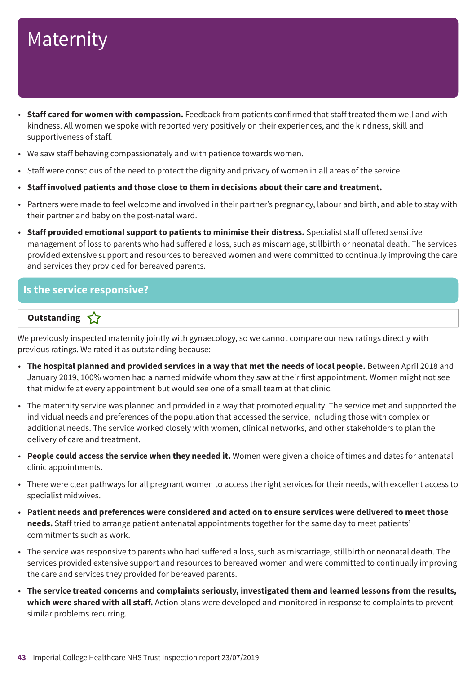- **Staff cared for women with compassion.** Feedback from patients confirmed that staff treated them well and with kindness. All women we spoke with reported very positively on their experiences, and the kindness, skill and supportiveness of staff.
- We saw staff behaving compassionately and with patience towards women.
- Staff were conscious of the need to protect the dignity and privacy of women in all areas of the service.
- **Staff involved patients and those close to them in decisions about their care and treatment.**
- Partners were made to feel welcome and involved in their partner's pregnancy, labour and birth, and able to stay with their partner and baby on the post-natal ward.
- **Staff provided emotional support to patients to minimise their distress.** Specialist staff offered sensitive management of loss to parents who had suffered a loss, such as miscarriage, stillbirth or neonatal death. The services provided extensive support and resources to bereaved women and were committed to continually improving the care and services they provided for bereaved parents.

#### **Is the service responsive?**

#### **Outstanding**

We previously inspected maternity jointly with gynaecology, so we cannot compare our new ratings directly with previous ratings. We rated it as outstanding because:

- **The hospital planned and provided services in a way that met the needs of local people.** Between April 2018 and January 2019, 100% women had a named midwife whom they saw at their first appointment. Women might not see that midwife at every appointment but would see one of a small team at that clinic.
- The maternity service was planned and provided in a way that promoted equality. The service met and supported the individual needs and preferences of the population that accessed the service, including those with complex or additional needs. The service worked closely with women, clinical networks, and other stakeholders to plan the delivery of care and treatment.
- **People could access the service when they needed it.** Women were given a choice of times and dates for antenatal clinic appointments.
- There were clear pathways for all pregnant women to access the right services for their needs, with excellent access to specialist midwives.
- Patient needs and preferences were considered and acted on to ensure services were delivered to meet those **needs.** Staff tried to arrange patient antenatal appointments together for the same day to meet patients' commitments such as work.
- The service was responsive to parents who had suffered a loss, such as miscarriage, stillbirth or neonatal death. The services provided extensive support and resources to bereaved women and were committed to continually improving the care and services they provided for bereaved parents.
- **The service treated concerns and complaints seriously, investigated them and learned lessons from the results, which were shared with all staff.** Action plans were developed and monitored in response to complaints to prevent similar problems recurring.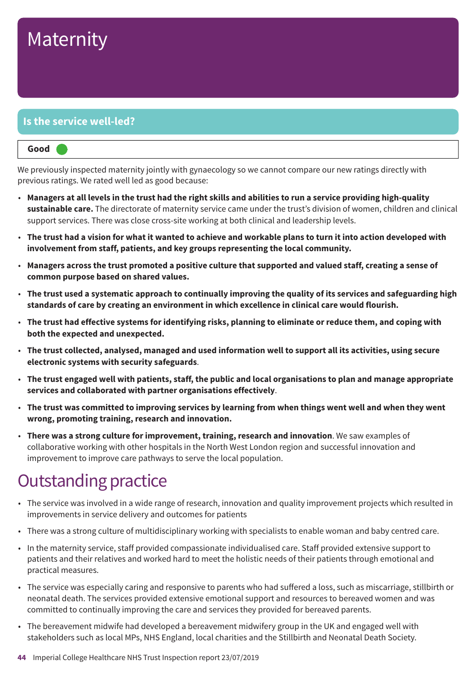#### **Is the service well-led?**

| Good |  |  |
|------|--|--|
|------|--|--|

We previously inspected maternity jointly with gynaecology so we cannot compare our new ratings directly with previous ratings. We rated well led as good because:

- Managers at all levels in the trust had the right skills and abilities to run a service providing high-quality **sustainable care.** The directorate of maternity service came under the trust's division of women, children and clinical support services. There was close cross-site working at both clinical and leadership levels.
- The trust had a vision for what it wanted to achieve and workable plans to turn it into action developed with **involvement from staff, patients, and key groups representing the local community.**
- Managers across the trust promoted a positive culture that supported and valued staff, creating a sense of **common purpose based on shared values.**
- The trust used a systematic approach to continually improving the quality of its services and safeguarding high **standards of care by creating an environment in which excellence in clinical care would flourish.**
- The trust had effective systems for identifying risks, planning to eliminate or reduce them, and coping with **both the expected and unexpected.**
- **The trust collected, analysed, managed and used information well to support all its activities, using secure electronic systems with security safeguards**.
- The trust engaged well with patients, staff, the public and local organisations to plan and manage appropriate **services and collaborated with partner organisations effectively**.
- The trust was committed to improving services by learning from when things went well and when they went **wrong, promoting training, research and innovation.**
- **There was a strong culture for improvement, training, research and innovation**. We saw examples of collaborative working with other hospitals in the North West London region and successful innovation and improvement to improve care pathways to serve the local population.

### **Outstanding practice**

- The service was involved in a wide range of research, innovation and quality improvement projects which resulted in improvements in service delivery and outcomes for patients
- There was a strong culture of multidisciplinary working with specialists to enable woman and baby centred care.
- In the maternity service, staff provided compassionate individualised care. Staff provided extensive support to patients and their relatives and worked hard to meet the holistic needs of their patients through emotional and practical measures.
- The service was especially caring and responsive to parents who had suffered a loss, such as miscarriage, stillbirth or neonatal death. The services provided extensive emotional support and resources to bereaved women and was committed to continually improving the care and services they provided for bereaved parents.
- The bereavement midwife had developed a bereavement midwifery group in the UK and engaged well with stakeholders such as local MPs, NHS England, local charities and the Stillbirth and Neonatal Death Society.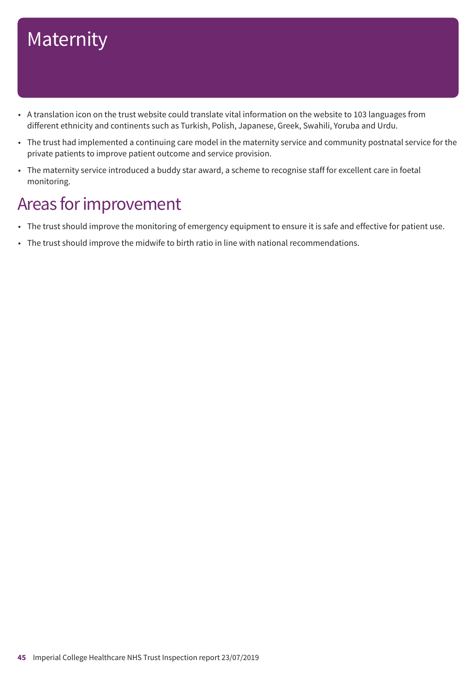- A translation icon on the trust website could translate vital information on the website to 103 languages from different ethnicity and continents such as Turkish, Polish, Japanese, Greek, Swahili, Yoruba and Urdu.
- The trust had implemented a continuing care model in the maternity service and community postnatal service for the private patients to improve patient outcome and service provision.
- The maternity service introduced a buddy star award, a scheme to recognise staff for excellent care in foetal monitoring.

### Areas for improvement

- The trust should improve the monitoring of emergency equipment to ensure it is safe and effective for patient use.
- The trust should improve the midwife to birth ratio in line with national recommendations.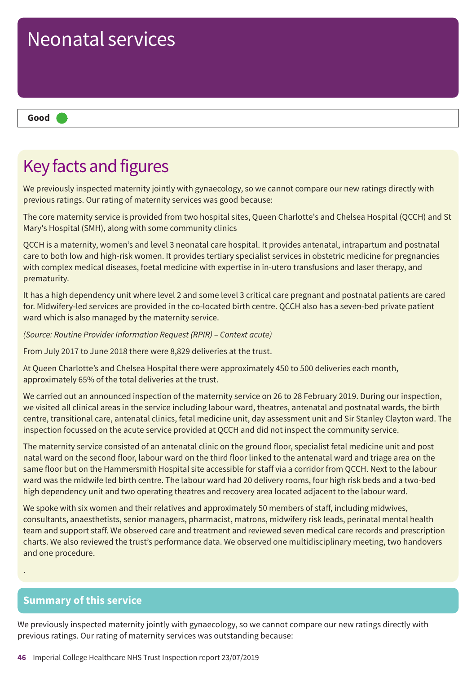# **Good –––** Neonatal services

### Key facts and figures

We previously inspected maternity jointly with gynaecology, so we cannot compare our new ratings directly with previous ratings. Our rating of maternity services was good because:

The core maternity service is provided from two hospital sites, Queen Charlotte's and Chelsea Hospital (QCCH) and St Mary's Hospital (SMH), along with some community clinics

QCCH is a maternity, women's and level 3 neonatal care hospital. It provides antenatal, intrapartum and postnatal care to both low and high-risk women. It provides tertiary specialist services in obstetric medicine for pregnancies with complex medical diseases, foetal medicine with expertise in in-utero transfusions and laser therapy, and prematurity.

It has a high dependency unit where level 2 and some level 3 critical care pregnant and postnatal patients are cared for. Midwifery-led services are provided in the co-located birth centre. QCCH also has a seven-bed private patient ward which is also managed by the maternity service.

*(Source: Routine Provider Information Request (RPIR) – Context acute)*

From July 2017 to June 2018 there were 8,829 deliveries at the trust.

At Queen Charlotte's and Chelsea Hospital there were approximately 450 to 500 deliveries each month, approximately 65% of the total deliveries at the trust.

We carried out an announced inspection of the maternity service on 26 to 28 February 2019. During our inspection, we visited all clinical areas in the service including labour ward, theatres, antenatal and postnatal wards, the birth centre, transitional care, antenatal clinics, fetal medicine unit, day assessment unit and Sir Stanley Clayton ward. The inspection focussed on the acute service provided at QCCH and did not inspect the community service.

The maternity service consisted of an antenatal clinic on the ground floor, specialist fetal medicine unit and post natal ward on the second floor, labour ward on the third floor linked to the antenatal ward and triage area on the same floor but on the Hammersmith Hospital site accessible for staff via a corridor from QCCH. Next to the labour ward was the midwife led birth centre. The labour ward had 20 delivery rooms, four high risk beds and a two-bed high dependency unit and two operating theatres and recovery area located adjacent to the labour ward.

We spoke with six women and their relatives and approximately 50 members of staff, including midwives, consultants, anaesthetists, senior managers, pharmacist, matrons, midwifery risk leads, perinatal mental health team and support staff. We observed care and treatment and reviewed seven medical care records and prescription charts. We also reviewed the trust's performance data. We observed one multidisciplinary meeting, two handovers and one procedure.

#### **Summary of this service**

.

We previously inspected maternity jointly with gynaecology, so we cannot compare our new ratings directly with previous ratings. Our rating of maternity services was outstanding because: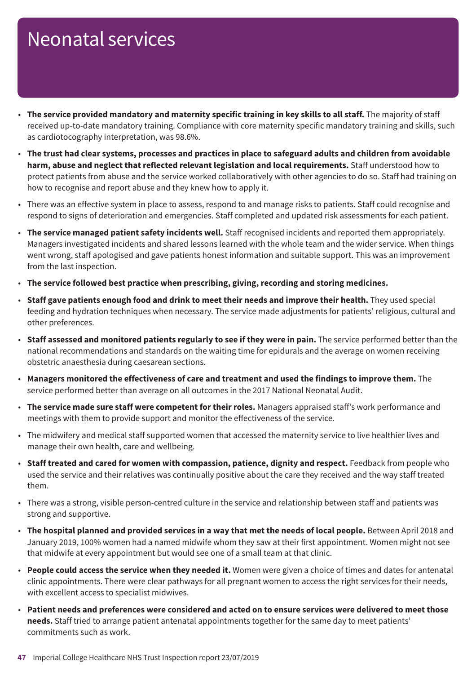- **The service provided mandatory and maternity specific training in key skills to all staff.** The majority of staff received up-to-date mandatory training. Compliance with core maternity specific mandatory training and skills, such as cardiotocography interpretation, was 98.6%.
- The trust had clear systems, processes and practices in place to safeguard adults and children from avoidable **harm, abuse and neglect that reflected relevant legislation and local requirements.** Staff understood how to protect patients from abuse and the service worked collaboratively with other agencies to do so. Staff had training on how to recognise and report abuse and they knew how to apply it.
- There was an effective system in place to assess, respond to and manage risks to patients. Staff could recognise and respond to signs of deterioration and emergencies. Staff completed and updated risk assessments for each patient.
- **The service managed patient safety incidents well.** Staff recognised incidents and reported them appropriately. Managers investigated incidents and shared lessons learned with the whole team and the wider service. When things went wrong, staff apologised and gave patients honest information and suitable support. This was an improvement from the last inspection.
- **The service followed best practice when prescribing, giving, recording and storing medicines.**
- **Staff gave patients enough food and drink to meet their needs and improve their health.** They used special feeding and hydration techniques when necessary. The service made adjustments for patients' religious, cultural and other preferences.
- **Staff assessed and monitored patients regularly to see if they were in pain.** The service performed better than the national recommendations and standards on the waiting time for epidurals and the average on women receiving obstetric anaesthesia during caesarean sections.
- **Managers monitored the effectiveness of care and treatment and used the findings to improve them.** The service performed better than average on all outcomes in the 2017 National Neonatal Audit.
- **The service made sure staff were competent for their roles.** Managers appraised staff's work performance and meetings with them to provide support and monitor the effectiveness of the service.
- The midwifery and medical staff supported women that accessed the maternity service to live healthier lives and manage their own health, care and wellbeing.
- **Staff treated and cared for women with compassion, patience, dignity and respect.** Feedback from people who used the service and their relatives was continually positive about the care they received and the way staff treated them.
- There was a strong, visible person-centred culture in the service and relationship between staff and patients was strong and supportive.
- **The hospital planned and provided services in a way that met the needs of local people.** Between April 2018 and January 2019, 100% women had a named midwife whom they saw at their first appointment. Women might not see that midwife at every appointment but would see one of a small team at that clinic.
- **People could access the service when they needed it.** Women were given a choice of times and dates for antenatal clinic appointments. There were clear pathways for all pregnant women to access the right services for their needs, with excellent access to specialist midwives.
- Patient needs and preferences were considered and acted on to ensure services were delivered to meet those **needs.** Staff tried to arrange patient antenatal appointments together for the same day to meet patients' commitments such as work.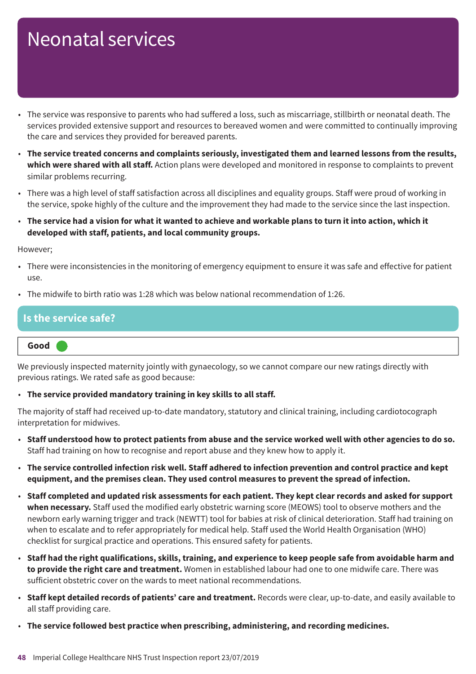- The service was responsive to parents who had suffered a loss, such as miscarriage, stillbirth or neonatal death. The services provided extensive support and resources to bereaved women and were committed to continually improving the care and services they provided for bereaved parents.
- **The service treated concerns and complaints seriously, investigated them and learned lessons from the results, which were shared with all staff.** Action plans were developed and monitored in response to complaints to prevent similar problems recurring.
- There was a high level of staff satisfaction across all disciplines and equality groups. Staff were proud of working in the service, spoke highly of the culture and the improvement they had made to the service since the last inspection.
- The service had a vision for what it wanted to achieve and workable plans to turn it into action, which it **developed with staff, patients, and local community groups.**

However;

- There were inconsistencies in the monitoring of emergency equipment to ensure it was safe and effective for patient use.
- The midwife to birth ratio was 1:28 which was below national recommendation of 1:26.

#### **Is the service safe?**

#### **Good –––**

We previously inspected maternity jointly with gynaecology, so we cannot compare our new ratings directly with previous ratings. We rated safe as good because:

#### • **The service provided mandatory training in key skills to all staff.**

The majority of staff had received up-to-date mandatory, statutory and clinical training, including cardiotocograph interpretation for midwives.

- Staff understood how to protect patients from abuse and the service worked well with other agencies to do so. Staff had training on how to recognise and report abuse and they knew how to apply it.
- The service controlled infection risk well. Staff adhered to infection prevention and control practice and kept **equipment, and the premises clean. They used control measures to prevent the spread of infection.**
- Staff completed and updated risk assessments for each patient. They kept clear records and asked for support **when necessary.** Staff used the modified early obstetric warning score (MEOWS) tool to observe mothers and the newborn early warning trigger and track (NEWTT) tool for babies at risk of clinical deterioration. Staff had training on when to escalate and to refer appropriately for medical help. Staff used the World Health Organisation (WHO) checklist for surgical practice and operations. This ensured safety for patients.
- Staff had the right qualifications, skills, training, and experience to keep people safe from avoidable harm and **to provide the right care and treatment.** Women in established labour had one to one midwife care. There was sufficient obstetric cover on the wards to meet national recommendations.
- **Staff kept detailed records of patients' care and treatment.** Records were clear, up-to-date, and easily available to all staff providing care.
- **The service followed best practice when prescribing, administering, and recording medicines.**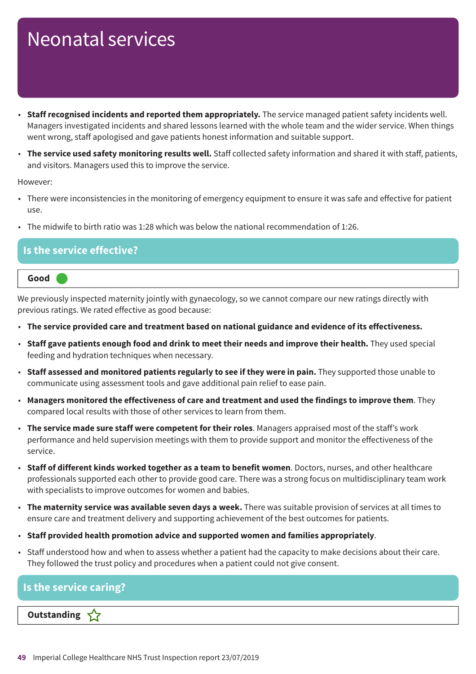- **Staff recognised incidents and reported them appropriately.** The service managed patient safety incidents well. Managers investigated incidents and shared lessons learned with the whole team and the wider service. When things went wrong, staff apologised and gave patients honest information and suitable support.
- **The service used safety monitoring results well.** Staff collected safety information and shared it with staff, patients, and visitors. Managers used this to improve the service.

However:

- There were inconsistencies in the monitoring of emergency equipment to ensure it was safe and effective for patient use.
- The midwife to birth ratio was 1:28 which was below the national recommendation of 1:26.

#### **Is the service effective?**



We previously inspected maternity jointly with gynaecology, so we cannot compare our new ratings directly with previous ratings. We rated effective as good because:

- **The service provided care and treatment based on national guidance and evidence of its effectiveness.**
- **Staff gave patients enough food and drink to meet their needs and improve their health.** They used special feeding and hydration techniques when necessary.
- **Staff assessed and monitored patients regularly to see if they were in pain.** They supported those unable to communicate using assessment tools and gave additional pain relief to ease pain.
- **Managers monitored the effectiveness of care and treatment and used the findings to improve them**. They compared local results with those of other services to learn from them.
- **The service made sure staff were competent for their roles**. Managers appraised most of the staff's work performance and held supervision meetings with them to provide support and monitor the effectiveness of the service.
- **Staff of different kinds worked together as a team to benefit women**. Doctors, nurses, and other healthcare professionals supported each other to provide good care. There was a strong focus on multidisciplinary team work with specialists to improve outcomes for women and babies.
- **The maternity service was available seven days a week.** There was suitable provision of services at all times to ensure care and treatment delivery and supporting achievement of the best outcomes for patients.
- **Staff provided health promotion advice and supported women and families appropriately**.
- Staff understood how and when to assess whether a patient had the capacity to make decisions about their care. They followed the trust policy and procedures when a patient could not give consent.

| Is the service caring?           |  |
|----------------------------------|--|
| Outstanding $\sqrt{\phantom{a}}$ |  |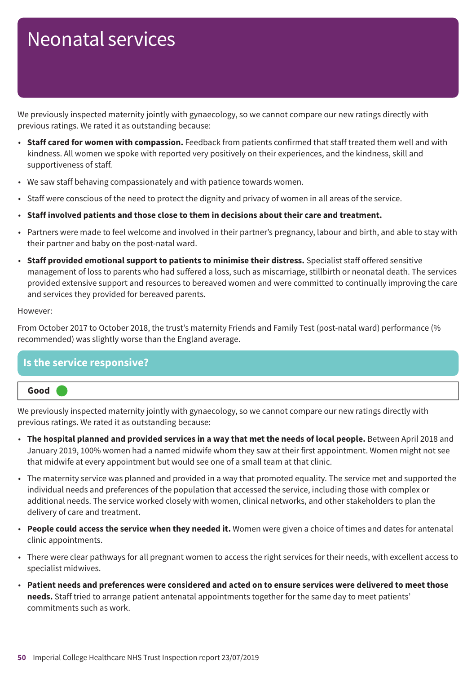We previously inspected maternity jointly with gynaecology, so we cannot compare our new ratings directly with previous ratings. We rated it as outstanding because:

- **Staff cared for women with compassion.** Feedback from patients confirmed that staff treated them well and with kindness. All women we spoke with reported very positively on their experiences, and the kindness, skill and supportiveness of staff.
- We saw staff behaving compassionately and with patience towards women.
- Staff were conscious of the need to protect the dignity and privacy of women in all areas of the service.
- **Staff involved patients and those close to them in decisions about their care and treatment.**
- Partners were made to feel welcome and involved in their partner's pregnancy, labour and birth, and able to stay with their partner and baby on the post-natal ward.
- **Staff provided emotional support to patients to minimise their distress.** Specialist staff offered sensitive management of loss to parents who had suffered a loss, such as miscarriage, stillbirth or neonatal death. The services provided extensive support and resources to bereaved women and were committed to continually improving the care and services they provided for bereaved parents.

#### However:

From October 2017 to October 2018, the trust's maternity Friends and Family Test (post-natal ward) performance (% recommended) was slightly worse than the England average.

#### **Is the service responsive?**



We previously inspected maternity jointly with gynaecology, so we cannot compare our new ratings directly with previous ratings. We rated it as outstanding because:

- **The hospital planned and provided services in a way that met the needs of local people.** Between April 2018 and January 2019, 100% women had a named midwife whom they saw at their first appointment. Women might not see that midwife at every appointment but would see one of a small team at that clinic.
- The maternity service was planned and provided in a way that promoted equality. The service met and supported the individual needs and preferences of the population that accessed the service, including those with complex or additional needs. The service worked closely with women, clinical networks, and other stakeholders to plan the delivery of care and treatment.
- **People could access the service when they needed it.** Women were given a choice of times and dates for antenatal clinic appointments.
- There were clear pathways for all pregnant women to access the right services for their needs, with excellent access to specialist midwives.
- Patient needs and preferences were considered and acted on to ensure services were delivered to meet those **needs.** Staff tried to arrange patient antenatal appointments together for the same day to meet patients' commitments such as work.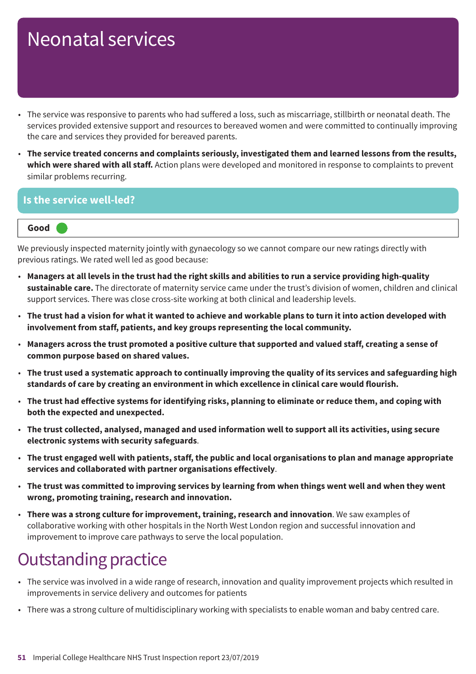- The service was responsive to parents who had suffered a loss, such as miscarriage, stillbirth or neonatal death. The services provided extensive support and resources to bereaved women and were committed to continually improving the care and services they provided for bereaved parents.
- **The service treated concerns and complaints seriously, investigated them and learned lessons from the results, which were shared with all staff.** Action plans were developed and monitored in response to complaints to prevent similar problems recurring.

#### **Is the service well-led?**



We previously inspected maternity jointly with gynaecology so we cannot compare our new ratings directly with previous ratings. We rated well led as good because:

- Managers at all levels in the trust had the right skills and abilities to run a service providing high-quality **sustainable care.** The directorate of maternity service came under the trust's division of women, children and clinical support services. There was close cross-site working at both clinical and leadership levels.
- The trust had a vision for what it wanted to achieve and workable plans to turn it into action developed with **involvement from staff, patients, and key groups representing the local community.**
- Managers across the trust promoted a positive culture that supported and valued staff, creating a sense of **common purpose based on shared values.**
- The trust used a systematic approach to continually improving the quality of its services and safeguarding high **standards of care by creating an environment in which excellence in clinical care would flourish.**
- The trust had effective systems for identifying risks, planning to eliminate or reduce them, and coping with **both the expected and unexpected.**
- **The trust collected, analysed, managed and used information well to support all its activities, using secure electronic systems with security safeguards**.
- The trust engaged well with patients, staff, the public and local organisations to plan and manage appropriate **services and collaborated with partner organisations effectively**.
- The trust was committed to improving services by learning from when things went well and when they went **wrong, promoting training, research and innovation.**
- **There was a strong culture for improvement, training, research and innovation**. We saw examples of collaborative working with other hospitals in the North West London region and successful innovation and improvement to improve care pathways to serve the local population.

### **Outstanding practice**

- The service was involved in a wide range of research, innovation and quality improvement projects which resulted in improvements in service delivery and outcomes for patients
- There was a strong culture of multidisciplinary working with specialists to enable woman and baby centred care.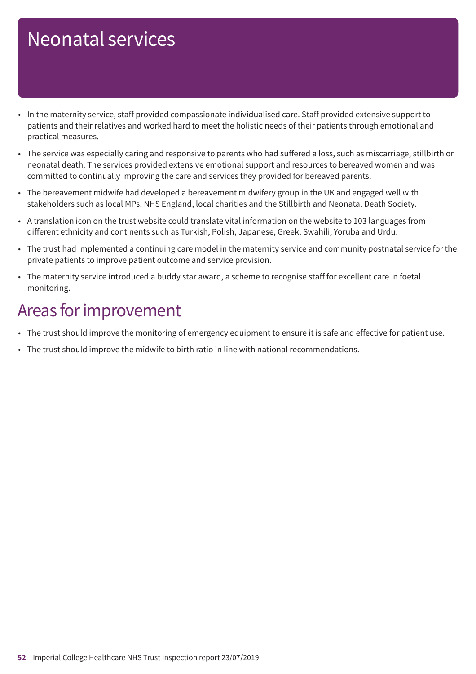- In the maternity service, staff provided compassionate individualised care. Staff provided extensive support to patients and their relatives and worked hard to meet the holistic needs of their patients through emotional and practical measures.
- The service was especially caring and responsive to parents who had suffered a loss, such as miscarriage, stillbirth or neonatal death. The services provided extensive emotional support and resources to bereaved women and was committed to continually improving the care and services they provided for bereaved parents.
- The bereavement midwife had developed a bereavement midwifery group in the UK and engaged well with stakeholders such as local MPs, NHS England, local charities and the Stillbirth and Neonatal Death Society.
- A translation icon on the trust website could translate vital information on the website to 103 languages from different ethnicity and continents such as Turkish, Polish, Japanese, Greek, Swahili, Yoruba and Urdu.
- The trust had implemented a continuing care model in the maternity service and community postnatal service for the private patients to improve patient outcome and service provision.
- The maternity service introduced a buddy star award, a scheme to recognise staff for excellent care in foetal monitoring.

### Areas for improvement

- The trust should improve the monitoring of emergency equipment to ensure it is safe and effective for patient use.
- The trust should improve the midwife to birth ratio in line with national recommendations.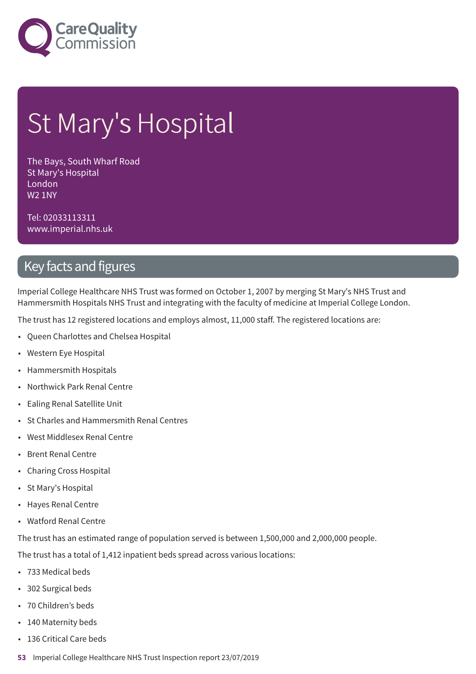

# St Mary's Hospital

The Bays, South Wharf Road St Mary's Hospital London W2 1NY

Tel: 02033113311 www.imperial.nhs.uk

### Key facts and figures

Imperial College Healthcare NHS Trust was formed on October 1, 2007 by merging St Mary's NHS Trust and Hammersmith Hospitals NHS Trust and integrating with the faculty of medicine at Imperial College London.

The trust has 12 registered locations and employs almost, 11,000 staff. The registered locations are:

- Queen Charlottes and Chelsea Hospital
- Western Eye Hospital
- Hammersmith Hospitals
- Northwick Park Renal Centre
- Ealing Renal Satellite Unit
- St Charles and Hammersmith Renal Centres
- West Middlesex Renal Centre
- Brent Renal Centre
- Charing Cross Hospital
- St Mary's Hospital
- Hayes Renal Centre
- Watford Renal Centre

The trust has an estimated range of population served is between 1,500,000 and 2,000,000 people.

The trust has a total of 1,412 inpatient beds spread across various locations:

- 733 Medical beds
- 302 Surgical beds
- 70 Children's beds
- 140 Maternity beds
- 136 Critical Care beds
- **53** Imperial College Healthcare NHS Trust Inspection report 23/07/2019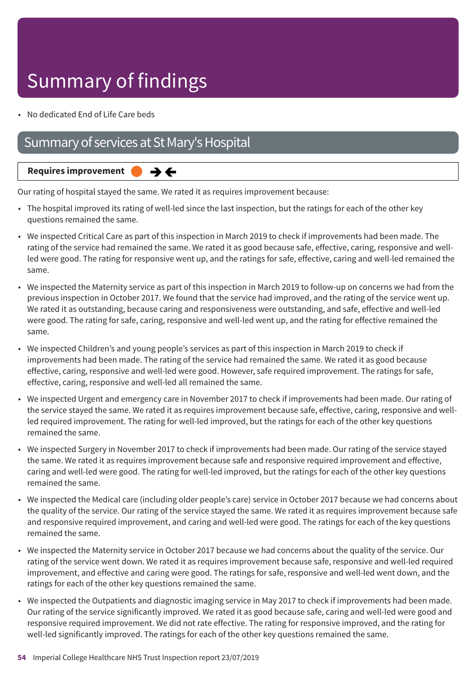# Summary of findings

• No dedicated End of Life Care beds

### Summary of services at St Mary's Hospital



Our rating of hospital stayed the same. We rated it as requires improvement because:

- The hospital improved its rating of well-led since the last inspection, but the ratings for each of the other key questions remained the same.
- We inspected Critical Care as part of this inspection in March 2019 to check if improvements had been made. The rating of the service had remained the same. We rated it as good because safe, effective, caring, responsive and wellled were good. The rating for responsive went up, and the ratings for safe, effective, caring and well-led remained the same.
- We inspected the Maternity service as part of this inspection in March 2019 to follow-up on concerns we had from the previous inspection in October 2017. We found that the service had improved, and the rating of the service went up. We rated it as outstanding, because caring and responsiveness were outstanding, and safe, effective and well-led were good. The rating for safe, caring, responsive and well-led went up, and the rating for effective remained the same.
- We inspected Children's and young people's services as part of this inspection in March 2019 to check if improvements had been made. The rating of the service had remained the same. We rated it as good because effective, caring, responsive and well-led were good. However, safe required improvement. The ratings for safe, effective, caring, responsive and well-led all remained the same.
- We inspected Urgent and emergency care in November 2017 to check if improvements had been made. Our rating of the service stayed the same. We rated it as requires improvement because safe, effective, caring, responsive and wellled required improvement. The rating for well-led improved, but the ratings for each of the other key questions remained the same.
- We inspected Surgery in November 2017 to check if improvements had been made. Our rating of the service stayed the same. We rated it as requires improvement because safe and responsive required improvement and effective, caring and well-led were good. The rating for well-led improved, but the ratings for each of the other key questions remained the same.
- We inspected the Medical care (including older people's care) service in October 2017 because we had concerns about the quality of the service. Our rating of the service stayed the same. We rated it as requires improvement because safe and responsive required improvement, and caring and well-led were good. The ratings for each of the key questions remained the same.
- We inspected the Maternity service in October 2017 because we had concerns about the quality of the service. Our rating of the service went down. We rated it as requires improvement because safe, responsive and well-led required improvement, and effective and caring were good. The ratings for safe, responsive and well-led went down, and the ratings for each of the other key questions remained the same.
- We inspected the Outpatients and diagnostic imaging service in May 2017 to check if improvements had been made. Our rating of the service significantly improved. We rated it as good because safe, caring and well-led were good and responsive required improvement. We did not rate effective. The rating for responsive improved, and the rating for well-led significantly improved. The ratings for each of the other key questions remained the same.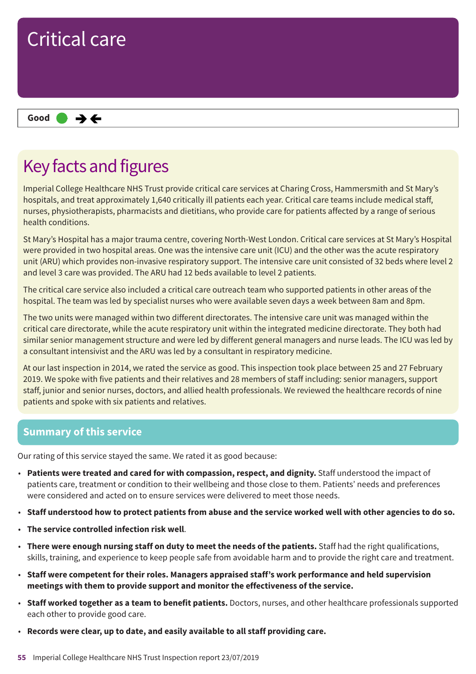

### Key facts and figures

Imperial College Healthcare NHS Trust provide critical care services at Charing Cross, Hammersmith and St Mary's hospitals, and treat approximately 1,640 critically ill patients each year. Critical care teams include medical staff, nurses, physiotherapists, pharmacists and dietitians, who provide care for patients affected by a range of serious health conditions.

St Mary's Hospital has a major trauma centre, covering North-West London. Critical care services at St Mary's Hospital were provided in two hospital areas. One was the intensive care unit (ICU) and the other was the acute respiratory unit (ARU) which provides non-invasive respiratory support. The intensive care unit consisted of 32 beds where level 2 and level 3 care was provided. The ARU had 12 beds available to level 2 patients.

The critical care service also included a critical care outreach team who supported patients in other areas of the hospital. The team was led by specialist nurses who were available seven days a week between 8am and 8pm.

The two units were managed within two different directorates. The intensive care unit was managed within the critical care directorate, while the acute respiratory unit within the integrated medicine directorate. They both had similar senior management structure and were led by different general managers and nurse leads. The ICU was led by a consultant intensivist and the ARU was led by a consultant in respiratory medicine.

At our last inspection in 2014, we rated the service as good. This inspection took place between 25 and 27 February 2019. We spoke with five patients and their relatives and 28 members of staff including: senior managers, support staff, junior and senior nurses, doctors, and allied health professionals. We reviewed the healthcare records of nine patients and spoke with six patients and relatives.

#### **Summary of this service**

Our rating of this service stayed the same. We rated it as good because:

- **Patients were treated and cared for with compassion, respect, and dignity.** Staff understood the impact of patients care, treatment or condition to their wellbeing and those close to them. Patients' needs and preferences were considered and acted on to ensure services were delivered to meet those needs.
- Staff understood how to protect patients from abuse and the service worked well with other agencies to do so.
- **The service controlled infection risk well**.
- **There were enough nursing staff on duty to meet the needs of the patients.** Staff had the right qualifications, skills, training, and experience to keep people safe from avoidable harm and to provide the right care and treatment.
- **Staff were competent for their roles. Managers appraised staff's work performance and held supervision meetings with them to provide support and monitor the effectiveness of the service.**
- **Staff worked together as a team to benefit patients.** Doctors, nurses, and other healthcare professionals supported each other to provide good care.
- **Records were clear, up to date, and easily available to all staff providing care.**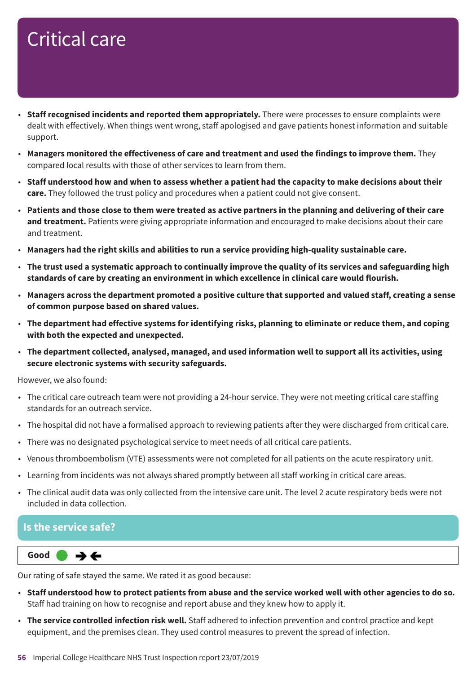- **Staff recognised incidents and reported them appropriately.** There were processes to ensure complaints were dealt with effectively. When things went wrong, staff apologised and gave patients honest information and suitable support.
- **Managers monitored the effectiveness of care and treatment and used the findings to improve them.** They compared local results with those of other services to learn from them.
- Staff understood how and when to assess whether a patient had the capacity to make decisions about their **care.** They followed the trust policy and procedures when a patient could not give consent.
- Patients and those close to them were treated as active partners in the planning and delivering of their care **and treatment.** Patients were giving appropriate information and encouraged to make decisions about their care and treatment.
- **Managers had the right skills and abilities to run a service providing high-quality sustainable care.**
- The trust used a systematic approach to continually improve the quality of its services and safeguarding high **standards of care by creating an environment in which excellence in clinical care would flourish.**
- **Managers across the department promoted a positive culture that supported and valued staff, creating a sense of common purpose based on shared values.**
- **The department had effective systems for identifying risks, planning to eliminate or reduce them, and coping with both the expected and unexpected.**
- **The department collected, analysed, managed, and used information well to support all its activities, using secure electronic systems with security safeguards.**

However, we also found:

- The critical care outreach team were not providing a 24-hour service. They were not meeting critical care staffing standards for an outreach service.
- The hospital did not have a formalised approach to reviewing patients after they were discharged from critical care.
- There was no designated psychological service to meet needs of all critical care patients.
- Venous thromboembolism (VTE) assessments were not completed for all patients on the acute respiratory unit.
- Learning from incidents was not always shared promptly between all staff working in critical care areas.
- The clinical audit data was only collected from the intensive care unit. The level 2 acute respiratory beds were not included in data collection.

#### **Is the service safe?**

**Same–––rating Good –––**

Our rating of safe stayed the same. We rated it as good because:

- Staff understood how to protect patients from abuse and the service worked well with other agencies to do so. Staff had training on how to recognise and report abuse and they knew how to apply it.
- **The service controlled infection risk well.** Staff adhered to infection prevention and control practice and kept equipment, and the premises clean. They used control measures to prevent the spread of infection.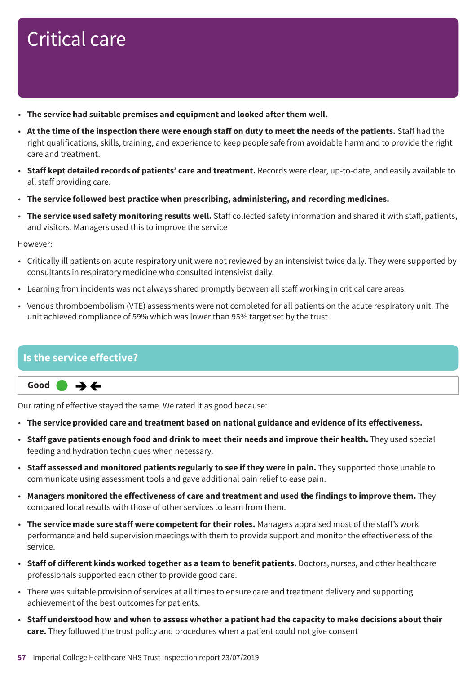- **The service had suitable premises and equipment and looked after them well.**
- At the time of the inspection there were enough staff on duty to meet the needs of the patients. Staff had the right qualifications, skills, training, and experience to keep people safe from avoidable harm and to provide the right care and treatment.
- **Staff kept detailed records of patients' care and treatment.** Records were clear, up-to-date, and easily available to all staff providing care.
- **The service followed best practice when prescribing, administering, and recording medicines.**
- **The service used safety monitoring results well.** Staff collected safety information and shared it with staff, patients, and visitors. Managers used this to improve the service

However:

- Critically ill patients on acute respiratory unit were not reviewed by an intensivist twice daily. They were supported by consultants in respiratory medicine who consulted intensivist daily.
- Learning from incidents was not always shared promptly between all staff working in critical care areas.
- Venous thromboembolism (VTE) assessments were not completed for all patients on the acute respiratory unit. The unit achieved compliance of 59% which was lower than 95% target set by the trust.

#### **Is the service effective?**

**Same–––rating Good –––**  $\rightarrow$   $\leftarrow$ 

Our rating of effective stayed the same. We rated it as good because:

- **The service provided care and treatment based on national guidance and evidence of its effectiveness.**
- **Staff gave patients enough food and drink to meet their needs and improve their health.** They used special feeding and hydration techniques when necessary.
- **Staff assessed and monitored patients regularly to see if they were in pain.** They supported those unable to communicate using assessment tools and gave additional pain relief to ease pain.
- **Managers monitored the effectiveness of care and treatment and used the findings to improve them.** They compared local results with those of other services to learn from them.
- **The service made sure staff were competent for their roles.** Managers appraised most of the staff's work performance and held supervision meetings with them to provide support and monitor the effectiveness of the service.
- **Staff of different kinds worked together as a team to benefit patients.** Doctors, nurses, and other healthcare professionals supported each other to provide good care.
- There was suitable provision of services at all times to ensure care and treatment delivery and supporting achievement of the best outcomes for patients.
- Staff understood how and when to assess whether a patient had the capacity to make decisions about their **care.** They followed the trust policy and procedures when a patient could not give consent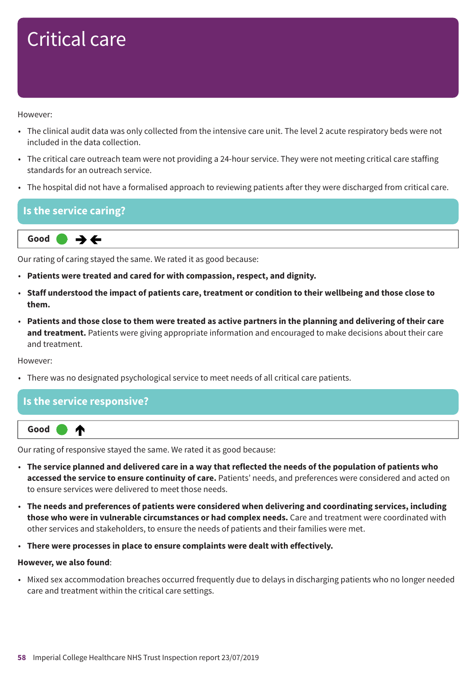However:

- The clinical audit data was only collected from the intensive care unit. The level 2 acute respiratory beds were not included in the data collection.
- The critical care outreach team were not providing a 24-hour service. They were not meeting critical care staffing standards for an outreach service.
- The hospital did not have a formalised approach to reviewing patients after they were discharged from critical care.

| $\blacksquare$ Is the service caring?                              |
|--------------------------------------------------------------------|
| Good $\rightarrow$ $\leftarrow$                                    |
| Our rating of caring stayed the same. We rated it as good because: |

- **Patients were treated and cared for with compassion, respect, and dignity.**
- Staff understood the impact of patients care, treatment or condition to their wellbeing and those close to **them.**
- Patients and those close to them were treated as active partners in the planning and delivering of their care **and treatment.** Patients were giving appropriate information and encouraged to make decisions about their care and treatment.

However:

• There was no designated psychological service to meet needs of all critical care patients.

#### **Is the service responsive?**



Our rating of responsive stayed the same. We rated it as good because:

- The service planned and delivered care in a way that reflected the needs of the population of patients who **accessed the service to ensure continuity of care.** Patients' needs, and preferences were considered and acted on to ensure services were delivered to meet those needs.
- **The needs and preferences of patients were considered when delivering and coordinating services, including those who were in vulnerable circumstances or had complex needs.** Care and treatment were coordinated with other services and stakeholders, to ensure the needs of patients and their families were met.
- **There were processes in place to ensure complaints were dealt with effectively.**

#### **However, we also found**:

• Mixed sex accommodation breaches occurred frequently due to delays in discharging patients who no longer needed care and treatment within the critical care settings.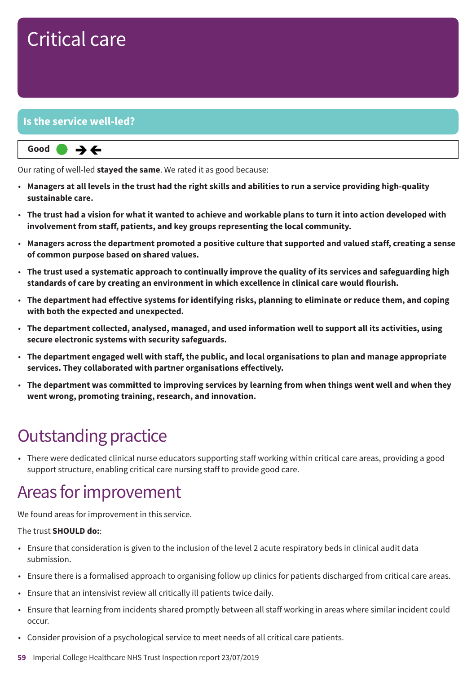#### **Is the service well-led?**



Our rating of well-led **stayed the same**. We rated it as good because:

- Managers at all levels in the trust had the right skills and abilities to run a service providing high-quality **sustainable care.**
- The trust had a vision for what it wanted to achieve and workable plans to turn it into action developed with **involvement from staff, patients, and key groups representing the local community.**
- **Managers across the department promoted a positive culture that supported and valued staff, creating a sense of common purpose based on shared values.**
- The trust used a systematic approach to continually improve the quality of its services and safeguarding high **standards of care by creating an environment in which excellence in clinical care would flourish.**
- **The department had effective systems for identifying risks, planning to eliminate or reduce them, and coping with both the expected and unexpected.**
- **The department collected, analysed, managed, and used information well to support all its activities, using secure electronic systems with security safeguards.**
- **The department engaged well with staff, the public, and local organisations to plan and manage appropriate services. They collaborated with partner organisations effectively.**
- **The department was committed to improving services by learning from when things went well and when they went wrong, promoting training, research, and innovation.**

### **Outstanding practice**

• There were dedicated clinical nurse educators supporting staff working within critical care areas, providing a good support structure, enabling critical care nursing staff to provide good care.

### Areas for improvement

We found areas for improvement in this service.

#### The trust **SHOULD do:**:

- Ensure that consideration is given to the inclusion of the level 2 acute respiratory beds in clinical audit data submission.
- Ensure there is a formalised approach to organising follow up clinics for patients discharged from critical care areas.
- Ensure that an intensivist review all critically ill patients twice daily.
- Ensure that learning from incidents shared promptly between all staff working in areas where similar incident could occur.
- Consider provision of a psychological service to meet needs of all critical care patients.
- **59** Imperial College Healthcare NHS Trust Inspection report 23/07/2019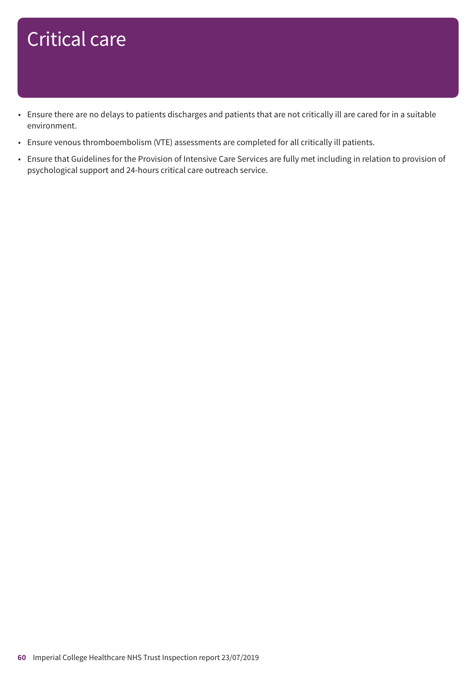- Ensure there are no delays to patients discharges and patients that are not critically ill are cared for in a suitable environment.
- Ensure venous thromboembolism (VTE) assessments are completed for all critically ill patients.
- Ensure that Guidelines for the Provision of Intensive Care Services are fully met including in relation to provision of psychological support and 24-hours critical care outreach service.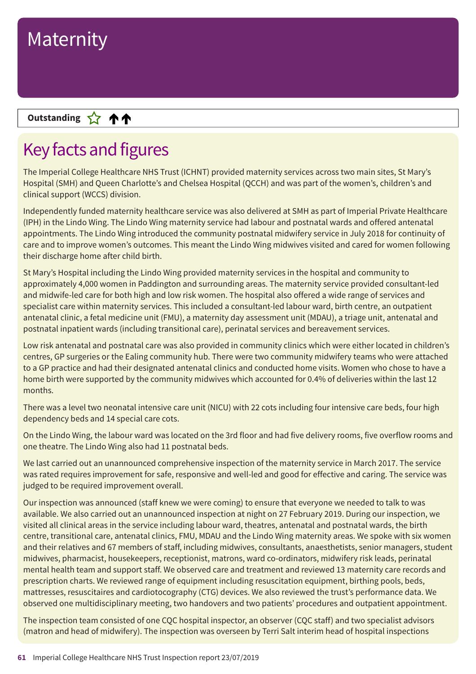#### **Up––– two ratings Outstanding**

### Key facts and figures

The Imperial College Healthcare NHS Trust (ICHNT) provided maternity services across two main sites, St Mary's Hospital (SMH) and Queen Charlotte's and Chelsea Hospital (QCCH) and was part of the women's, children's and clinical support (WCCS) division.

Independently funded maternity healthcare service was also delivered at SMH as part of Imperial Private Healthcare (IPH) in the Lindo Wing. The Lindo Wing maternity service had labour and postnatal wards and offered antenatal appointments. The Lindo Wing introduced the community postnatal midwifery service in July 2018 for continuity of care and to improve women's outcomes. This meant the Lindo Wing midwives visited and cared for women following their discharge home after child birth.

St Mary's Hospital including the Lindo Wing provided maternity services in the hospital and community to approximately 4,000 women in Paddington and surrounding areas. The maternity service provided consultant-led and midwife-led care for both high and low risk women. The hospital also offered a wide range of services and specialist care within maternity services. This included a consultant-led labour ward, birth centre, an outpatient antenatal clinic, a fetal medicine unit (FMU), a maternity day assessment unit (MDAU), a triage unit, antenatal and postnatal inpatient wards (including transitional care), perinatal services and bereavement services.

Low risk antenatal and postnatal care was also provided in community clinics which were either located in children's centres, GP surgeries or the Ealing community hub. There were two community midwifery teams who were attached to a GP practice and had their designated antenatal clinics and conducted home visits. Women who chose to have a home birth were supported by the community midwives which accounted for 0.4% of deliveries within the last 12 months.

There was a level two neonatal intensive care unit (NICU) with 22 cots including four intensive care beds, four high dependency beds and 14 special care cots.

On the Lindo Wing, the labour ward was located on the 3rd floor and had five delivery rooms, five overflow rooms and one theatre. The Lindo Wing also had 11 postnatal beds.

We last carried out an unannounced comprehensive inspection of the maternity service in March 2017. The service was rated requires improvement for safe, responsive and well-led and good for effective and caring. The service was judged to be required improvement overall.

Our inspection was announced (staff knew we were coming) to ensure that everyone we needed to talk to was available. We also carried out an unannounced inspection at night on 27 February 2019. During our inspection, we visited all clinical areas in the service including labour ward, theatres, antenatal and postnatal wards, the birth centre, transitional care, antenatal clinics, FMU, MDAU and the Lindo Wing maternity areas. We spoke with six women and their relatives and 67 members of staff, including midwives, consultants, anaesthetists, senior managers, student midwives, pharmacist, housekeepers, receptionist, matrons, ward co-ordinators, midwifery risk leads, perinatal mental health team and support staff. We observed care and treatment and reviewed 13 maternity care records and prescription charts. We reviewed range of equipment including resuscitation equipment, birthing pools, beds, mattresses, resuscitaires and cardiotocography (CTG) devices. We also reviewed the trust's performance data. We observed one multidisciplinary meeting, two handovers and two patients' procedures and outpatient appointment.

The inspection team consisted of one CQC hospital inspector, an observer (CQC staff) and two specialist advisors (matron and head of midwifery). The inspection was overseen by Terri Salt interim head of hospital inspections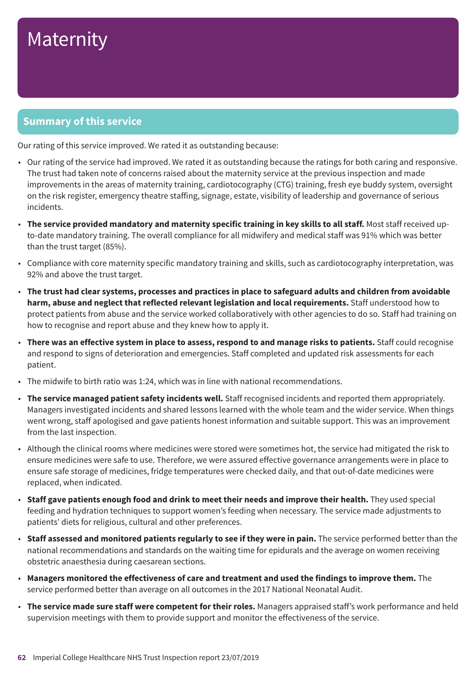#### **Summary of this service**

Our rating of this service improved. We rated it as outstanding because:

- Our rating of the service had improved. We rated it as outstanding because the ratings for both caring and responsive. The trust had taken note of concerns raised about the maternity service at the previous inspection and made improvements in the areas of maternity training, cardiotocography (CTG) training, fresh eye buddy system, oversight on the risk register, emergency theatre staffing, signage, estate, visibility of leadership and governance of serious incidents.
- **The service provided mandatory and maternity specific training in key skills to all staff.** Most staff received upto-date mandatory training. The overall compliance for all midwifery and medical staff was 91% which was better than the trust target (85%).
- Compliance with core maternity specific mandatory training and skills, such as cardiotocography interpretation, was 92% and above the trust target.
- The trust had clear systems, processes and practices in place to safeguard adults and children from avoidable **harm, abuse and neglect that reflected relevant legislation and local requirements.** Staff understood how to protect patients from abuse and the service worked collaboratively with other agencies to do so. Staff had training on how to recognise and report abuse and they knew how to apply it.
- There was an effective system in place to assess, respond to and manage risks to patients. Staff could recognise and respond to signs of deterioration and emergencies. Staff completed and updated risk assessments for each patient.
- The midwife to birth ratio was 1:24, which was in line with national recommendations.
- **The service managed patient safety incidents well.** Staff recognised incidents and reported them appropriately. Managers investigated incidents and shared lessons learned with the whole team and the wider service. When things went wrong, staff apologised and gave patients honest information and suitable support. This was an improvement from the last inspection.
- Although the clinical rooms where medicines were stored were sometimes hot, the service had mitigated the risk to ensure medicines were safe to use. Therefore, we were assured effective governance arrangements were in place to ensure safe storage of medicines, fridge temperatures were checked daily, and that out-of-date medicines were replaced, when indicated.
- **Staff gave patients enough food and drink to meet their needs and improve their health.** They used special feeding and hydration techniques to support women's feeding when necessary. The service made adjustments to patients' diets for religious, cultural and other preferences.
- **Staff assessed and monitored patients regularly to see if they were in pain.** The service performed better than the national recommendations and standards on the waiting time for epidurals and the average on women receiving obstetric anaesthesia during caesarean sections.
- **Managers monitored the effectiveness of care and treatment and used the findings to improve them.** The service performed better than average on all outcomes in the 2017 National Neonatal Audit.
- **The service made sure staff were competent for their roles.** Managers appraised staff's work performance and held supervision meetings with them to provide support and monitor the effectiveness of the service.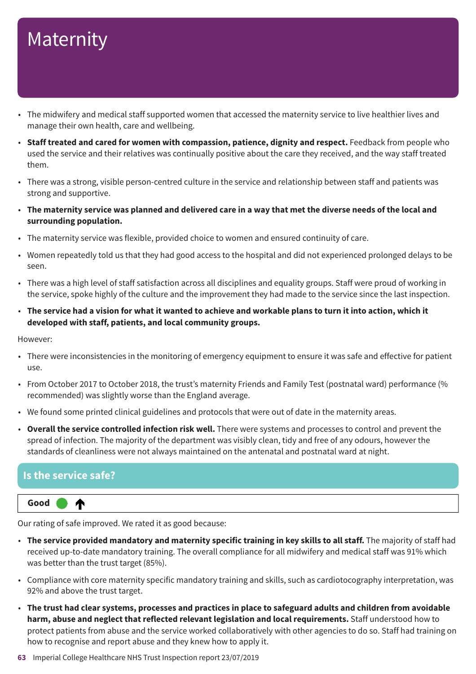- The midwifery and medical staff supported women that accessed the maternity service to live healthier lives and manage their own health, care and wellbeing.
- **Staff treated and cared for women with compassion, patience, dignity and respect.** Feedback from people who used the service and their relatives was continually positive about the care they received, and the way staff treated them.
- There was a strong, visible person-centred culture in the service and relationship between staff and patients was strong and supportive.
- The maternity service was planned and delivered care in a way that met the diverse needs of the local and **surrounding population.**
- The maternity service was flexible, provided choice to women and ensured continuity of care.
- Women repeatedly told us that they had good access to the hospital and did not experienced prolonged delays to be seen.
- There was a high level of staff satisfaction across all disciplines and equality groups. Staff were proud of working in the service, spoke highly of the culture and the improvement they had made to the service since the last inspection.
- The service had a vision for what it wanted to achieve and workable plans to turn it into action, which it **developed with staff, patients, and local community groups.**

However:

- There were inconsistencies in the monitoring of emergency equipment to ensure it was safe and effective for patient use.
- From October 2017 to October 2018, the trust's maternity Friends and Family Test (postnatal ward) performance (% recommended) was slightly worse than the England average.
- We found some printed clinical guidelines and protocols that were out of date in the maternity areas.
- **Overall the service controlled infection risk well.** There were systems and processes to control and prevent the spread of infection. The majority of the department was visibly clean, tidy and free of any odours, however the standards of cleanliness were not always maintained on the antenatal and postnatal ward at night.

#### **Is the service safe?**

**Up one rating Good –––** ₼

Our rating of safe improved. We rated it as good because:

- **The service provided mandatory and maternity specific training in key skills to all staff.** The majority of staff had received up-to-date mandatory training. The overall compliance for all midwifery and medical staff was 91% which was better than the trust target (85%).
- Compliance with core maternity specific mandatory training and skills, such as cardiotocography interpretation, was 92% and above the trust target.
- The trust had clear systems, processes and practices in place to safeguard adults and children from avoidable **harm, abuse and neglect that reflected relevant legislation and local requirements.** Staff understood how to protect patients from abuse and the service worked collaboratively with other agencies to do so. Staff had training on how to recognise and report abuse and they knew how to apply it.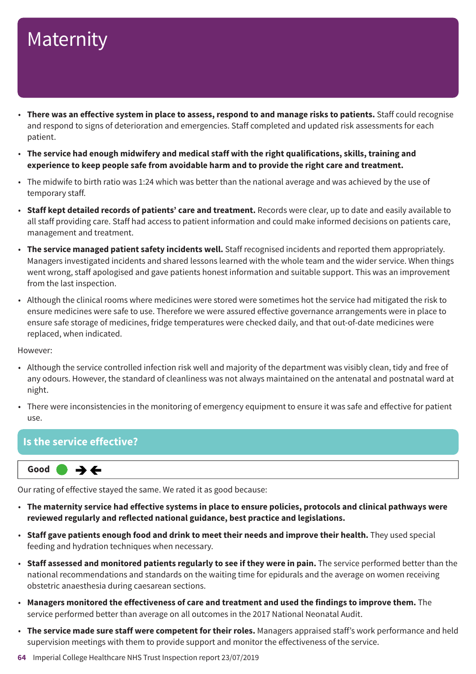- There was an effective system in place to assess, respond to and manage risks to patients. Staff could recognise and respond to signs of deterioration and emergencies. Staff completed and updated risk assessments for each patient.
- **The service had enough midwifery and medical staff with the right qualifications, skills, training and experience to keep people safe from avoidable harm and to provide the right care and treatment.**
- The midwife to birth ratio was 1:24 which was better than the national average and was achieved by the use of temporary staff.
- **Staff kept detailed records of patients' care and treatment.** Records were clear, up to date and easily available to all staff providing care. Staff had access to patient information and could make informed decisions on patients care, management and treatment.
- **The service managed patient safety incidents well.** Staff recognised incidents and reported them appropriately. Managers investigated incidents and shared lessons learned with the whole team and the wider service. When things went wrong, staff apologised and gave patients honest information and suitable support. This was an improvement from the last inspection.
- Although the clinical rooms where medicines were stored were sometimes hot the service had mitigated the risk to ensure medicines were safe to use. Therefore we were assured effective governance arrangements were in place to ensure safe storage of medicines, fridge temperatures were checked daily, and that out-of-date medicines were replaced, when indicated.

However:

- Although the service controlled infection risk well and majority of the department was visibly clean, tidy and free of any odours. However, the standard of cleanliness was not always maintained on the antenatal and postnatal ward at night.
- There were inconsistencies in the monitoring of emergency equipment to ensure it was safe and effective for patient use.

#### **Is the service effective?**



Our rating of effective stayed the same. We rated it as good because:

- **The maternity service had effective systems in place to ensure policies, protocols and clinical pathways were reviewed regularly and reflected national guidance, best practice and legislations.**
- **Staff gave patients enough food and drink to meet their needs and improve their health.** They used special feeding and hydration techniques when necessary.
- **Staff assessed and monitored patients regularly to see if they were in pain.** The service performed better than the national recommendations and standards on the waiting time for epidurals and the average on women receiving obstetric anaesthesia during caesarean sections.
- **Managers monitored the effectiveness of care and treatment and used the findings to improve them.** The service performed better than average on all outcomes in the 2017 National Neonatal Audit.
- **The service made sure staff were competent for their roles.** Managers appraised staff's work performance and held supervision meetings with them to provide support and monitor the effectiveness of the service.
- **64** Imperial College Healthcare NHS Trust Inspection report 23/07/2019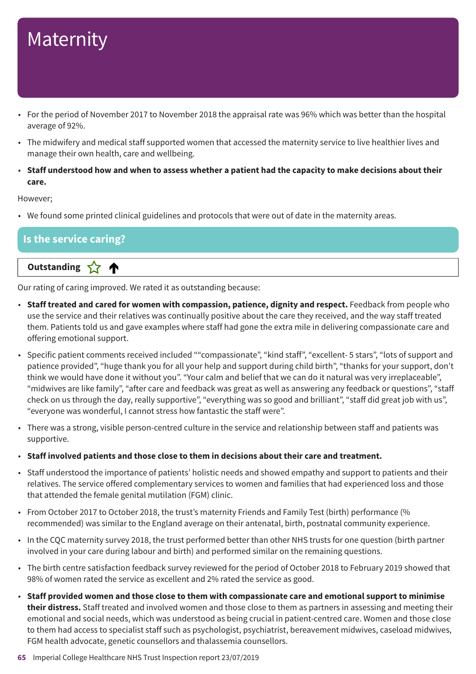- For the period of November 2017 to November 2018 the appraisal rate was 96% which was better than the hospital average of 92%.
- The midwifery and medical staff supported women that accessed the maternity service to live healthier lives and manage their own health, care and wellbeing.
- Staff understood how and when to assess whether a patient had the capacity to make decisions about their **care.**

However;

• We found some printed clinical guidelines and protocols that were out of date in the maternity areas.

#### **Is the service caring?**

**Letter Cone Extending** 

Our rating of caring improved. We rated it as outstanding because:

- **Staff treated and cared for women with compassion, patience, dignity and respect.** Feedback from people who use the service and their relatives was continually positive about the care they received, and the way staff treated them. Patients told us and gave examples where staff had gone the extra mile in delivering compassionate care and offering emotional support.
- Specific patient comments received included ""compassionate", "kind staff", "excellent- 5 stars", "lots of support and patience provided", "huge thank you for all your help and support during child birth", "thanks for your support, don't think we would have done it without you". "Your calm and belief that we can do it natural was very irreplaceable", "midwives are like family", "after care and feedback was great as well as answering any feedback or questions", "staff check on us through the day, really supportive", "everything was so good and brilliant", "staff did great job with us", "everyone was wonderful, I cannot stress how fantastic the staff were".
- There was a strong, visible person-centred culture in the service and relationship between staff and patients was supportive.
- **Staff involved patients and those close to them in decisions about their care and treatment.**
- Staff understood the importance of patients' holistic needs and showed empathy and support to patients and their relatives. The service offered complementary services to women and families that had experienced loss and those that attended the female genital mutilation (FGM) clinic.
- From October 2017 to October 2018, the trust's maternity Friends and Family Test (birth) performance (% recommended) was similar to the England average on their antenatal, birth, postnatal community experience.
- In the CQC maternity survey 2018, the trust performed better than other NHS trusts for one question (birth partner involved in your care during labour and birth) and performed similar on the remaining questions.
- The birth centre satisfaction feedback survey reviewed for the period of October 2018 to February 2019 showed that 98% of women rated the service as excellent and 2% rated the service as good.
- **Staff provided women and those close to them with compassionate care and emotional support to minimise their distress.** Staff treated and involved women and those close to them as partners in assessing and meeting their emotional and social needs, which was understood as being crucial in patient-centred care. Women and those close to them had access to specialist staff such as psychologist, psychiatrist, bereavement midwives, caseload midwives, FGM health advocate, genetic counsellors and thalassemia counsellors.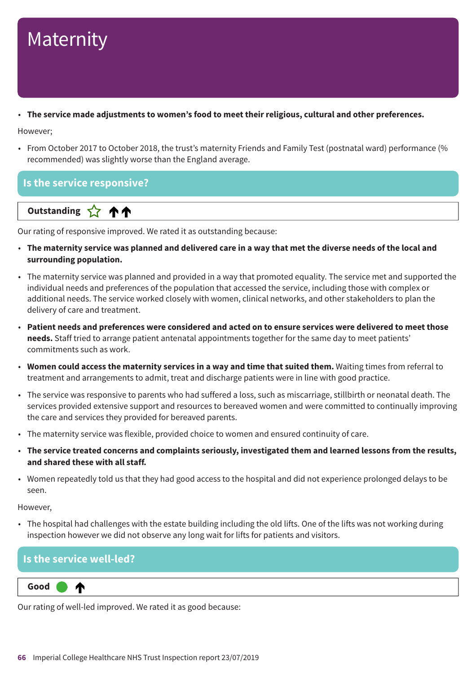#### • **The service made adjustments to women's food to meet their religious, cultural and other preferences.**

However;

• From October 2017 to October 2018, the trust's maternity Friends and Family Test (postnatal ward) performance (% recommended) was slightly worse than the England average.

#### **Is the service responsive?**

**Up––– two ratings Outstanding**

Our rating of responsive improved. We rated it as outstanding because:

- The maternity service was planned and delivered care in a way that met the diverse needs of the local and **surrounding population.**
- The maternity service was planned and provided in a way that promoted equality. The service met and supported the individual needs and preferences of the population that accessed the service, including those with complex or additional needs. The service worked closely with women, clinical networks, and other stakeholders to plan the delivery of care and treatment.
- Patient needs and preferences were considered and acted on to ensure services were delivered to meet those **needs.** Staff tried to arrange patient antenatal appointments together for the same day to meet patients' commitments such as work.
- **Women could access the maternity services in a way and time that suited them.** Waiting times from referral to treatment and arrangements to admit, treat and discharge patients were in line with good practice.
- The service was responsive to parents who had suffered a loss, such as miscarriage, stillbirth or neonatal death. The services provided extensive support and resources to bereaved women and were committed to continually improving the care and services they provided for bereaved parents.
- The maternity service was flexible, provided choice to women and ensured continuity of care.
- **The service treated concerns and complaints seriously, investigated them and learned lessons from the results, and shared these with all staff.**
- Women repeatedly told us that they had good access to the hospital and did not experience prolonged delays to be seen.

However,

• The hospital had challenges with the estate building including the old lifts. One of the lifts was not working during inspection however we did not observe any long wait for lifts for patients and visitors.

#### **Is the service well-led?**

₼

**Up one rating Good –––**

Our rating of well-led improved. We rated it as good because: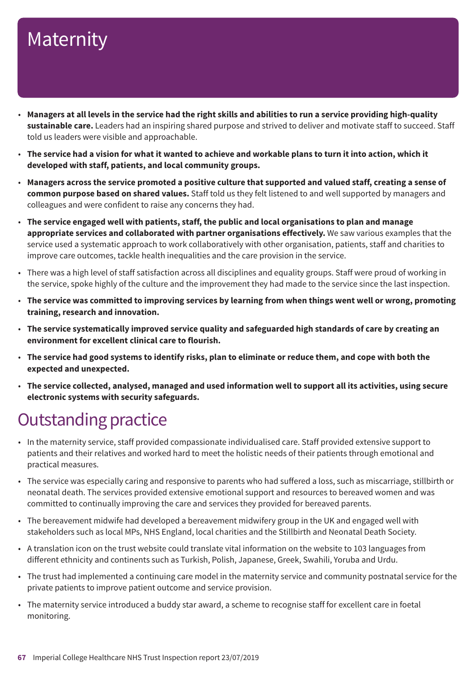- Managers at all levels in the service had the right skills and abilities to run a service providing high-quality **sustainable care.** Leaders had an inspiring shared purpose and strived to deliver and motivate staff to succeed. Staff told us leaders were visible and approachable.
- The service had a vision for what it wanted to achieve and workable plans to turn it into action, which it **developed with staff, patients, and local community groups.**
- Managers across the service promoted a positive culture that supported and valued staff, creating a sense of **common purpose based on shared values.** Staff told us they felt listened to and well supported by managers and colleagues and were confident to raise any concerns they had.
- **The service engaged well with patients, staff, the public and local organisations to plan and manage appropriate services and collaborated with partner organisations effectively.** We saw various examples that the service used a systematic approach to work collaboratively with other organisation, patients, staff and charities to improve care outcomes, tackle health inequalities and the care provision in the service.
- There was a high level of staff satisfaction across all disciplines and equality groups. Staff were proud of working in the service, spoke highly of the culture and the improvement they had made to the service since the last inspection.
- The service was committed to improving services by learning from when things went well or wrong, promoting **training, research and innovation.**
- **The service systematically improved service quality and safeguarded high standards of care by creating an environment for excellent clinical care to flourish.**
- The service had good systems to identify risks, plan to eliminate or reduce them, and cope with both the **expected and unexpected.**
- **The service collected, analysed, managed and used information well to support all its activities, using secure electronic systems with security safeguards.**

### **Outstanding practice**

- In the maternity service, staff provided compassionate individualised care. Staff provided extensive support to patients and their relatives and worked hard to meet the holistic needs of their patients through emotional and practical measures.
- The service was especially caring and responsive to parents who had suffered a loss, such as miscarriage, stillbirth or neonatal death. The services provided extensive emotional support and resources to bereaved women and was committed to continually improving the care and services they provided for bereaved parents.
- The bereavement midwife had developed a bereavement midwifery group in the UK and engaged well with stakeholders such as local MPs, NHS England, local charities and the Stillbirth and Neonatal Death Society.
- A translation icon on the trust website could translate vital information on the website to 103 languages from different ethnicity and continents such as Turkish, Polish, Japanese, Greek, Swahili, Yoruba and Urdu.
- The trust had implemented a continuing care model in the maternity service and community postnatal service for the private patients to improve patient outcome and service provision.
- The maternity service introduced a buddy star award, a scheme to recognise staff for excellent care in foetal monitoring.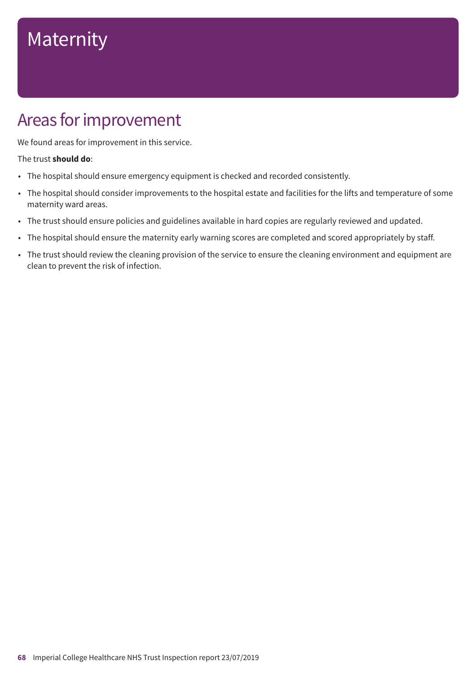### Areas for improvement

We found areas for improvement in this service.

#### The trust **should do**:

- The hospital should ensure emergency equipment is checked and recorded consistently.
- The hospital should consider improvements to the hospital estate and facilities for the lifts and temperature of some maternity ward areas.
- The trust should ensure policies and guidelines available in hard copies are regularly reviewed and updated.
- The hospital should ensure the maternity early warning scores are completed and scored appropriately by staff.
- The trust should review the cleaning provision of the service to ensure the cleaning environment and equipment are clean to prevent the risk of infection.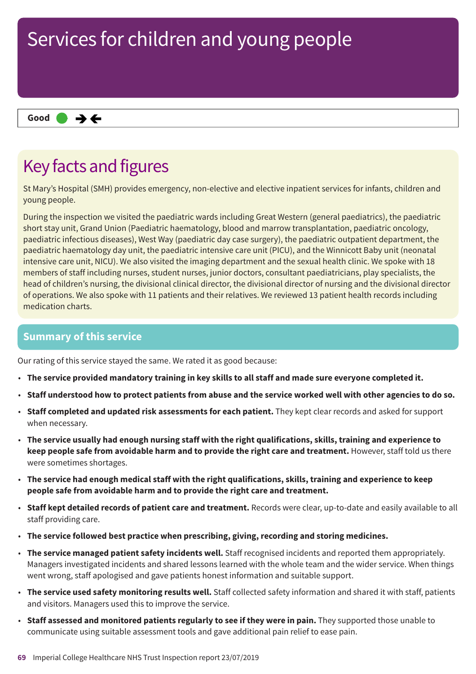#### $\rightarrow$   $\leftarrow$ **Same–––rating Good –––**

### Key facts and figures

St Mary's Hospital (SMH) provides emergency, non-elective and elective inpatient services for infants, children and young people.

During the inspection we visited the paediatric wards including Great Western (general paediatrics), the paediatric short stay unit, Grand Union (Paediatric haematology, blood and marrow transplantation, paediatric oncology, paediatric infectious diseases), West Way (paediatric day case surgery), the paediatric outpatient department, the paediatric haematology day unit, the paediatric intensive care unit (PICU), and the Winnicott Baby unit (neonatal intensive care unit, NICU). We also visited the imaging department and the sexual health clinic. We spoke with 18 members of staff including nurses, student nurses, junior doctors, consultant paediatricians, play specialists, the head of children's nursing, the divisional clinical director, the divisional director of nursing and the divisional director of operations. We also spoke with 11 patients and their relatives. We reviewed 13 patient health records including medication charts.

#### **Summary of this service**

Our rating of this service stayed the same. We rated it as good because:

- **The service provided mandatory training in key skills to all staff and made sure everyone completed it.**
- Staff understood how to protect patients from abuse and the service worked well with other agencies to do so.
- **Staff completed and updated risk assessments for each patient.** They kept clear records and asked for support when necessary.
- **The service usually had enough nursing staff with the right qualifications, skills, training and experience to keep people safe from avoidable harm and to provide the right care and treatment.** However, staff told us there were sometimes shortages.
- **The service had enough medical staff with the right qualifications, skills, training and experience to keep people safe from avoidable harm and to provide the right care and treatment.**
- **Staff kept detailed records of patient care and treatment.** Records were clear, up-to-date and easily available to all staff providing care.
- **The service followed best practice when prescribing, giving, recording and storing medicines.**
- **The service managed patient safety incidents well.** Staff recognised incidents and reported them appropriately. Managers investigated incidents and shared lessons learned with the whole team and the wider service. When things went wrong, staff apologised and gave patients honest information and suitable support.
- **The service used safety monitoring results well.** Staff collected safety information and shared it with staff, patients and visitors. Managers used this to improve the service.
- **Staff assessed and monitored patients regularly to see if they were in pain.** They supported those unable to communicate using suitable assessment tools and gave additional pain relief to ease pain.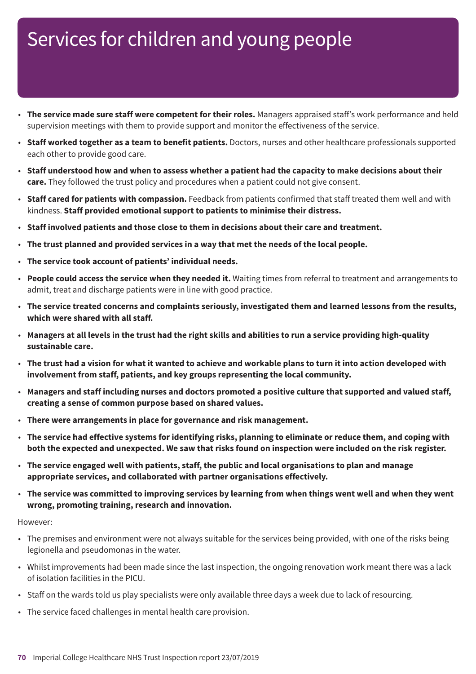- **The service made sure staff were competent for their roles.** Managers appraised staff's work performance and held supervision meetings with them to provide support and monitor the effectiveness of the service.
- **Staff worked together as a team to benefit patients.** Doctors, nurses and other healthcare professionals supported each other to provide good care.
- Staff understood how and when to assess whether a patient had the capacity to make decisions about their **care.** They followed the trust policy and procedures when a patient could not give consent.
- **Staff cared for patients with compassion.** Feedback from patients confirmed that staff treated them well and with kindness. **Staff provided emotional support to patients to minimise their distress.**
- **Staff involved patients and those close to them in decisions about their care and treatment.**
- **The trust planned and provided services in a way that met the needs of the local people.**
- **The service took account of patients' individual needs.**
- **People could access the service when they needed it.** Waiting times from referral to treatment and arrangements to admit, treat and discharge patients were in line with good practice.
- **The service treated concerns and complaints seriously, investigated them and learned lessons from the results, which were shared with all staff.**
- Managers at all levels in the trust had the right skills and abilities to run a service providing high-quality **sustainable care.**
- The trust had a vision for what it wanted to achieve and workable plans to turn it into action developed with **involvement from staff, patients, and key groups representing the local community.**
- **Managers and staff including nurses and doctors promoted a positive culture that supported and valued staff, creating a sense of common purpose based on shared values.**
- **There were arrangements in place for governance and risk management.**
- The service had effective systems for identifying risks, planning to eliminate or reduce them, and coping with both the expected and unexpected. We saw that risks found on inspection were included on the risk register.
- **The service engaged well with patients, staff, the public and local organisations to plan and manage appropriate services, and collaborated with partner organisations effectively.**
- The service was committed to improving services by learning from when things went well and when they went **wrong, promoting training, research and innovation.**

However:

- The premises and environment were not always suitable for the services being provided, with one of the risks being legionella and pseudomonas in the water.
- Whilst improvements had been made since the last inspection, the ongoing renovation work meant there was a lack of isolation facilities in the PICU.
- Staff on the wards told us play specialists were only available three days a week due to lack of resourcing.
- The service faced challenges in mental health care provision.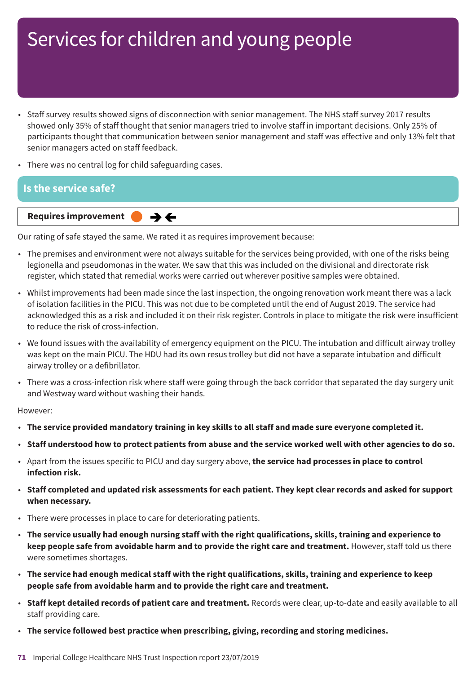- Staff survey results showed signs of disconnection with senior management. The NHS staff survey 2017 results showed only 35% of staff thought that senior managers tried to involve staff in important decisions. Only 25% of participants thought that communication between senior management and staff was effective and only 13% felt that senior managers acted on staff feedback.
- There was no central log for child safeguarding cases.

#### **Is the service safe?**



Our rating of safe stayed the same. We rated it as requires improvement because:

- The premises and environment were not always suitable for the services being provided, with one of the risks being legionella and pseudomonas in the water. We saw that this was included on the divisional and directorate risk register, which stated that remedial works were carried out wherever positive samples were obtained.
- Whilst improvements had been made since the last inspection, the ongoing renovation work meant there was a lack of isolation facilities in the PICU. This was not due to be completed until the end of August 2019. The service had acknowledged this as a risk and included it on their risk register. Controls in place to mitigate the risk were insufficient to reduce the risk of cross-infection.
- We found issues with the availability of emergency equipment on the PICU. The intubation and difficult airway trolley was kept on the main PICU. The HDU had its own resus trolley but did not have a separate intubation and difficult airway trolley or a defibrillator.
- There was a cross-infection risk where staff were going through the back corridor that separated the day surgery unit and Westway ward without washing their hands.

However:

- **The service provided mandatory training in key skills to all staff and made sure everyone completed it.**
- Staff understood how to protect patients from abuse and the service worked well with other agencies to do so.
- Apart from the issues specific to PICU and day surgery above, **the service had processes in place to control infection risk.**
- Staff completed and updated risk assessments for each patient. They kept clear records and asked for support **when necessary.**
- There were processes in place to care for deteriorating patients.
- **The service usually had enough nursing staff with the right qualifications, skills, training and experience to keep people safe from avoidable harm and to provide the right care and treatment.** However, staff told us there were sometimes shortages.
- **The service had enough medical staff with the right qualifications, skills, training and experience to keep people safe from avoidable harm and to provide the right care and treatment.**
- **Staff kept detailed records of patient care and treatment.** Records were clear, up-to-date and easily available to all staff providing care.
- **The service followed best practice when prescribing, giving, recording and storing medicines.**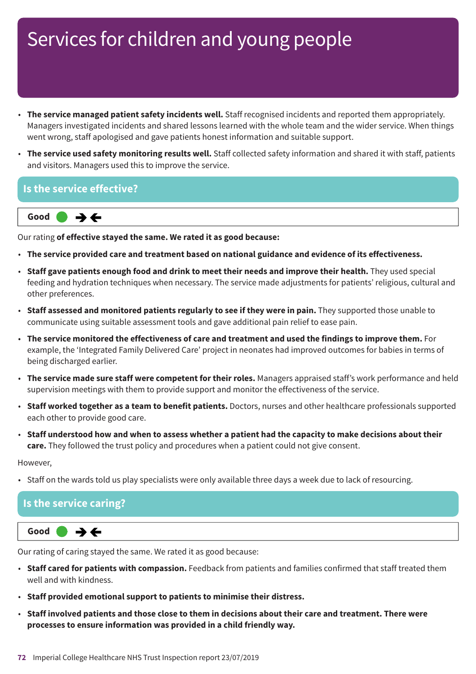- **The service managed patient safety incidents well.** Staff recognised incidents and reported them appropriately. Managers investigated incidents and shared lessons learned with the whole team and the wider service. When things went wrong, staff apologised and gave patients honest information and suitable support.
- **The service used safety monitoring results well.** Staff collected safety information and shared it with staff, patients and visitors. Managers used this to improve the service.

#### **Is the service effective?**



Our rating **of effective stayed the same. We rated it as good because:**

- **The service provided care and treatment based on national guidance and evidence of its effectiveness.**
- **Staff gave patients enough food and drink to meet their needs and improve their health.** They used special feeding and hydration techniques when necessary. The service made adjustments for patients' religious, cultural and other preferences.
- **Staff assessed and monitored patients regularly to see if they were in pain.** They supported those unable to communicate using suitable assessment tools and gave additional pain relief to ease pain.
- **The service monitored the effectiveness of care and treatment and used the findings to improve them.** For example, the 'Integrated Family Delivered Care' project in neonates had improved outcomes for babies in terms of being discharged earlier.
- **The service made sure staff were competent for their roles.** Managers appraised staff's work performance and held supervision meetings with them to provide support and monitor the effectiveness of the service.
- **Staff worked together as a team to benefit patients.** Doctors, nurses and other healthcare professionals supported each other to provide good care.
- Staff understood how and when to assess whether a patient had the capacity to make decisions about their **care.** They followed the trust policy and procedures when a patient could not give consent.

However,

• Staff on the wards told us play specialists were only available three days a week due to lack of resourcing.

#### **Is the service caring?**



Our rating of caring stayed the same. We rated it as good because:

- **Staff cared for patients with compassion.** Feedback from patients and families confirmed that staff treated them well and with kindness.
- **Staff provided emotional support to patients to minimise their distress.**
- **Staff involved patients and those close to them in decisions about their care and treatment. There were processes to ensure information was provided in a child friendly way.**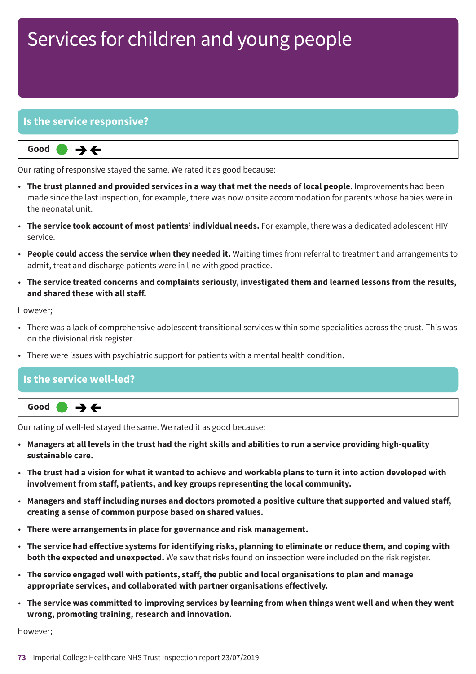## Services for children and young people

#### **Is the service responsive?**



Our rating of responsive stayed the same. We rated it as good because:

- **The trust planned and provided services in a way that met the needs of local people**. Improvements had been made since the last inspection, for example, there was now onsite accommodation for parents whose babies were in the neonatal unit.
- **The service took account of most patients' individual needs.** For example, there was a dedicated adolescent HIV service.
- **People could access the service when they needed it.** Waiting times from referral to treatment and arrangements to admit, treat and discharge patients were in line with good practice.
- **The service treated concerns and complaints seriously, investigated them and learned lessons from the results, and shared these with all staff.**

#### However;

- There was a lack of comprehensive adolescent transitional services within some specialities across the trust. This was on the divisional risk register.
- There were issues with psychiatric support for patients with a mental health condition.

#### **Is the service well-led?**



Our rating of well-led stayed the same. We rated it as good because:

- Managers at all levels in the trust had the right skills and abilities to run a service providing high-quality **sustainable care.**
- The trust had a vision for what it wanted to achieve and workable plans to turn it into action developed with **involvement from staff, patients, and key groups representing the local community.**
- **Managers and staff including nurses and doctors promoted a positive culture that supported and valued staff, creating a sense of common purpose based on shared values.**
- **There were arrangements in place for governance and risk management.**
- The service had effective systems for identifying risks, planning to eliminate or reduce them, and coping with **both the expected and unexpected.** We saw that risks found on inspection were included on the risk register.
- **The service engaged well with patients, staff, the public and local organisations to plan and manage appropriate services, and collaborated with partner organisations effectively.**
- The service was committed to improving services by learning from when things went well and when they went **wrong, promoting training, research and innovation.**

However;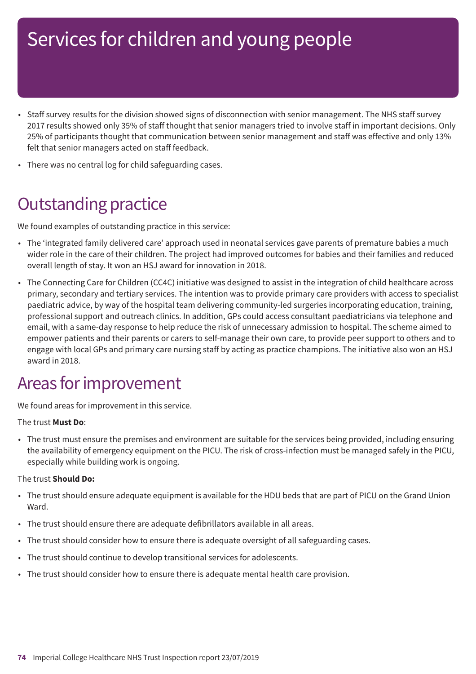## Services for children and young people

- Staff survey results for the division showed signs of disconnection with senior management. The NHS staff survey 2017 results showed only 35% of staff thought that senior managers tried to involve staff in important decisions. Only 25% of participants thought that communication between senior management and staff was effective and only 13% felt that senior managers acted on staff feedback.
- There was no central log for child safeguarding cases.

### **Outstanding practice**

We found examples of outstanding practice in this service:

- The 'integrated family delivered care' approach used in neonatal services gave parents of premature babies a much wider role in the care of their children. The project had improved outcomes for babies and their families and reduced overall length of stay. It won an HSJ award for innovation in 2018.
- The Connecting Care for Children (CC4C) initiative was designed to assist in the integration of child healthcare across primary, secondary and tertiary services. The intention was to provide primary care providers with access to specialist paediatric advice, by way of the hospital team delivering community-led surgeries incorporating education, training, professional support and outreach clinics. In addition, GPs could access consultant paediatricians via telephone and email, with a same-day response to help reduce the risk of unnecessary admission to hospital. The scheme aimed to empower patients and their parents or carers to self-manage their own care, to provide peer support to others and to engage with local GPs and primary care nursing staff by acting as practice champions. The initiative also won an HSJ award in 2018.

### Areas for improvement

We found areas for improvement in this service.

#### The trust **Must Do**:

• The trust must ensure the premises and environment are suitable for the services being provided, including ensuring the availability of emergency equipment on the PICU. The risk of cross-infection must be managed safely in the PICU, especially while building work is ongoing.

#### The trust **Should Do:**

- The trust should ensure adequate equipment is available for the HDU beds that are part of PICU on the Grand Union Ward.
- The trust should ensure there are adequate defibrillators available in all areas.
- The trust should consider how to ensure there is adequate oversight of all safeguarding cases.
- The trust should continue to develop transitional services for adolescents.
- The trust should consider how to ensure there is adequate mental health care provision.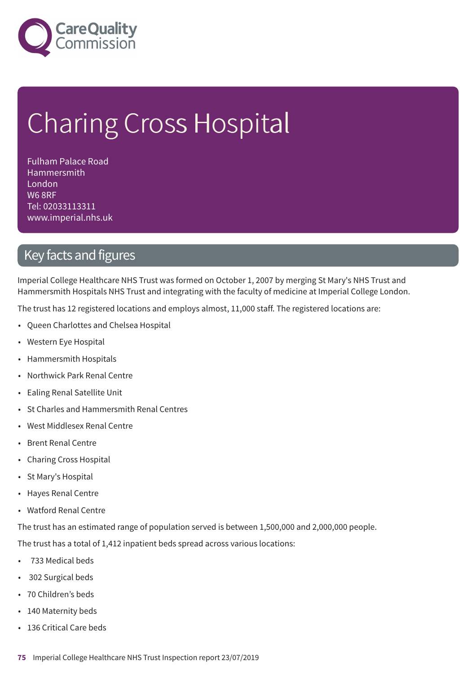

# Charing Cross Hospital

Fulham Palace Road **Hammersmith** London W6 8RF Tel: 02033113311 www.imperial.nhs.uk

### Key facts and figures

Imperial College Healthcare NHS Trust was formed on October 1, 2007 by merging St Mary's NHS Trust and Hammersmith Hospitals NHS Trust and integrating with the faculty of medicine at Imperial College London.

The trust has 12 registered locations and employs almost, 11,000 staff. The registered locations are:

- Queen Charlottes and Chelsea Hospital
- Western Eye Hospital
- Hammersmith Hospitals
- Northwick Park Renal Centre
- Ealing Renal Satellite Unit
- St Charles and Hammersmith Renal Centres
- West Middlesex Renal Centre
- Brent Renal Centre
- Charing Cross Hospital
- St Mary's Hospital
- Hayes Renal Centre
- Watford Renal Centre

The trust has an estimated range of population served is between 1,500,000 and 2,000,000 people.

The trust has a total of 1,412 inpatient beds spread across various locations:

- 733 Medical beds
- 302 Surgical beds
- 70 Children's beds
- 140 Maternity beds
- 136 Critical Care beds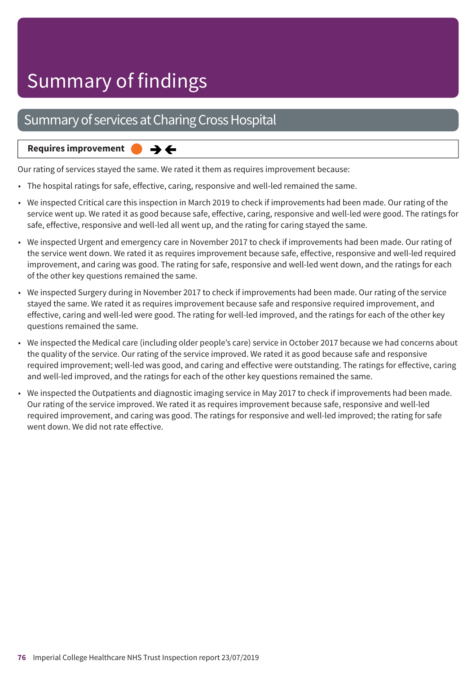## Summary of findings

### Summary of services at Charing Cross Hospital

#### **Requires improvement**  $\rightarrow \leftarrow$

Our rating of services stayed the same. We rated it them as requires improvement because:

- The hospital ratings for safe, effective, caring, responsive and well-led remained the same.
- We inspected Critical care this inspection in March 2019 to check if improvements had been made. Our rating of the service went up. We rated it as good because safe, effective, caring, responsive and well-led were good. The ratings for safe, effective, responsive and well-led all went up, and the rating for caring stayed the same.
- We inspected Urgent and emergency care in November 2017 to check if improvements had been made. Our rating of the service went down. We rated it as requires improvement because safe, effective, responsive and well-led required improvement, and caring was good. The rating for safe, responsive and well-led went down, and the ratings for each of the other key questions remained the same.
- We inspected Surgery during in November 2017 to check if improvements had been made. Our rating of the service stayed the same. We rated it as requires improvement because safe and responsive required improvement, and effective, caring and well-led were good. The rating for well-led improved, and the ratings for each of the other key questions remained the same.
- We inspected the Medical care (including older people's care) service in October 2017 because we had concerns about the quality of the service. Our rating of the service improved. We rated it as good because safe and responsive required improvement; well-led was good, and caring and effective were outstanding. The ratings for effective, caring and well-led improved, and the ratings for each of the other key questions remained the same.
- We inspected the Outpatients and diagnostic imaging service in May 2017 to check if improvements had been made. Our rating of the service improved. We rated it as requires improvement because safe, responsive and well-led required improvement, and caring was good. The ratings for responsive and well-led improved; the rating for safe went down. We did not rate effective.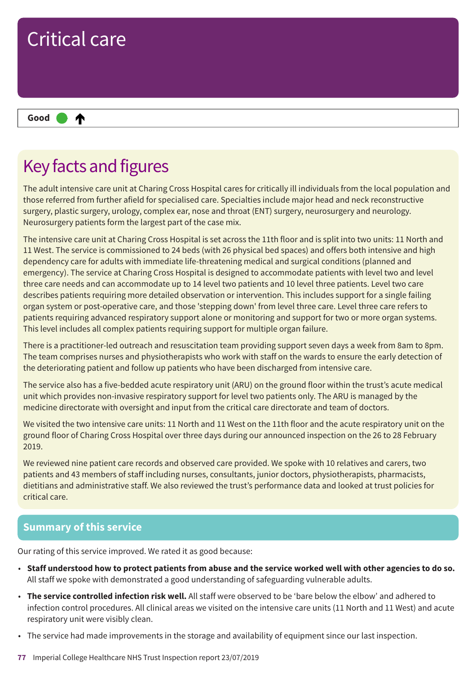

### Key facts and figures

The adult intensive care unit at Charing Cross Hospital cares for critically ill individuals from the local population and those referred from further afield for specialised care. Specialties include major head and neck reconstructive surgery, plastic surgery, urology, complex ear, nose and throat (ENT) surgery, neurosurgery and neurology. Neurosurgery patients form the largest part of the case mix.

The intensive care unit at Charing Cross Hospital is set across the 11th floor and is split into two units: 11 North and 11 West. The service is commissioned to 24 beds (with 26 physical bed spaces) and offers both intensive and high dependency care for adults with immediate life-threatening medical and surgical conditions (planned and emergency). The service at Charing Cross Hospital is designed to accommodate patients with level two and level three care needs and can accommodate up to 14 level two patients and 10 level three patients. Level two care describes patients requiring more detailed observation or intervention. This includes support for a single failing organ system or post-operative care, and those 'stepping down' from level three care. Level three care refers to patients requiring advanced respiratory support alone or monitoring and support for two or more organ systems. This level includes all complex patients requiring support for multiple organ failure.

There is a practitioner-led outreach and resuscitation team providing support seven days a week from 8am to 8pm. The team comprises nurses and physiotherapists who work with staff on the wards to ensure the early detection of the deteriorating patient and follow up patients who have been discharged from intensive care.

The service also has a five-bedded acute respiratory unit (ARU) on the ground floor within the trust's acute medical unit which provides non-invasive respiratory support for level two patients only. The ARU is managed by the medicine directorate with oversight and input from the critical care directorate and team of doctors.

We visited the two intensive care units: 11 North and 11 West on the 11th floor and the acute respiratory unit on the ground floor of Charing Cross Hospital over three days during our announced inspection on the 26 to 28 February 2019.

We reviewed nine patient care records and observed care provided. We spoke with 10 relatives and carers, two patients and 43 members of staff including nurses, consultants, junior doctors, physiotherapists, pharmacists, dietitians and administrative staff. We also reviewed the trust's performance data and looked at trust policies for critical care.

#### **Summary of this service**

Our rating of this service improved. We rated it as good because:

- Staff understood how to protect patients from abuse and the service worked well with other agencies to do so. All staff we spoke with demonstrated a good understanding of safeguarding vulnerable adults.
- **The service controlled infection risk well.** All staff were observed to be 'bare below the elbow' and adhered to infection control procedures. All clinical areas we visited on the intensive care units (11 North and 11 West) and acute respiratory unit were visibly clean.
- The service had made improvements in the storage and availability of equipment since our last inspection.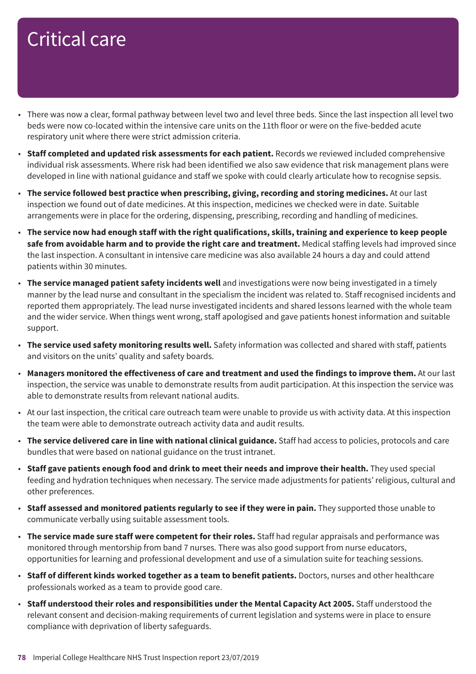- There was now a clear, formal pathway between level two and level three beds. Since the last inspection all level two beds were now co-located within the intensive care units on the 11th floor or were on the five-bedded acute respiratory unit where there were strict admission criteria.
- **Staff completed and updated risk assessments for each patient.** Records we reviewed included comprehensive individual risk assessments. Where risk had been identified we also saw evidence that risk management plans were developed in line with national guidance and staff we spoke with could clearly articulate how to recognise sepsis.
- **The service followed best practice when prescribing, giving, recording and storing medicines.** At our last inspection we found out of date medicines. At this inspection, medicines we checked were in date. Suitable arrangements were in place for the ordering, dispensing, prescribing, recording and handling of medicines.
- The service now had enough staff with the right qualifications, skills, training and experience to keep people **safe from avoidable harm and to provide the right care and treatment.** Medical staffing levels had improved since the last inspection. A consultant in intensive care medicine was also available 24 hours a day and could attend patients within 30 minutes.
- **The service managed patient safety incidents well** and investigations were now being investigated in a timely manner by the lead nurse and consultant in the specialism the incident was related to. Staff recognised incidents and reported them appropriately. The lead nurse investigated incidents and shared lessons learned with the whole team and the wider service. When things went wrong, staff apologised and gave patients honest information and suitable support.
- **The service used safety monitoring results well.** Safety information was collected and shared with staff, patients and visitors on the units' quality and safety boards.
- **Managers monitored the effectiveness of care and treatment and used the findings to improve them.** At our last inspection, the service was unable to demonstrate results from audit participation. At this inspection the service was able to demonstrate results from relevant national audits.
- At our last inspection, the critical care outreach team were unable to provide us with activity data. At this inspection the team were able to demonstrate outreach activity data and audit results.
- **The service delivered care in line with national clinical guidance.** Staff had access to policies, protocols and care bundles that were based on national guidance on the trust intranet.
- **Staff gave patients enough food and drink to meet their needs and improve their health.** They used special feeding and hydration techniques when necessary. The service made adjustments for patients' religious, cultural and other preferences.
- **Staff assessed and monitored patients regularly to see if they were in pain.** They supported those unable to communicate verbally using suitable assessment tools.
- **The service made sure staff were competent for their roles.** Staff had regular appraisals and performance was monitored through mentorship from band 7 nurses. There was also good support from nurse educators, opportunities for learning and professional development and use of a simulation suite for teaching sessions.
- **Staff of different kinds worked together as a team to benefit patients.** Doctors, nurses and other healthcare professionals worked as a team to provide good care.
- **Staff understood their roles and responsibilities under the Mental Capacity Act 2005.** Staff understood the relevant consent and decision-making requirements of current legislation and systems were in place to ensure compliance with deprivation of liberty safeguards.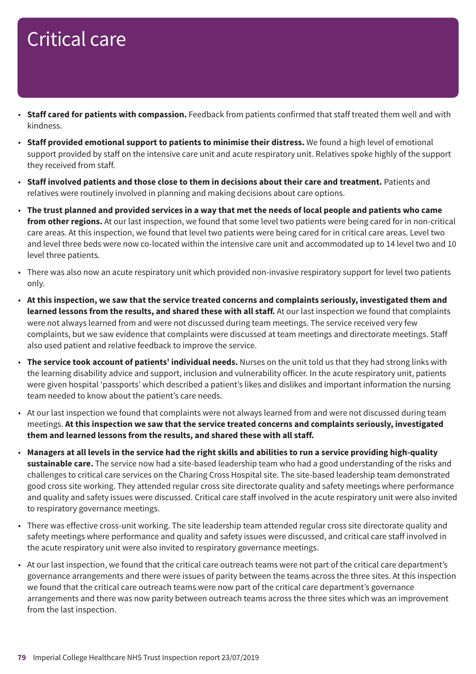- **Staff cared for patients with compassion.** Feedback from patients confirmed that staff treated them well and with kindness.
- **Staff provided emotional support to patients to minimise their distress.** We found a high level of emotional support provided by staff on the intensive care unit and acute respiratory unit. Relatives spoke highly of the support they received from staff.
- **Staff involved patients and those close to them in decisions about their care and treatment.** Patients and relatives were routinely involved in planning and making decisions about care options.
- The trust planned and provided services in a way that met the needs of local people and patients who came **from other regions.** At our last inspection, we found that some level two patients were being cared for in non-critical care areas. At this inspection, we found that level two patients were being cared for in critical care areas. Level two and level three beds were now co-located within the intensive care unit and accommodated up to 14 level two and 10 level three patients.
- There was also now an acute respiratory unit which provided non-invasive respiratory support for level two patients only.
- **At this inspection, we saw that the service treated concerns and complaints seriously, investigated them and learned lessons from the results, and shared these with all staff.** At our last inspection we found that complaints were not always learned from and were not discussed during team meetings. The service received very few complaints, but we saw evidence that complaints were discussed at team meetings and directorate meetings. Staff also used patient and relative feedback to improve the service.
- **The service took account of patients' individual needs.** Nurses on the unit told us that they had strong links with the learning disability advice and support, inclusion and vulnerability officer. In the acute respiratory unit, patients were given hospital 'passports' which described a patient's likes and dislikes and important information the nursing team needed to know about the patient's care needs.
- At our last inspection we found that complaints were not always learned from and were not discussed during team meetings. **At this inspection we saw that the service treated concerns and complaints seriously, investigated them and learned lessons from the results, and shared these with all staff.**
- Managers at all levels in the service had the right skills and abilities to run a service providing high-quality **sustainable care.** The service now had a site-based leadership team who had a good understanding of the risks and challenges to critical care services on the Charing Cross Hospital site. The site-based leadership team demonstrated good cross site working. They attended regular cross site directorate quality and safety meetings where performance and quality and safety issues were discussed. Critical care staff involved in the acute respiratory unit were also invited to respiratory governance meetings.
- There was effective cross-unit working. The site leadership team attended regular cross site directorate quality and safety meetings where performance and quality and safety issues were discussed, and critical care staff involved in the acute respiratory unit were also invited to respiratory governance meetings.
- At our last inspection, we found that the critical care outreach teams were not part of the critical care department's governance arrangements and there were issues of parity between the teams across the three sites. At this inspection we found that the critical care outreach teams were now part of the critical care department's governance arrangements and there was now parity between outreach teams across the three sites which was an improvement from the last inspection.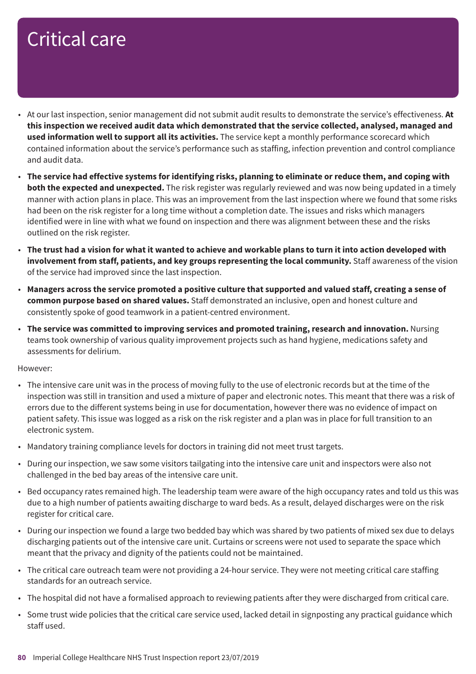- At our last inspection, senior management did not submit audit results to demonstrate the service's effectiveness. **At this inspection we received audit data which demonstrated that the service collected, analysed, managed and used information well to support all its activities.** The service kept a monthly performance scorecard which contained information about the service's performance such as staffing, infection prevention and control compliance and audit data.
- The service had effective systems for identifying risks, planning to eliminate or reduce them, and coping with **both the expected and unexpected.** The risk register was regularly reviewed and was now being updated in a timely manner with action plans in place. This was an improvement from the last inspection where we found that some risks had been on the risk register for a long time without a completion date. The issues and risks which managers identified were in line with what we found on inspection and there was alignment between these and the risks outlined on the risk register.
- The trust had a vision for what it wanted to achieve and workable plans to turn it into action developed with **involvement from staff, patients, and key groups representing the local community.** Staff awareness of the vision of the service had improved since the last inspection.
- Managers across the service promoted a positive culture that supported and valued staff, creating a sense of **common purpose based on shared values.** Staff demonstrated an inclusive, open and honest culture and consistently spoke of good teamwork in a patient-centred environment.
- **The service was committed to improving services and promoted training, research and innovation.** Nursing teams took ownership of various quality improvement projects such as hand hygiene, medications safety and assessments for delirium.

- The intensive care unit was in the process of moving fully to the use of electronic records but at the time of the inspection was still in transition and used a mixture of paper and electronic notes. This meant that there was a risk of errors due to the different systems being in use for documentation, however there was no evidence of impact on patient safety. This issue was logged as a risk on the risk register and a plan was in place for full transition to an electronic system.
- Mandatory training compliance levels for doctors in training did not meet trust targets.
- During our inspection, we saw some visitors tailgating into the intensive care unit and inspectors were also not challenged in the bed bay areas of the intensive care unit.
- Bed occupancy rates remained high. The leadership team were aware of the high occupancy rates and told us this was due to a high number of patients awaiting discharge to ward beds. As a result, delayed discharges were on the risk register for critical care.
- During our inspection we found a large two bedded bay which was shared by two patients of mixed sex due to delays discharging patients out of the intensive care unit. Curtains or screens were not used to separate the space which meant that the privacy and dignity of the patients could not be maintained.
- The critical care outreach team were not providing a 24-hour service. They were not meeting critical care staffing standards for an outreach service.
- The hospital did not have a formalised approach to reviewing patients after they were discharged from critical care.
- Some trust wide policies that the critical care service used, lacked detail in signposting any practical guidance which staff used.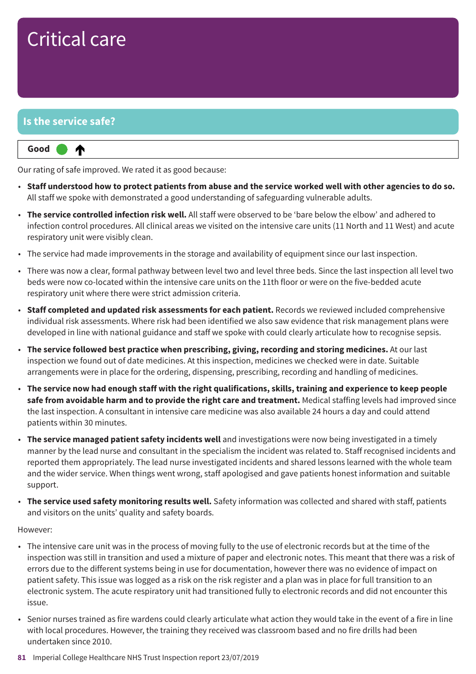### **Is the service safe?**

⋔

#### **Up one rating Good –––**

Our rating of safe improved. We rated it as good because:

- Staff understood how to protect patients from abuse and the service worked well with other agencies to do so. All staff we spoke with demonstrated a good understanding of safeguarding vulnerable adults.
- **The service controlled infection risk well.** All staff were observed to be 'bare below the elbow' and adhered to infection control procedures. All clinical areas we visited on the intensive care units (11 North and 11 West) and acute respiratory unit were visibly clean.
- The service had made improvements in the storage and availability of equipment since our last inspection.
- There was now a clear, formal pathway between level two and level three beds. Since the last inspection all level two beds were now co-located within the intensive care units on the 11th floor or were on the five-bedded acute respiratory unit where there were strict admission criteria.
- **Staff completed and updated risk assessments for each patient.** Records we reviewed included comprehensive individual risk assessments. Where risk had been identified we also saw evidence that risk management plans were developed in line with national guidance and staff we spoke with could clearly articulate how to recognise sepsis.
- **The service followed best practice when prescribing, giving, recording and storing medicines.** At our last inspection we found out of date medicines. At this inspection, medicines we checked were in date. Suitable arrangements were in place for the ordering, dispensing, prescribing, recording and handling of medicines.
- The service now had enough staff with the right qualifications, skills, training and experience to keep people **safe from avoidable harm and to provide the right care and treatment.** Medical staffing levels had improved since the last inspection. A consultant in intensive care medicine was also available 24 hours a day and could attend patients within 30 minutes.
- **The service managed patient safety incidents well** and investigations were now being investigated in a timely manner by the lead nurse and consultant in the specialism the incident was related to. Staff recognised incidents and reported them appropriately. The lead nurse investigated incidents and shared lessons learned with the whole team and the wider service. When things went wrong, staff apologised and gave patients honest information and suitable support.
- **The service used safety monitoring results well.** Safety information was collected and shared with staff, patients and visitors on the units' quality and safety boards.

- The intensive care unit was in the process of moving fully to the use of electronic records but at the time of the inspection was still in transition and used a mixture of paper and electronic notes. This meant that there was a risk of errors due to the different systems being in use for documentation, however there was no evidence of impact on patient safety. This issue was logged as a risk on the risk register and a plan was in place for full transition to an electronic system. The acute respiratory unit had transitioned fully to electronic records and did not encounter this issue.
- Senior nurses trained as fire wardens could clearly articulate what action they would take in the event of a fire in line with local procedures. However, the training they received was classroom based and no fire drills had been undertaken since 2010.
- **81** Imperial College Healthcare NHS Trust Inspection report 23/07/2019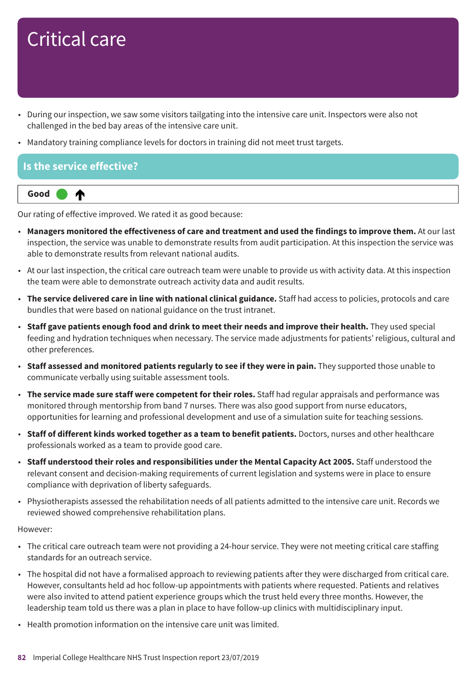- During our inspection, we saw some visitors tailgating into the intensive care unit. Inspectors were also not challenged in the bed bay areas of the intensive care unit.
- Mandatory training compliance levels for doctors in training did not meet trust targets.

#### **Is the service effective?**



Our rating of effective improved. We rated it as good because:

- **Managers monitored the effectiveness of care and treatment and used the findings to improve them.** At our last inspection, the service was unable to demonstrate results from audit participation. At this inspection the service was able to demonstrate results from relevant national audits.
- At our last inspection, the critical care outreach team were unable to provide us with activity data. At this inspection the team were able to demonstrate outreach activity data and audit results.
- **The service delivered care in line with national clinical guidance.** Staff had access to policies, protocols and care bundles that were based on national guidance on the trust intranet.
- **Staff gave patients enough food and drink to meet their needs and improve their health.** They used special feeding and hydration techniques when necessary. The service made adjustments for patients' religious, cultural and other preferences.
- **Staff assessed and monitored patients regularly to see if they were in pain.** They supported those unable to communicate verbally using suitable assessment tools.
- **The service made sure staff were competent for their roles.** Staff had regular appraisals and performance was monitored through mentorship from band 7 nurses. There was also good support from nurse educators, opportunities for learning and professional development and use of a simulation suite for teaching sessions.
- **Staff of different kinds worked together as a team to benefit patients.** Doctors, nurses and other healthcare professionals worked as a team to provide good care.
- **Staff understood their roles and responsibilities under the Mental Capacity Act 2005.** Staff understood the relevant consent and decision-making requirements of current legislation and systems were in place to ensure compliance with deprivation of liberty safeguards.
- Physiotherapists assessed the rehabilitation needs of all patients admitted to the intensive care unit. Records we reviewed showed comprehensive rehabilitation plans.

- The critical care outreach team were not providing a 24-hour service. They were not meeting critical care staffing standards for an outreach service.
- The hospital did not have a formalised approach to reviewing patients after they were discharged from critical care. However, consultants held ad hoc follow-up appointments with patients where requested. Patients and relatives were also invited to attend patient experience groups which the trust held every three months. However, the leadership team told us there was a plan in place to have follow-up clinics with multidisciplinary input.
- Health promotion information on the intensive care unit was limited.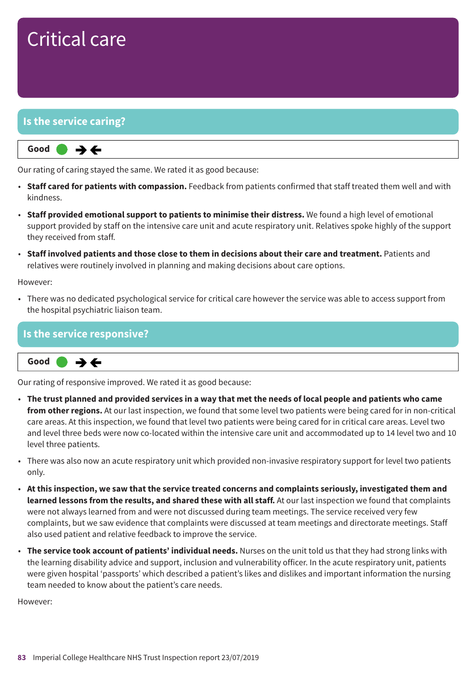#### **Is the service caring?**



Our rating of caring stayed the same. We rated it as good because:

- **Staff cared for patients with compassion.** Feedback from patients confirmed that staff treated them well and with kindness.
- **Staff provided emotional support to patients to minimise their distress.** We found a high level of emotional support provided by staff on the intensive care unit and acute respiratory unit. Relatives spoke highly of the support they received from staff.
- **Staff involved patients and those close to them in decisions about their care and treatment.** Patients and relatives were routinely involved in planning and making decisions about care options.

However:

• There was no dedicated psychological service for critical care however the service was able to access support from the hospital psychiatric liaison team.

#### **Is the service responsive?**



Our rating of responsive improved. We rated it as good because:

- The trust planned and provided services in a way that met the needs of local people and patients who came **from other regions.** At our last inspection, we found that some level two patients were being cared for in non-critical care areas. At this inspection, we found that level two patients were being cared for in critical care areas. Level two and level three beds were now co-located within the intensive care unit and accommodated up to 14 level two and 10 level three patients.
- There was also now an acute respiratory unit which provided non-invasive respiratory support for level two patients only.
- **At this inspection, we saw that the service treated concerns and complaints seriously, investigated them and learned lessons from the results, and shared these with all staff.** At our last inspection we found that complaints were not always learned from and were not discussed during team meetings. The service received very few complaints, but we saw evidence that complaints were discussed at team meetings and directorate meetings. Staff also used patient and relative feedback to improve the service.
- **The service took account of patients' individual needs.** Nurses on the unit told us that they had strong links with the learning disability advice and support, inclusion and vulnerability officer. In the acute respiratory unit, patients were given hospital 'passports' which described a patient's likes and dislikes and important information the nursing team needed to know about the patient's care needs.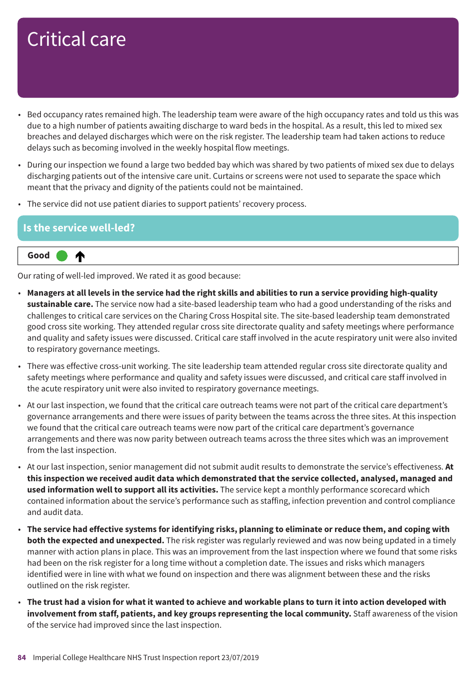- Bed occupancy rates remained high. The leadership team were aware of the high occupancy rates and told us this was due to a high number of patients awaiting discharge to ward beds in the hospital. As a result, this led to mixed sex breaches and delayed discharges which were on the risk register. The leadership team had taken actions to reduce delays such as becoming involved in the weekly hospital flow meetings.
- During our inspection we found a large two bedded bay which was shared by two patients of mixed sex due to delays discharging patients out of the intensive care unit. Curtains or screens were not used to separate the space which meant that the privacy and dignity of the patients could not be maintained.
- The service did not use patient diaries to support patients' recovery process.

#### **Is the service well-led?**

⋔

#### **Up one rating Good –––**

Our rating of well-led improved. We rated it as good because:

- Managers at all levels in the service had the right skills and abilities to run a service providing high-quality **sustainable care.** The service now had a site-based leadership team who had a good understanding of the risks and challenges to critical care services on the Charing Cross Hospital site. The site-based leadership team demonstrated good cross site working. They attended regular cross site directorate quality and safety meetings where performance and quality and safety issues were discussed. Critical care staff involved in the acute respiratory unit were also invited to respiratory governance meetings.
- There was effective cross-unit working. The site leadership team attended regular cross site directorate quality and safety meetings where performance and quality and safety issues were discussed, and critical care staff involved in the acute respiratory unit were also invited to respiratory governance meetings.
- At our last inspection, we found that the critical care outreach teams were not part of the critical care department's governance arrangements and there were issues of parity between the teams across the three sites. At this inspection we found that the critical care outreach teams were now part of the critical care department's governance arrangements and there was now parity between outreach teams across the three sites which was an improvement from the last inspection.
- At our last inspection, senior management did not submit audit results to demonstrate the service's effectiveness. **At this inspection we received audit data which demonstrated that the service collected, analysed, managed and used information well to support all its activities.** The service kept a monthly performance scorecard which contained information about the service's performance such as staffing, infection prevention and control compliance and audit data.
- The service had effective systems for identifying risks, planning to eliminate or reduce them, and coping with **both the expected and unexpected.** The risk register was regularly reviewed and was now being updated in a timely manner with action plans in place. This was an improvement from the last inspection where we found that some risks had been on the risk register for a long time without a completion date. The issues and risks which managers identified were in line with what we found on inspection and there was alignment between these and the risks outlined on the risk register.
- The trust had a vision for what it wanted to achieve and workable plans to turn it into action developed with **involvement from staff, patients, and key groups representing the local community.** Staff awareness of the vision of the service had improved since the last inspection.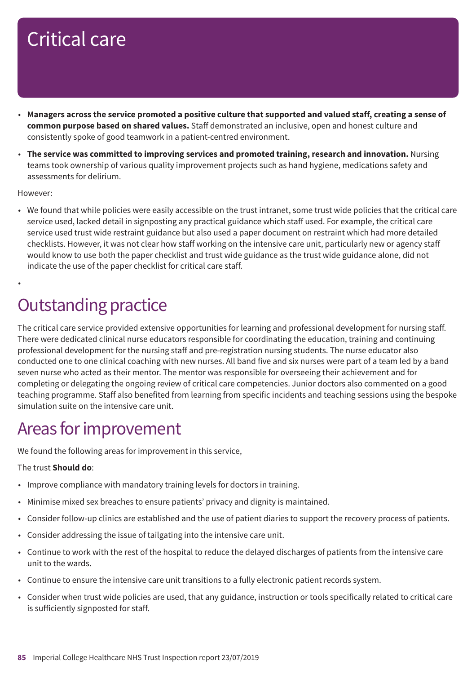- Managers across the service promoted a positive culture that supported and valued staff, creating a sense of **common purpose based on shared values.** Staff demonstrated an inclusive, open and honest culture and consistently spoke of good teamwork in a patient-centred environment.
- **The service was committed to improving services and promoted training, research and innovation.** Nursing teams took ownership of various quality improvement projects such as hand hygiene, medications safety and assessments for delirium.

#### However:

•

• We found that while policies were easily accessible on the trust intranet, some trust wide policies that the critical care service used, lacked detail in signposting any practical guidance which staff used. For example, the critical care service used trust wide restraint guidance but also used a paper document on restraint which had more detailed checklists. However, it was not clear how staff working on the intensive care unit, particularly new or agency staff would know to use both the paper checklist and trust wide guidance as the trust wide guidance alone, did not indicate the use of the paper checklist for critical care staff.

### **Outstanding practice**

The critical care service provided extensive opportunities for learning and professional development for nursing staff. There were dedicated clinical nurse educators responsible for coordinating the education, training and continuing professional development for the nursing staff and pre-registration nursing students. The nurse educator also conducted one to one clinical coaching with new nurses. All band five and six nurses were part of a team led by a band seven nurse who acted as their mentor. The mentor was responsible for overseeing their achievement and for completing or delegating the ongoing review of critical care competencies. Junior doctors also commented on a good teaching programme. Staff also benefited from learning from specific incidents and teaching sessions using the bespoke simulation suite on the intensive care unit.

### Areas for improvement

We found the following areas for improvement in this service,

#### The trust **Should do**:

- Improve compliance with mandatory training levels for doctors in training.
- Minimise mixed sex breaches to ensure patients' privacy and dignity is maintained.
- Consider follow-up clinics are established and the use of patient diaries to support the recovery process of patients.
- Consider addressing the issue of tailgating into the intensive care unit.
- Continue to work with the rest of the hospital to reduce the delayed discharges of patients from the intensive care unit to the wards.
- Continue to ensure the intensive care unit transitions to a fully electronic patient records system.
- Consider when trust wide policies are used, that any guidance, instruction or tools specifically related to critical care is sufficiently signposted for staff.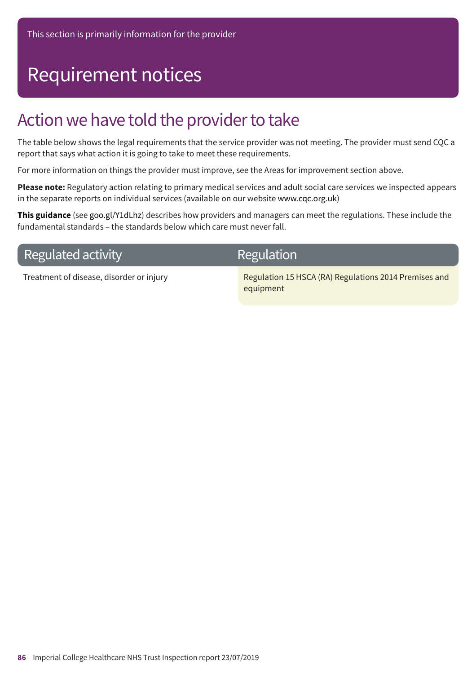## Requirement notices

### Action we have told the provider to take

The table below shows the legal requirements that the service provider was not meeting. The provider must send CQC a report that says what action it is going to take to meet these requirements.

For more information on things the provider must improve, see the Areas for improvement section above.

**Please note:** Regulatory action relating to primary medical services and adult social care services we inspected appears in the separate reports on individual services (available on our website www.cqc.org.uk)

**This guidance** (see goo.gl/Y1dLhz) describes how providers and managers can meet the regulations. These include the fundamental standards – the standards below which care must never fall.

### **Regulated activity**

### **Regulation**

Treatment of disease, disorder or injury Regulation 15 HSCA (RA) Regulations 2014 Premises and equipment